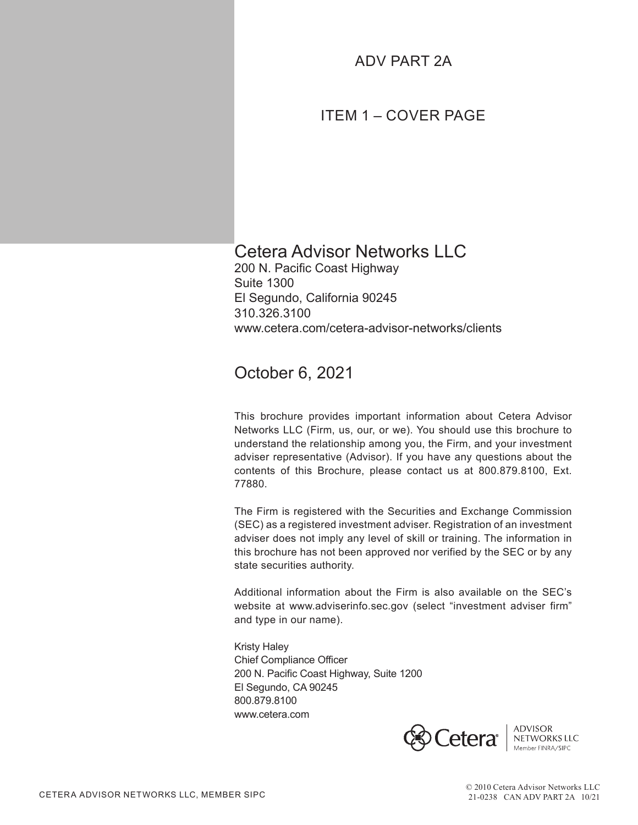# ADV PART 2A

# ITEM 1 – COVER PAGE

# Cetera Advisor Networks LLC

200 N. Pacific Coast Highway Suite 1300 El Segundo, California 90245 310.326.3100 www.cetera.com/cetera-advisor-networks/clients

# October 6, 2021

This brochure provides important information about Cetera Advisor Networks LLC (Firm, us, our, or we). You should use this brochure to understand the relationship among you, the Firm, and your investment adviser representative (Advisor). If you have any questions about the contents of this Brochure, please contact us at 800.879.8100, Ext. 77880.

The Firm is registered with the Securities and Exchange Commission (SEC) as a registered investment adviser. Registration of an investment adviser does not imply any level of skill or training. The information in this brochure has not been approved nor verified by the SEC or by any state securities authority.

Additional information about the Firm is also available on the SEC's website at www.adviserinfo.sec.gov (select "investment adviser firm" and type in our name).

Kristy Haley Chief Compliance Officer 200 N. Pacific Coast Highway, Suite 1200 El Segundo, CA 90245 800.879.8100 www.cetera.com

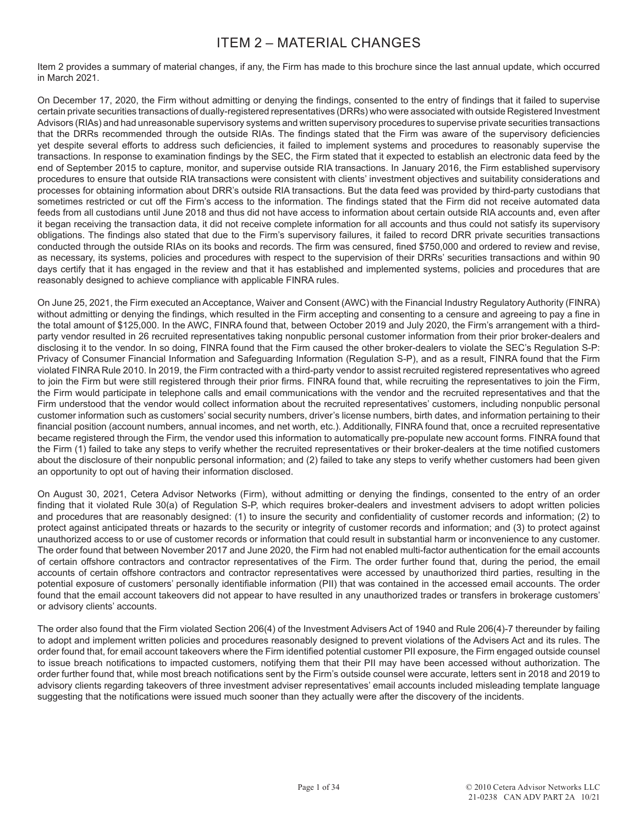# ITEM 2 – MATERIAL CHANGES

Item 2 provides a summary of material changes, if any, the Firm has made to this brochure since the last annual update, which occurred in March 2021.

On December 17, 2020, the Firm without admitting or denying the findings, consented to the entry of findings that it failed to supervise certain private securities transactions of dually-registered representatives (DRRs) who were associated with outside Registered Investment Advisors (RIAs) and had unreasonable supervisory systems and written supervisory procedures to supervise private securities transactions that the DRRs recommended through the outside RIAs. The findings stated that the Firm was aware of the supervisory deficiencies yet despite several efforts to address such deficiencies, it failed to implement systems and procedures to reasonably supervise the transactions. In response to examination findings by the SEC, the Firm stated that it expected to establish an electronic data feed by the end of September 2015 to capture, monitor, and supervise outside RIA transactions. In January 2016, the Firm established supervisory procedures to ensure that outside RIA transactions were consistent with clients' investment objectives and suitability considerations and processes for obtaining information about DRR's outside RIA transactions. But the data feed was provided by third-party custodians that sometimes restricted or cut off the Firm's access to the information. The findings stated that the Firm did not receive automated data feeds from all custodians until June 2018 and thus did not have access to information about certain outside RIA accounts and, even after it began receiving the transaction data, it did not receive complete information for all accounts and thus could not satisfy its supervisory obligations. The findings also stated that due to the Firm's supervisory failures, it failed to record DRR private securities transactions conducted through the outside RIAs on its books and records. The firm was censured, fined \$750,000 and ordered to review and revise, as necessary, its systems, policies and procedures with respect to the supervision of their DRRs' securities transactions and within 90 days certify that it has engaged in the review and that it has established and implemented systems, policies and procedures that are reasonably designed to achieve compliance with applicable FINRA rules.

On June 25, 2021, the Firm executed an Acceptance, Waiver and Consent (AWC) with the Financial Industry Regulatory Authority (FINRA) without admitting or denying the findings, which resulted in the Firm accepting and consenting to a censure and agreeing to pay a fine in the total amount of \$125,000. In the AWC, FINRA found that, between October 2019 and July 2020, the Firm's arrangement with a thirdparty vendor resulted in 26 recruited representatives taking nonpublic personal customer information from their prior broker-dealers and disclosing it to the vendor. In so doing, FINRA found that the Firm caused the other broker-dealers to violate the SEC's Regulation S-P: Privacy of Consumer Financial Information and Safeguarding Information (Regulation S-P), and as a result, FINRA found that the Firm violated FINRA Rule 2010. In 2019, the Firm contracted with a third-party vendor to assist recruited registered representatives who agreed to join the Firm but were still registered through their prior firms. FINRA found that, while recruiting the representatives to join the Firm, the Firm would participate in telephone calls and email communications with the vendor and the recruited representatives and that the Firm understood that the vendor would collect information about the recruited representatives' customers, including nonpublic personal customer information such as customers' social security numbers, driver's license numbers, birth dates, and information pertaining to their financial position (account numbers, annual incomes, and net worth, etc.). Additionally, FINRA found that, once a recruited representative became registered through the Firm, the vendor used this information to automatically pre-populate new account forms. FINRA found that the Firm (1) failed to take any steps to verify whether the recruited representatives or their broker-dealers at the time notified customers about the disclosure of their nonpublic personal information; and (2) failed to take any steps to verify whether customers had been given an opportunity to opt out of having their information disclosed.

On August 30, 2021, Cetera Advisor Networks (Firm), without admitting or denying the findings, consented to the entry of an order finding that it violated Rule 30(a) of Regulation S-P, which requires broker-dealers and investment advisers to adopt written policies and procedures that are reasonably designed: (1) to insure the security and confidentiality of customer records and information; (2) to protect against anticipated threats or hazards to the security or integrity of customer records and information; and (3) to protect against unauthorized access to or use of customer records or information that could result in substantial harm or inconvenience to any customer. The order found that between November 2017 and June 2020, the Firm had not enabled multi-factor authentication for the email accounts of certain offshore contractors and contractor representatives of the Firm. The order further found that, during the period, the email accounts of certain offshore contractors and contractor representatives were accessed by unauthorized third parties, resulting in the potential exposure of customers' personally identifiable information (PII) that was contained in the accessed email accounts. The order found that the email account takeovers did not appear to have resulted in any unauthorized trades or transfers in brokerage customers' or advisory clients' accounts.

The order also found that the Firm violated Section 206(4) of the Investment Advisers Act of 1940 and Rule 206(4)-7 thereunder by failing to adopt and implement written policies and procedures reasonably designed to prevent violations of the Advisers Act and its rules. The order found that, for email account takeovers where the Firm identified potential customer PII exposure, the Firm engaged outside counsel to issue breach notifications to impacted customers, notifying them that their PII may have been accessed without authorization. The order further found that, while most breach notifications sent by the Firm's outside counsel were accurate, letters sent in 2018 and 2019 to advisory clients regarding takeovers of three investment adviser representatives' email accounts included misleading template language suggesting that the notifications were issued much sooner than they actually were after the discovery of the incidents.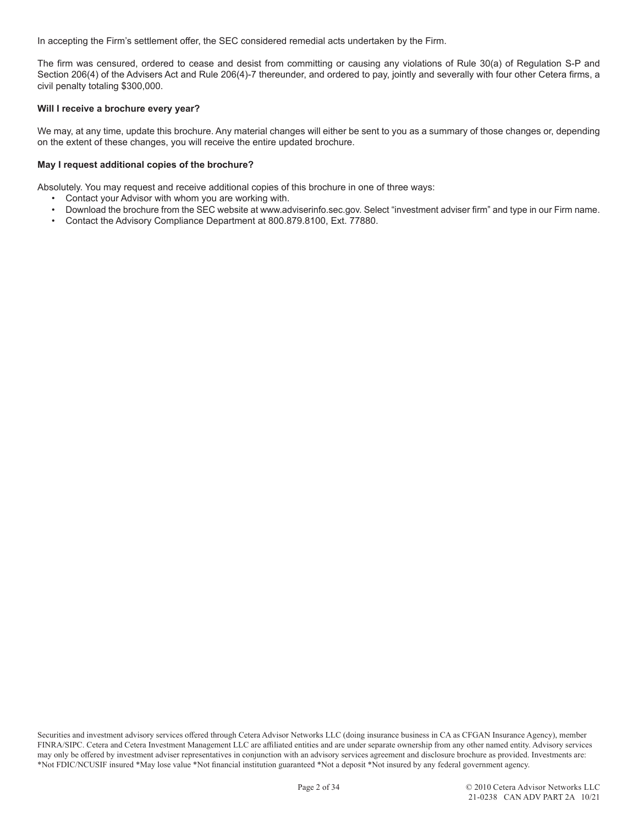In accepting the Firm's settlement offer, the SEC considered remedial acts undertaken by the Firm.

The firm was censured, ordered to cease and desist from committing or causing any violations of Rule 30(a) of Regulation S-P and Section 206(4) of the Advisers Act and Rule 206(4)-7 thereunder, and ordered to pay, jointly and severally with four other Cetera firms, a civil penalty totaling \$300,000.

#### **Will I receive a brochure every year?**

We may, at any time, update this brochure. Any material changes will either be sent to you as a summary of those changes or, depending on the extent of these changes, you will receive the entire updated brochure.

#### **May I request additional copies of the brochure?**

Absolutely. You may request and receive additional copies of this brochure in one of three ways:

- Contact your Advisor with whom you are working with.
- Download the brochure from the SEC website at www.adviserinfo.sec.gov. Select "investment adviser firm" and type in our Firm name.
- Contact the Advisory Compliance Department at 800.879.8100, Ext. 77880.

Securities and investment advisory services offered through Cetera Advisor Networks LLC (doing insurance business in CA as CFGAN Insurance Agency), member FINRA/SIPC. Cetera and Cetera Investment Management LLC are affiliated entities and are under separate ownership from any other named entity. Advisory services may only be offered by investment adviser representatives in conjunction with an advisory services agreement and disclosure brochure as provided. Investments are: \*Not FDIC/NCUSIF insured \*May lose value \*Not financial institution guaranteed \*Not a deposit \*Not insured by any federal government agency.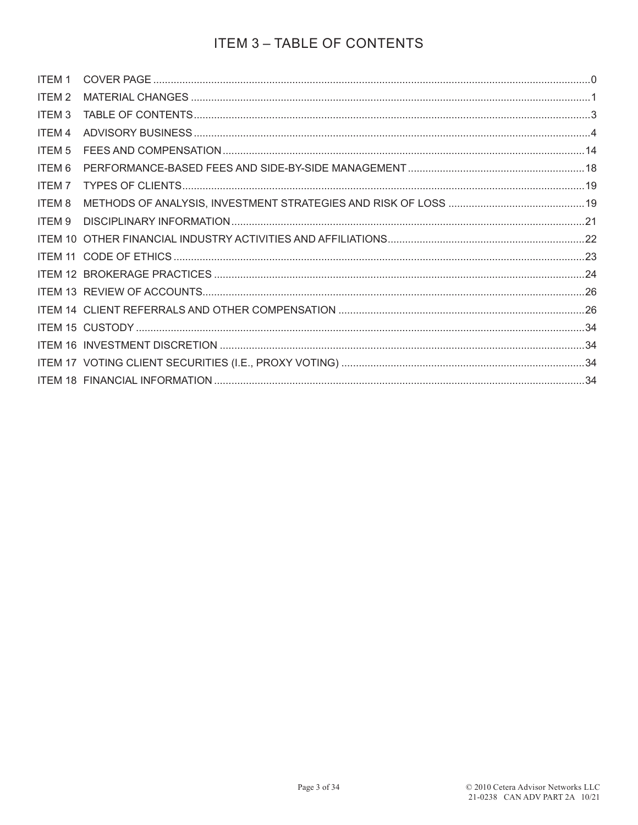# **ITEM 3 - TABLE OF CONTENTS**

| ITEM 2            |  |
|-------------------|--|
| ITEM <sub>3</sub> |  |
| ITEM 4            |  |
| ITEM <sub>5</sub> |  |
| ITEM 6            |  |
| ITEM 7            |  |
| ITEM 8            |  |
| ITEM 9            |  |
|                   |  |
|                   |  |
|                   |  |
|                   |  |
|                   |  |
|                   |  |
|                   |  |
|                   |  |
|                   |  |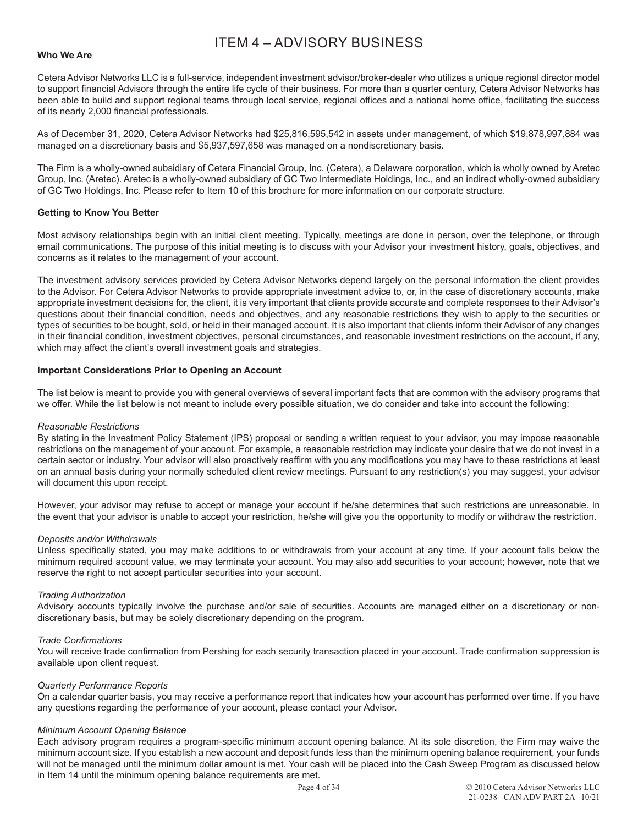# ITEM 4 – ADVISORY BUSINESS

#### **Who We Are**

Cetera Advisor Networks LLC is a full-service, independent investment advisor/broker-dealer who utilizes a unique regional director model to support financial Advisors through the entire life cycle of their business. For more than a quarter century, Cetera Advisor Networks has been able to build and support regional teams through local service, regional offices and a national home office, facilitating the success of its nearly 2,000 financial professionals.

As of December 31, 2020, Cetera Advisor Networks had \$25,816,595,542 in assets under management, of which \$19,878,997,884 was managed on a discretionary basis and \$5,937,597,658 was managed on a nondiscretionary basis.

The Firm is a wholly-owned subsidiary of Cetera Financial Group, Inc. (Cetera), a Delaware corporation, which is wholly owned by Aretec Group, Inc. (Aretec). Aretec is a wholly-owned subsidiary of GC Two Intermediate Holdings, Inc., and an indirect wholly-owned subsidiary of GC Two Holdings, Inc. Please refer to Item 10 of this brochure for more information on our corporate structure.

#### **Getting to Know You Better**

Most advisory relationships begin with an initial client meeting. Typically, meetings are done in person, over the telephone, or through email communications. The purpose of this initial meeting is to discuss with your Advisor your investment history, goals, objectives, and concerns as it relates to the management of your account.

The investment advisory services provided by Cetera Advisor Networks depend largely on the personal information the client provides to the Advisor. For Cetera Advisor Networks to provide appropriate investment advice to, or, in the case of discretionary accounts, make appropriate investment decisions for, the client, it is very important that clients provide accurate and complete responses to their Advisor's questions about their financial condition, needs and objectives, and any reasonable restrictions they wish to apply to the securities or types of securities to be bought, sold, or held in their managed account. It is also important that clients inform their Advisor of any changes in their financial condition, investment objectives, personal circumstances, and reasonable investment restrictions on the account, if any, which may affect the client's overall investment goals and strategies.

#### **Important Considerations Prior to Opening an Account**

The list below is meant to provide you with general overviews of several important facts that are common with the advisory programs that we offer. While the list below is not meant to include every possible situation, we do consider and take into account the following:

#### *Reasonable Restrictions*

By stating in the Investment Policy Statement (IPS) proposal or sending a written request to your advisor, you may impose reasonable restrictions on the management of your account. For example, a reasonable restriction may indicate your desire that we do not invest in a certain sector or industry. Your advisor will also proactively reaffirm with you any modifications you may have to these restrictions at least on an annual basis during your normally scheduled client review meetings. Pursuant to any restriction(s) you may suggest, your advisor will document this upon receipt.

However, your advisor may refuse to accept or manage your account if he/she determines that such restrictions are unreasonable. In the event that your advisor is unable to accept your restriction, he/she will give you the opportunity to modify or withdraw the restriction.

#### *Deposits and/or Withdrawals*

Unless specifically stated, you may make additions to or withdrawals from your account at any time. If your account falls below the minimum required account value, we may terminate your account. You may also add securities to your account; however, note that we reserve the right to not accept particular securities into your account.

#### *Trading Authorization*

Advisory accounts typically involve the purchase and/or sale of securities. Accounts are managed either on a discretionary or nondiscretionary basis, but may be solely discretionary depending on the program.

#### *Trade Confirmations*

You will receive trade confirmation from Pershing for each security transaction placed in your account. Trade confirmation suppression is available upon client request.

#### *Quarterly Performance Reports*

On a calendar quarter basis, you may receive a performance report that indicates how your account has performed over time. If you have any questions regarding the performance of your account, please contact your Advisor.

#### *Minimum Account Opening Balance*

Each advisory program requires a program-specific minimum account opening balance. At its sole discretion, the Firm may waive the minimum account size. If you establish a new account and deposit funds less than the minimum opening balance requirement, your funds will not be managed until the minimum dollar amount is met. Your cash will be placed into the Cash Sweep Program as discussed below in Item 14 until the minimum opening balance requirements are met.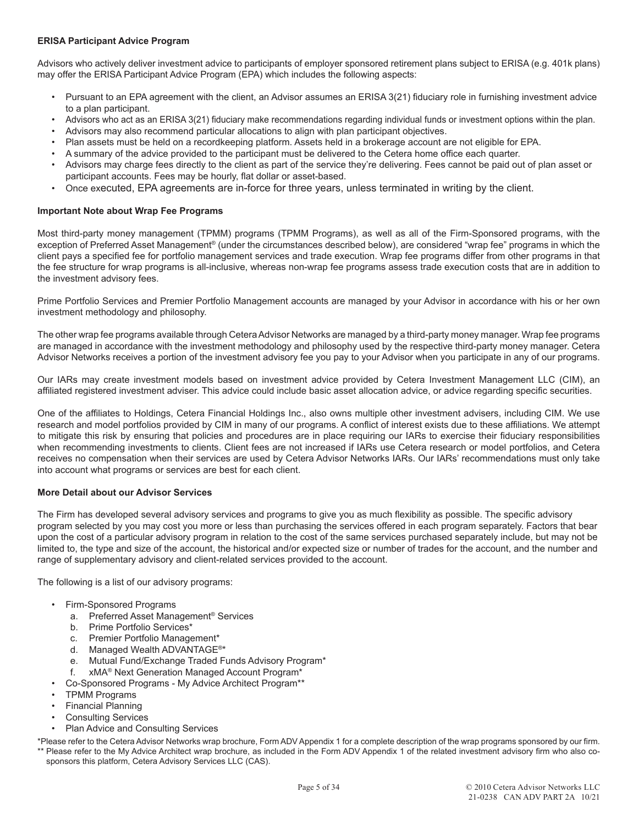# **ERISA Participant Advice Program**

Advisors who actively deliver investment advice to participants of employer sponsored retirement plans subject to ERISA (e.g. 401k plans) may offer the ERISA Participant Advice Program (EPA) which includes the following aspects:

- Pursuant to an EPA agreement with the client, an Advisor assumes an ERISA 3(21) fiduciary role in furnishing investment advice to a plan participant.
- Advisors who act as an ERISA 3(21) fiduciary make recommendations regarding individual funds or investment options within the plan.
- Advisors may also recommend particular allocations to align with plan participant objectives.
- Plan assets must be held on a recordkeeping platform. Assets held in a brokerage account are not eligible for EPA.
- A summary of the advice provided to the participant must be delivered to the Cetera home office each quarter.
- Advisors may charge fees directly to the client as part of the service they're delivering. Fees cannot be paid out of plan asset or participant accounts. Fees may be hourly, flat dollar or asset-based.
- Once executed, EPA agreements are in-force for three years, unless terminated in writing by the client.

# **Important Note about Wrap Fee Programs**

Most third-party money management (TPMM) programs (TPMM Programs), as well as all of the Firm-Sponsored programs, with the exception of Preferred Asset Management® (under the circumstances described below), are considered "wrap fee" programs in which the client pays a specified fee for portfolio management services and trade execution. Wrap fee programs differ from other programs in that the fee structure for wrap programs is all-inclusive, whereas non-wrap fee programs assess trade execution costs that are in addition to the investment advisory fees.

Prime Portfolio Services and Premier Portfolio Management accounts are managed by your Advisor in accordance with his or her own investment methodology and philosophy.

The other wrap fee programs available through Cetera Advisor Networks are managed by a third-party money manager. Wrap fee programs are managed in accordance with the investment methodology and philosophy used by the respective third-party money manager. Cetera Advisor Networks receives a portion of the investment advisory fee you pay to your Advisor when you participate in any of our programs.

Our IARs may create investment models based on investment advice provided by Cetera Investment Management LLC (CIM), an affiliated registered investment adviser. This advice could include basic asset allocation advice, or advice regarding specific securities.

One of the affiliates to Holdings, Cetera Financial Holdings Inc., also owns multiple other investment advisers, including CIM. We use research and model portfolios provided by CIM in many of our programs. A conflict of interest exists due to these affiliations. We attempt to mitigate this risk by ensuring that policies and procedures are in place requiring our IARs to exercise their fiduciary responsibilities when recommending investments to clients. Client fees are not increased if IARs use Cetera research or model portfolios, and Cetera receives no compensation when their services are used by Cetera Advisor Networks IARs. Our IARs' recommendations must only take into account what programs or services are best for each client.

# **More Detail about our Advisor Services**

The Firm has developed several advisory services and programs to give you as much flexibility as possible. The specific advisory program selected by you may cost you more or less than purchasing the services offered in each program separately. Factors that bear upon the cost of a particular advisory program in relation to the cost of the same services purchased separately include, but may not be limited to, the type and size of the account, the historical and/or expected size or number of trades for the account, and the number and range of supplementary advisory and client-related services provided to the account.

The following is a list of our advisory programs:

- Firm-Sponsored Programs
	- a. Preferred Asset Management® Services
	- b. Prime Portfolio Services\*
	- c. Premier Portfolio Management\*
	- d. Managed Wealth ADVANTAGE®\*
	- e. Mutual Fund/Exchange Traded Funds Advisory Program\*
	- f. xMA® Next Generation Managed Account Program\*
	- Co-Sponsored Programs My Advice Architect Program\*\*
- TPMM Programs
- Financial Planning
- **Consulting Services**
- Plan Advice and Consulting Services

\*Please refer to the Cetera Advisor Networks wrap brochure, Form ADV Appendix 1 for a complete description of the wrap programs sponsored by our firm. \*\* Please refer to the My Advice Architect wrap brochure, as included in the Form ADV Appendix 1 of the related investment advisory firm who also cosponsors this platform, Cetera Advisory Services LLC (CAS).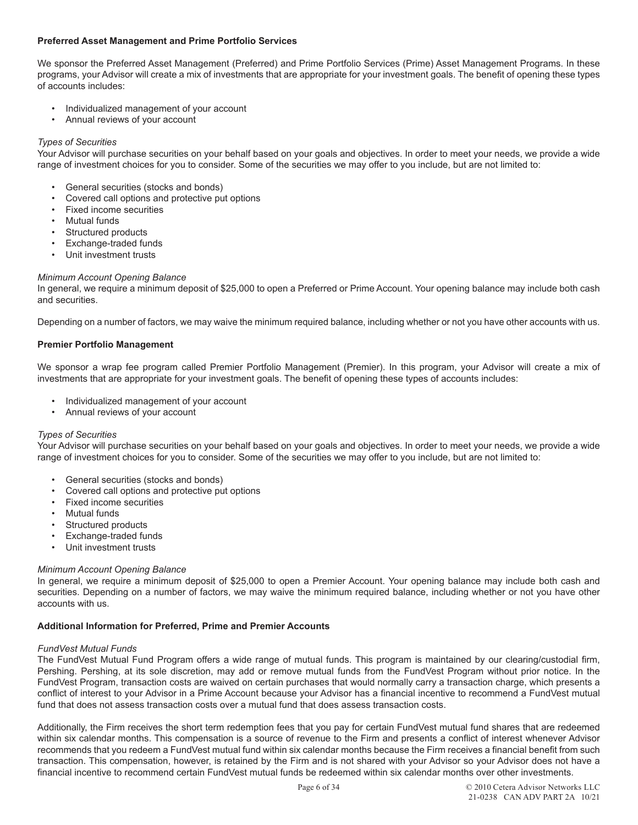# **Preferred Asset Management and Prime Portfolio Services**

We sponsor the Preferred Asset Management (Preferred) and Prime Portfolio Services (Prime) Asset Management Programs. In these programs, your Advisor will create a mix of investments that are appropriate for your investment goals. The benefit of opening these types of accounts includes:

- Individualized management of your account
- Annual reviews of your account

# *Types of Securities*

Your Advisor will purchase securities on your behalf based on your goals and objectives. In order to meet your needs, we provide a wide range of investment choices for you to consider. Some of the securities we may offer to you include, but are not limited to:

- General securities (stocks and bonds)
- Covered call options and protective put options
- Fixed income securities
- Mutual funds
- Structured products
- Exchange-traded funds
- Unit investment trusts

# *Minimum Account Opening Balance*

In general, we require a minimum deposit of \$25,000 to open a Preferred or Prime Account. Your opening balance may include both cash and securities.

Depending on a number of factors, we may waive the minimum required balance, including whether or not you have other accounts with us.

#### **Premier Portfolio Management**

We sponsor a wrap fee program called Premier Portfolio Management (Premier). In this program, your Advisor will create a mix of investments that are appropriate for your investment goals. The benefit of opening these types of accounts includes:

- Individualized management of your account
- Annual reviews of your account

# *Types of Securities*

Your Advisor will purchase securities on your behalf based on your goals and objectives. In order to meet your needs, we provide a wide range of investment choices for you to consider. Some of the securities we may offer to you include, but are not limited to:

- General securities (stocks and bonds)
- Covered call options and protective put options
- Fixed income securities
- **Mutual funds**
- Structured products
- Exchange-traded funds
- Unit investment trusts

# *Minimum Account Opening Balance*

In general, we require a minimum deposit of \$25,000 to open a Premier Account. Your opening balance may include both cash and securities. Depending on a number of factors, we may waive the minimum required balance, including whether or not you have other accounts with us.

#### **Additional Information for Preferred, Prime and Premier Accounts**

# *FundVest Mutual Funds*

The FundVest Mutual Fund Program offers a wide range of mutual funds. This program is maintained by our clearing/custodial firm, Pershing. Pershing, at its sole discretion, may add or remove mutual funds from the FundVest Program without prior notice. In the FundVest Program, transaction costs are waived on certain purchases that would normally carry a transaction charge, which presents a conflict of interest to your Advisor in a Prime Account because your Advisor has a financial incentive to recommend a FundVest mutual fund that does not assess transaction costs over a mutual fund that does assess transaction costs.

Additionally, the Firm receives the short term redemption fees that you pay for certain FundVest mutual fund shares that are redeemed within six calendar months. This compensation is a source of revenue to the Firm and presents a conflict of interest whenever Advisor recommends that you redeem a FundVest mutual fund within six calendar months because the Firm receives a financial benefit from such transaction. This compensation, however, is retained by the Firm and is not shared with your Advisor so your Advisor does not have a financial incentive to recommend certain FundVest mutual funds be redeemed within six calendar months over other investments.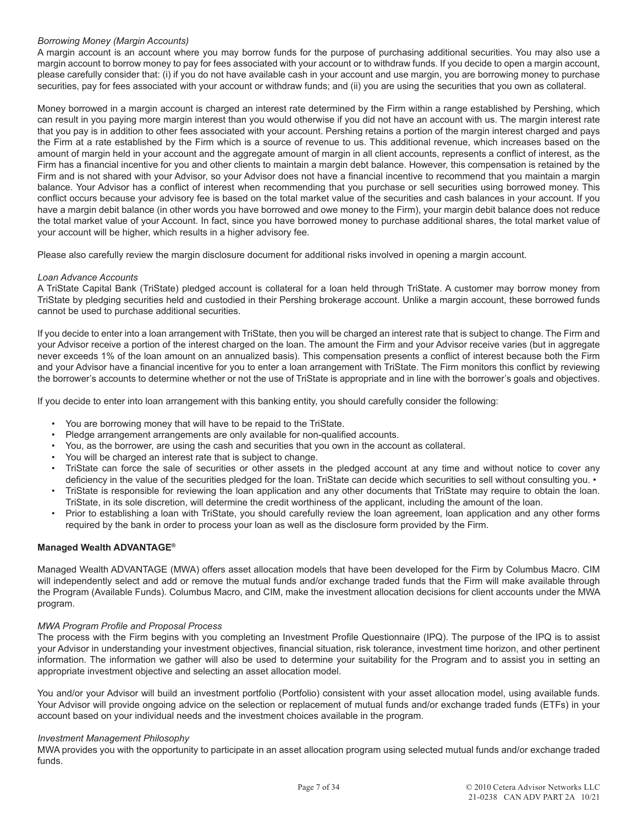# *Borrowing Money (Margin Accounts)*

A margin account is an account where you may borrow funds for the purpose of purchasing additional securities. You may also use a margin account to borrow money to pay for fees associated with your account or to withdraw funds. If you decide to open a margin account, please carefully consider that: (i) if you do not have available cash in your account and use margin, you are borrowing money to purchase securities, pay for fees associated with your account or withdraw funds; and (ii) you are using the securities that you own as collateral.

Money borrowed in a margin account is charged an interest rate determined by the Firm within a range established by Pershing, which can result in you paying more margin interest than you would otherwise if you did not have an account with us. The margin interest rate that you pay is in addition to other fees associated with your account. Pershing retains a portion of the margin interest charged and pays the Firm at a rate established by the Firm which is a source of revenue to us. This additional revenue, which increases based on the amount of margin held in your account and the aggregate amount of margin in all client accounts, represents a conflict of interest, as the Firm has a financial incentive for you and other clients to maintain a margin debt balance. However, this compensation is retained by the Firm and is not shared with your Advisor, so your Advisor does not have a financial incentive to recommend that you maintain a margin balance. Your Advisor has a conflict of interest when recommending that you purchase or sell securities using borrowed money. This conflict occurs because your advisory fee is based on the total market value of the securities and cash balances in your account. If you have a margin debit balance (in other words you have borrowed and owe money to the Firm), your margin debit balance does not reduce the total market value of your Account. In fact, since you have borrowed money to purchase additional shares, the total market value of your account will be higher, which results in a higher advisory fee.

Please also carefully review the margin disclosure document for additional risks involved in opening a margin account.

# *Loan Advance Accounts*

A TriState Capital Bank (TriState) pledged account is collateral for a loan held through TriState. A customer may borrow money from TriState by pledging securities held and custodied in their Pershing brokerage account. Unlike a margin account, these borrowed funds cannot be used to purchase additional securities.

If you decide to enter into a loan arrangement with TriState, then you will be charged an interest rate that is subject to change. The Firm and your Advisor receive a portion of the interest charged on the loan. The amount the Firm and your Advisor receive varies (but in aggregate never exceeds 1% of the loan amount on an annualized basis). This compensation presents a conflict of interest because both the Firm and your Advisor have a financial incentive for you to enter a loan arrangement with TriState. The Firm monitors this conflict by reviewing the borrower's accounts to determine whether or not the use of TriState is appropriate and in line with the borrower's goals and objectives.

If you decide to enter into loan arrangement with this banking entity, you should carefully consider the following:

- You are borrowing money that will have to be repaid to the TriState.
- Pledge arrangement arrangements are only available for non-qualified accounts.
- You, as the borrower, are using the cash and securities that you own in the account as collateral.
- You will be charged an interest rate that is subject to change.
- TriState can force the sale of securities or other assets in the pledged account at any time and without notice to cover any deficiency in the value of the securities pledged for the loan. TriState can decide which securities to sell without consulting you. •
- TriState is responsible for reviewing the loan application and any other documents that TriState may require to obtain the loan. TriState, in its sole discretion, will determine the credit worthiness of the applicant, including the amount of the loan.
- Prior to establishing a loan with TriState, you should carefully review the loan agreement, loan application and any other forms required by the bank in order to process your loan as well as the disclosure form provided by the Firm.

# **Managed Wealth ADVANTAGE®**

Managed Wealth ADVANTAGE (MWA) offers asset allocation models that have been developed for the Firm by Columbus Macro. CIM will independently select and add or remove the mutual funds and/or exchange traded funds that the Firm will make available through the Program (Available Funds). Columbus Macro, and CIM, make the investment allocation decisions for client accounts under the MWA program.

# *MWA Program Profile and Proposal Process*

The process with the Firm begins with you completing an Investment Profile Questionnaire (IPQ). The purpose of the IPQ is to assist your Advisor in understanding your investment objectives, financial situation, risk tolerance, investment time horizon, and other pertinent information. The information we gather will also be used to determine your suitability for the Program and to assist you in setting an appropriate investment objective and selecting an asset allocation model.

You and/or your Advisor will build an investment portfolio (Portfolio) consistent with your asset allocation model, using available funds. Your Advisor will provide ongoing advice on the selection or replacement of mutual funds and/or exchange traded funds (ETFs) in your account based on your individual needs and the investment choices available in the program.

# *Investment Management Philosophy*

MWA provides you with the opportunity to participate in an asset allocation program using selected mutual funds and/or exchange traded funds.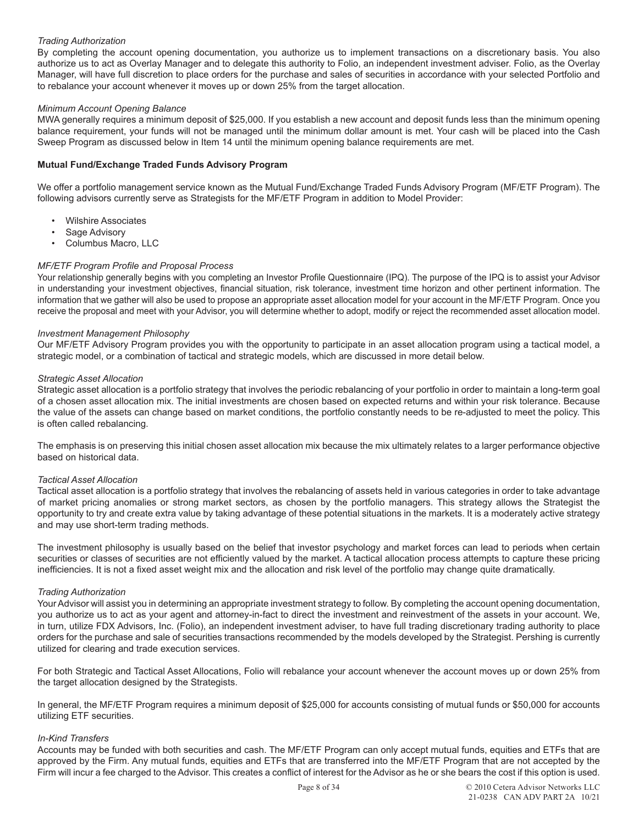# *Trading Authorization*

By completing the account opening documentation, you authorize us to implement transactions on a discretionary basis. You also authorize us to act as Overlay Manager and to delegate this authority to Folio, an independent investment adviser. Folio, as the Overlay Manager, will have full discretion to place orders for the purchase and sales of securities in accordance with your selected Portfolio and to rebalance your account whenever it moves up or down 25% from the target allocation.

# *Minimum Account Opening Balance*

MWA generally requires a minimum deposit of \$25,000. If you establish a new account and deposit funds less than the minimum opening balance requirement, your funds will not be managed until the minimum dollar amount is met. Your cash will be placed into the Cash Sweep Program as discussed below in Item 14 until the minimum opening balance requirements are met.

# **Mutual Fund/Exchange Traded Funds Advisory Program**

We offer a portfolio management service known as the Mutual Fund/Exchange Traded Funds Advisory Program (MF/ETF Program). The following advisors currently serve as Strategists for the MF/ETF Program in addition to Model Provider:

- Wilshire Associates
- Sage Advisory
- Columbus Macro, LLC

# *MF/ETF Program Profile and Proposal Process*

Your relationship generally begins with you completing an Investor Profile Questionnaire (IPQ). The purpose of the IPQ is to assist your Advisor in understanding your investment objectives, financial situation, risk tolerance, investment time horizon and other pertinent information. The information that we gather will also be used to propose an appropriate asset allocation model for your account in the MF/ETF Program. Once you receive the proposal and meet with your Advisor, you will determine whether to adopt, modify or reject the recommended asset allocation model.

#### *Investment Management Philosophy*

Our MF/ETF Advisory Program provides you with the opportunity to participate in an asset allocation program using a tactical model, a strategic model, or a combination of tactical and strategic models, which are discussed in more detail below.

#### *Strategic Asset Allocation*

Strategic asset allocation is a portfolio strategy that involves the periodic rebalancing of your portfolio in order to maintain a long-term goal of a chosen asset allocation mix. The initial investments are chosen based on expected returns and within your risk tolerance. Because the value of the assets can change based on market conditions, the portfolio constantly needs to be re-adjusted to meet the policy. This is often called rebalancing.

The emphasis is on preserving this initial chosen asset allocation mix because the mix ultimately relates to a larger performance objective based on historical data.

# *Tactical Asset Allocation*

Tactical asset allocation is a portfolio strategy that involves the rebalancing of assets held in various categories in order to take advantage of market pricing anomalies or strong market sectors, as chosen by the portfolio managers. This strategy allows the Strategist the opportunity to try and create extra value by taking advantage of these potential situations in the markets. It is a moderately active strategy and may use short-term trading methods.

The investment philosophy is usually based on the belief that investor psychology and market forces can lead to periods when certain securities or classes of securities are not efficiently valued by the market. A tactical allocation process attempts to capture these pricing inefficiencies. It is not a fixed asset weight mix and the allocation and risk level of the portfolio may change quite dramatically.

# *Trading Authorization*

Your Advisor will assist you in determining an appropriate investment strategy to follow. By completing the account opening documentation, you authorize us to act as your agent and attorney-in-fact to direct the investment and reinvestment of the assets in your account. We, in turn, utilize FDX Advisors, Inc. (Folio), an independent investment adviser, to have full trading discretionary trading authority to place orders for the purchase and sale of securities transactions recommended by the models developed by the Strategist. Pershing is currently utilized for clearing and trade execution services.

For both Strategic and Tactical Asset Allocations, Folio will rebalance your account whenever the account moves up or down 25% from the target allocation designed by the Strategists.

In general, the MF/ETF Program requires a minimum deposit of \$25,000 for accounts consisting of mutual funds or \$50,000 for accounts utilizing ETF securities.

# *In-Kind Transfers*

Accounts may be funded with both securities and cash. The MF/ETF Program can only accept mutual funds, equities and ETFs that are approved by the Firm. Any mutual funds, equities and ETFs that are transferred into the MF/ETF Program that are not accepted by the Firm will incur a fee charged to the Advisor. This creates a conflict of interest for the Advisor as he or she bears the cost if this option is used.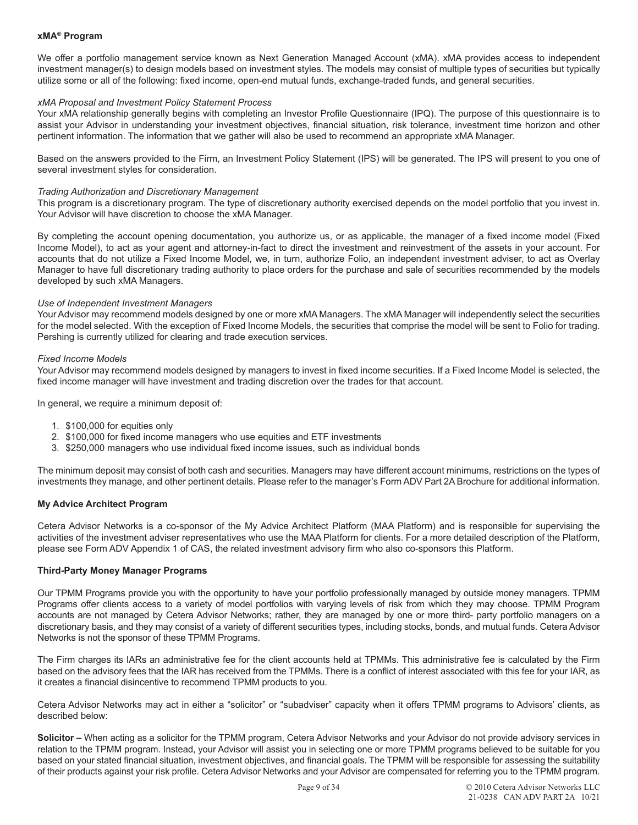#### **xMA® Program**

We offer a portfolio management service known as Next Generation Managed Account (xMA). xMA provides access to independent investment manager(s) to design models based on investment styles. The models may consist of multiple types of securities but typically utilize some or all of the following: fixed income, open-end mutual funds, exchange-traded funds, and general securities.

#### *xMA Proposal and Investment Policy Statement Process*

Your xMA relationship generally begins with completing an Investor Profile Questionnaire (IPQ). The purpose of this questionnaire is to assist your Advisor in understanding your investment objectives, financial situation, risk tolerance, investment time horizon and other pertinent information. The information that we gather will also be used to recommend an appropriate xMA Manager.

Based on the answers provided to the Firm, an Investment Policy Statement (IPS) will be generated. The IPS will present to you one of several investment styles for consideration.

#### *Trading Authorization and Discretionary Management*

This program is a discretionary program. The type of discretionary authority exercised depends on the model portfolio that you invest in. Your Advisor will have discretion to choose the xMA Manager.

By completing the account opening documentation, you authorize us, or as applicable, the manager of a fixed income model (Fixed Income Model), to act as your agent and attorney-in-fact to direct the investment and reinvestment of the assets in your account. For accounts that do not utilize a Fixed Income Model, we, in turn, authorize Folio, an independent investment adviser, to act as Overlay Manager to have full discretionary trading authority to place orders for the purchase and sale of securities recommended by the models developed by such xMA Managers.

#### *Use of Independent Investment Managers*

Your Advisor may recommend models designed by one or more xMA Managers. The xMA Manager will independently select the securities for the model selected. With the exception of Fixed Income Models, the securities that comprise the model will be sent to Folio for trading. Pershing is currently utilized for clearing and trade execution services.

#### *Fixed Income Models*

Your Advisor may recommend models designed by managers to invest in fixed income securities. If a Fixed Income Model is selected, the fixed income manager will have investment and trading discretion over the trades for that account.

In general, we require a minimum deposit of:

- 1. \$100,000 for equities only
- 2. \$100,000 for fixed income managers who use equities and ETF investments
- 3. \$250,000 managers who use individual fixed income issues, such as individual bonds

The minimum deposit may consist of both cash and securities. Managers may have different account minimums, restrictions on the types of investments they manage, and other pertinent details. Please refer to the manager's Form ADV Part 2A Brochure for additional information.

# **My Advice Architect Program**

Cetera Advisor Networks is a co-sponsor of the My Advice Architect Platform (MAA Platform) and is responsible for supervising the activities of the investment adviser representatives who use the MAA Platform for clients. For a more detailed description of the Platform, please see Form ADV Appendix 1 of CAS, the related investment advisory firm who also co-sponsors this Platform.

# **Third-Party Money Manager Programs**

Our TPMM Programs provide you with the opportunity to have your portfolio professionally managed by outside money managers. TPMM Programs offer clients access to a variety of model portfolios with varying levels of risk from which they may choose. TPMM Program accounts are not managed by Cetera Advisor Networks; rather, they are managed by one or more third- party portfolio managers on a discretionary basis, and they may consist of a variety of different securities types, including stocks, bonds, and mutual funds. Cetera Advisor Networks is not the sponsor of these TPMM Programs.

The Firm charges its IARs an administrative fee for the client accounts held at TPMMs. This administrative fee is calculated by the Firm based on the advisory fees that the IAR has received from the TPMMs. There is a conflict of interest associated with this fee for your IAR, as it creates a financial disincentive to recommend TPMM products to you.

Cetera Advisor Networks may act in either a "solicitor" or "subadviser" capacity when it offers TPMM programs to Advisors' clients, as described below:

**Solicitor –** When acting as a solicitor for the TPMM program, Cetera Advisor Networks and your Advisor do not provide advisory services in relation to the TPMM program. Instead, your Advisor will assist you in selecting one or more TPMM programs believed to be suitable for you based on your stated financial situation, investment objectives, and financial goals. The TPMM will be responsible for assessing the suitability of their products against your risk profile. Cetera Advisor Networks and your Advisor are compensated for referring you to the TPMM program.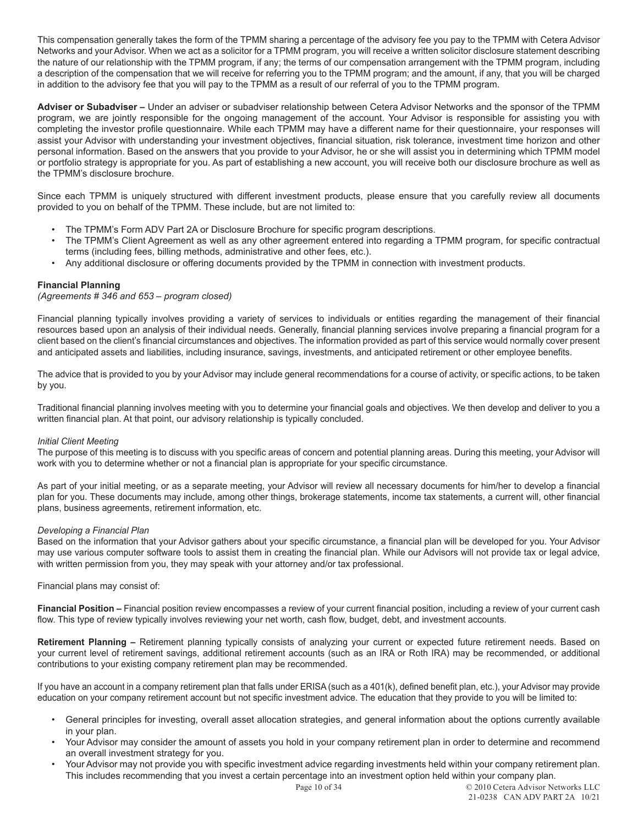This compensation generally takes the form of the TPMM sharing a percentage of the advisory fee you pay to the TPMM with Cetera Advisor Networks and your Advisor. When we act as a solicitor for a TPMM program, you will receive a written solicitor disclosure statement describing the nature of our relationship with the TPMM program, if any; the terms of our compensation arrangement with the TPMM program, including a description of the compensation that we will receive for referring you to the TPMM program; and the amount, if any, that you will be charged in addition to the advisory fee that you will pay to the TPMM as a result of our referral of you to the TPMM program.

**Adviser or Subadviser –** Under an adviser or subadviser relationship between Cetera Advisor Networks and the sponsor of the TPMM program, we are jointly responsible for the ongoing management of the account. Your Advisor is responsible for assisting you with completing the investor profile questionnaire. While each TPMM may have a different name for their questionnaire, your responses will assist your Advisor with understanding your investment objectives, financial situation, risk tolerance, investment time horizon and other personal information. Based on the answers that you provide to your Advisor, he or she will assist you in determining which TPMM model or portfolio strategy is appropriate for you. As part of establishing a new account, you will receive both our disclosure brochure as well as the TPMM's disclosure brochure.

Since each TPMM is uniquely structured with different investment products, please ensure that you carefully review all documents provided to you on behalf of the TPMM. These include, but are not limited to:

- The TPMM's Form ADV Part 2A or Disclosure Brochure for specific program descriptions.
- The TPMM's Client Agreement as well as any other agreement entered into regarding a TPMM program, for specific contractual terms (including fees, billing methods, administrative and other fees, etc.).
- Any additional disclosure or offering documents provided by the TPMM in connection with investment products.

# **Financial Planning**

# *(Agreements # 346 and 653 – program closed)*

Financial planning typically involves providing a variety of services to individuals or entities regarding the management of their financial resources based upon an analysis of their individual needs. Generally, financial planning services involve preparing a financial program for a client based on the client's financial circumstances and objectives. The information provided as part of this service would normally cover present and anticipated assets and liabilities, including insurance, savings, investments, and anticipated retirement or other employee benefits.

The advice that is provided to you by your Advisor may include general recommendations for a course of activity, or specific actions, to be taken by you.

Traditional financial planning involves meeting with you to determine your financial goals and objectives. We then develop and deliver to you a written financial plan. At that point, our advisory relationship is typically concluded.

# *Initial Client Meeting*

The purpose of this meeting is to discuss with you specific areas of concern and potential planning areas. During this meeting, your Advisor will work with you to determine whether or not a financial plan is appropriate for your specific circumstance.

As part of your initial meeting, or as a separate meeting, your Advisor will review all necessary documents for him/her to develop a financial plan for you. These documents may include, among other things, brokerage statements, income tax statements, a current will, other financial plans, business agreements, retirement information, etc.

#### *Developing a Financial Plan*

Based on the information that your Advisor gathers about your specific circumstance, a financial plan will be developed for you. Your Advisor may use various computer software tools to assist them in creating the financial plan. While our Advisors will not provide tax or legal advice, with written permission from you, they may speak with your attorney and/or tax professional.

#### Financial plans may consist of:

**Financial Position –** Financial position review encompasses a review of your current financial position, including a review of your current cash flow. This type of review typically involves reviewing your net worth, cash flow, budget, debt, and investment accounts.

**Retirement Planning –** Retirement planning typically consists of analyzing your current or expected future retirement needs. Based on your current level of retirement savings, additional retirement accounts (such as an IRA or Roth IRA) may be recommended, or additional contributions to your existing company retirement plan may be recommended.

If you have an account in a company retirement plan that falls under ERISA (such as a 401(k), defined benefit plan, etc.), your Advisor may provide education on your company retirement account but not specific investment advice. The education that they provide to you will be limited to:

- General principles for investing, overall asset allocation strategies, and general information about the options currently available in your plan.
- Your Advisor may consider the amount of assets you hold in your company retirement plan in order to determine and recommend an overall investment strategy for you.
- Your Advisor may not provide you with specific investment advice regarding investments held within your company retirement plan. This includes recommending that you invest a certain percentage into an investment option held within your company plan.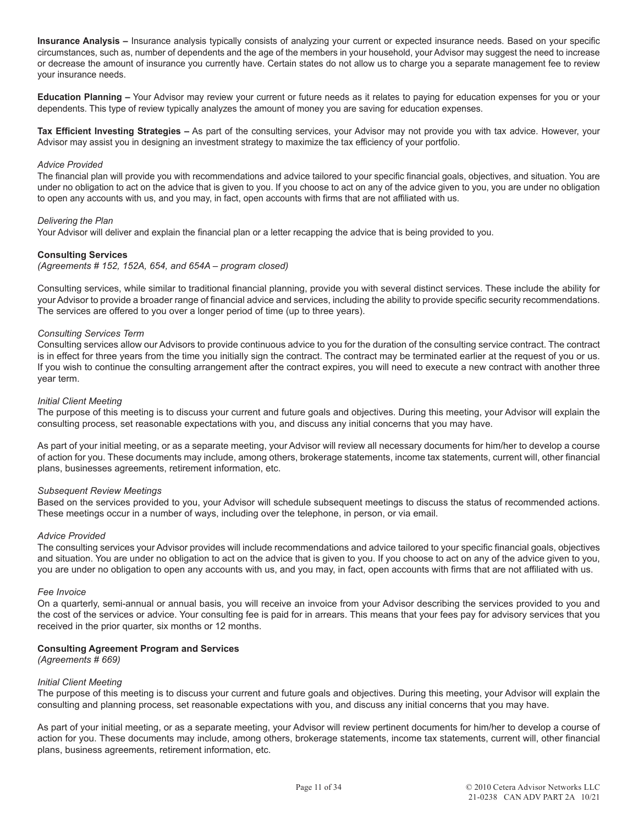**Insurance Analysis –** Insurance analysis typically consists of analyzing your current or expected insurance needs. Based on your specific circumstances, such as, number of dependents and the age of the members in your household, your Advisor may suggest the need to increase or decrease the amount of insurance you currently have. Certain states do not allow us to charge you a separate management fee to review your insurance needs.

**Education Planning –** Your Advisor may review your current or future needs as it relates to paying for education expenses for you or your dependents. This type of review typically analyzes the amount of money you are saving for education expenses.

**Tax Efficient Investing Strategies –** As part of the consulting services, your Advisor may not provide you with tax advice. However, your Advisor may assist you in designing an investment strategy to maximize the tax efficiency of your portfolio.

#### *Advice Provided*

The financial plan will provide you with recommendations and advice tailored to your specific financial goals, objectives, and situation. You are under no obligation to act on the advice that is given to you. If you choose to act on any of the advice given to you, you are under no obligation to open any accounts with us, and you may, in fact, open accounts with firms that are not affiliated with us.

#### *Delivering the Plan*

Your Advisor will deliver and explain the financial plan or a letter recapping the advice that is being provided to you.

# **Consulting Services**

*(Agreements # 152, 152A, 654, and 654A – program closed)*

Consulting services, while similar to traditional financial planning, provide you with several distinct services. These include the ability for your Advisor to provide a broader range of financial advice and services, including the ability to provide specific security recommendations. The services are offered to you over a longer period of time (up to three years).

#### *Consulting Services Term*

Consulting services allow our Advisors to provide continuous advice to you for the duration of the consulting service contract. The contract is in effect for three years from the time you initially sign the contract. The contract may be terminated earlier at the request of you or us. If you wish to continue the consulting arrangement after the contract expires, you will need to execute a new contract with another three year term.

#### *Initial Client Meeting*

The purpose of this meeting is to discuss your current and future goals and objectives. During this meeting, your Advisor will explain the consulting process, set reasonable expectations with you, and discuss any initial concerns that you may have.

As part of your initial meeting, or as a separate meeting, your Advisor will review all necessary documents for him/her to develop a course of action for you. These documents may include, among others, brokerage statements, income tax statements, current will, other financial plans, businesses agreements, retirement information, etc.

#### *Subsequent Review Meetings*

Based on the services provided to you, your Advisor will schedule subsequent meetings to discuss the status of recommended actions. These meetings occur in a number of ways, including over the telephone, in person, or via email.

#### *Advice Provided*

The consulting services your Advisor provides will include recommendations and advice tailored to your specific financial goals, objectives and situation. You are under no obligation to act on the advice that is given to you. If you choose to act on any of the advice given to you, you are under no obligation to open any accounts with us, and you may, in fact, open accounts with firms that are not affiliated with us.

#### *Fee Invoice*

On a quarterly, semi-annual or annual basis, you will receive an invoice from your Advisor describing the services provided to you and the cost of the services or advice. Your consulting fee is paid for in arrears. This means that your fees pay for advisory services that you received in the prior quarter, six months or 12 months.

#### **Consulting Agreement Program and Services**

*(Agreements # 669)*

#### *Initial Client Meeting*

The purpose of this meeting is to discuss your current and future goals and objectives. During this meeting, your Advisor will explain the consulting and planning process, set reasonable expectations with you, and discuss any initial concerns that you may have.

As part of your initial meeting, or as a separate meeting, your Advisor will review pertinent documents for him/her to develop a course of action for you. These documents may include, among others, brokerage statements, income tax statements, current will, other financial plans, business agreements, retirement information, etc.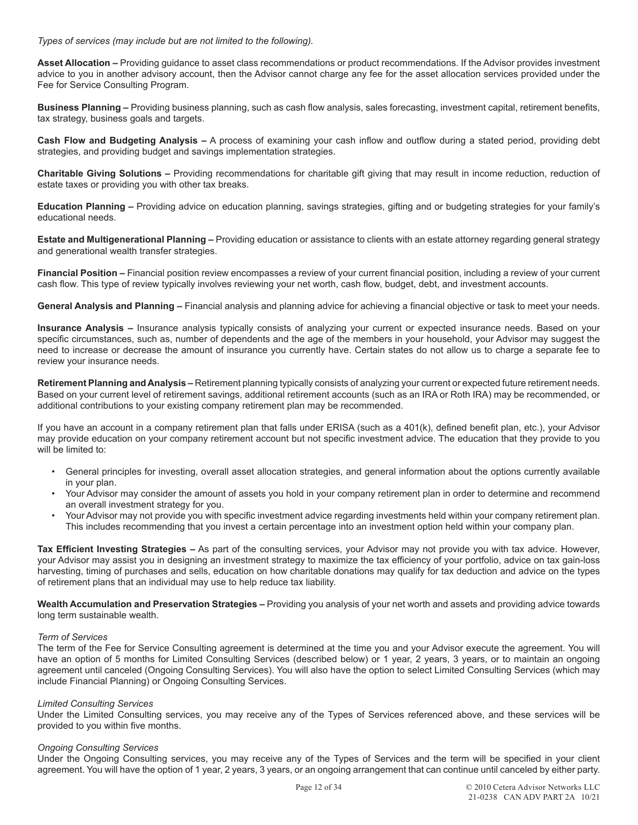*Types of services (may include but are not limited to the following).*

**Asset Allocation –** Providing guidance to asset class recommendations or product recommendations. If the Advisor provides investment advice to you in another advisory account, then the Advisor cannot charge any fee for the asset allocation services provided under the Fee for Service Consulting Program.

**Business Planning –** Providing business planning, such as cash flow analysis, sales forecasting, investment capital, retirement benefits, tax strategy, business goals and targets.

**Cash Flow and Budgeting Analysis –** A process of examining your cash inflow and outflow during a stated period, providing debt strategies, and providing budget and savings implementation strategies.

**Charitable Giving Solutions –** Providing recommendations for charitable gift giving that may result in income reduction, reduction of estate taxes or providing you with other tax breaks.

**Education Planning –** Providing advice on education planning, savings strategies, gifting and or budgeting strategies for your family's educational needs.

**Estate and Multigenerational Planning –** Providing education or assistance to clients with an estate attorney regarding general strategy and generational wealth transfer strategies.

**Financial Position –** Financial position review encompasses a review of your current financial position, including a review of your current cash flow. This type of review typically involves reviewing your net worth, cash flow, budget, debt, and investment accounts.

**General Analysis and Planning –** Financial analysis and planning advice for achieving a financial objective or task to meet your needs.

**Insurance Analysis –** Insurance analysis typically consists of analyzing your current or expected insurance needs. Based on your specific circumstances, such as, number of dependents and the age of the members in your household, your Advisor may suggest the need to increase or decrease the amount of insurance you currently have. Certain states do not allow us to charge a separate fee to review your insurance needs.

**Retirement Planning and Analysis –** Retirement planning typically consists of analyzing your current or expected future retirement needs. Based on your current level of retirement savings, additional retirement accounts (such as an IRA or Roth IRA) may be recommended, or additional contributions to your existing company retirement plan may be recommended.

If you have an account in a company retirement plan that falls under ERISA (such as a 401(k), defined benefit plan, etc.), your Advisor may provide education on your company retirement account but not specific investment advice. The education that they provide to you will be limited to:

- General principles for investing, overall asset allocation strategies, and general information about the options currently available in your plan.
- Your Advisor may consider the amount of assets you hold in your company retirement plan in order to determine and recommend an overall investment strategy for you.
- Your Advisor may not provide you with specific investment advice regarding investments held within your company retirement plan. This includes recommending that you invest a certain percentage into an investment option held within your company plan.

**Tax Efficient Investing Strategies –** As part of the consulting services, your Advisor may not provide you with tax advice. However, your Advisor may assist you in designing an investment strategy to maximize the tax efficiency of your portfolio, advice on tax gain-loss harvesting, timing of purchases and sells, education on how charitable donations may qualify for tax deduction and advice on the types of retirement plans that an individual may use to help reduce tax liability.

**Wealth Accumulation and Preservation Strategies –** Providing you analysis of your net worth and assets and providing advice towards long term sustainable wealth.

# *Term of Services*

The term of the Fee for Service Consulting agreement is determined at the time you and your Advisor execute the agreement. You will have an option of 5 months for Limited Consulting Services (described below) or 1 year, 2 years, 3 years, or to maintain an ongoing agreement until canceled (Ongoing Consulting Services). You will also have the option to select Limited Consulting Services (which may include Financial Planning) or Ongoing Consulting Services.

# *Limited Consulting Services*

Under the Limited Consulting services, you may receive any of the Types of Services referenced above, and these services will be provided to you within five months.

# *Ongoing Consulting Services*

Under the Ongoing Consulting services, you may receive any of the Types of Services and the term will be specified in your client agreement. You will have the option of 1 year, 2 years, 3 years, or an ongoing arrangement that can continue until canceled by either party.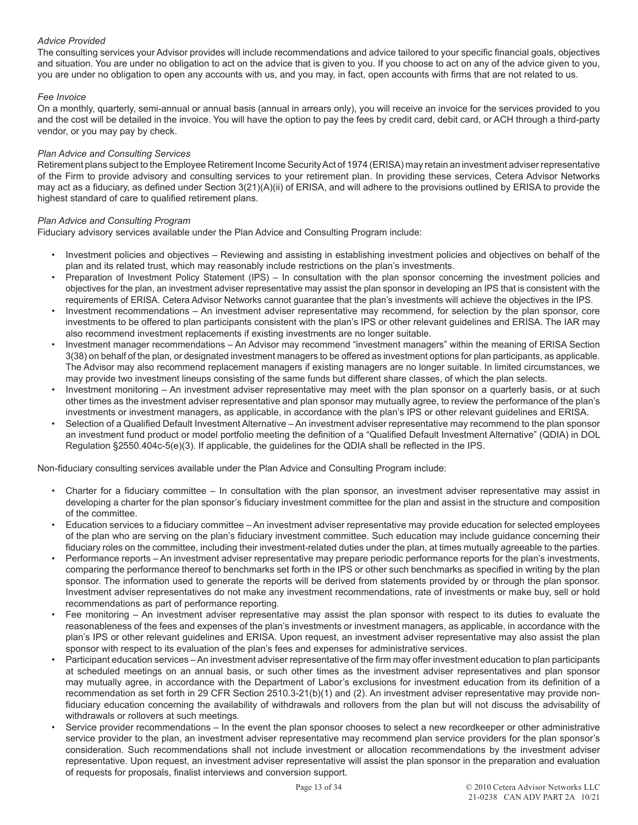# *Advice Provided*

The consulting services your Advisor provides will include recommendations and advice tailored to your specific financial goals, objectives and situation. You are under no obligation to act on the advice that is given to you. If you choose to act on any of the advice given to you, you are under no obligation to open any accounts with us, and you may, in fact, open accounts with firms that are not related to us.

# *Fee Invoice*

On a monthly, quarterly, semi-annual or annual basis (annual in arrears only), you will receive an invoice for the services provided to you and the cost will be detailed in the invoice. You will have the option to pay the fees by credit card, debit card, or ACH through a third-party vendor, or you may pay by check.

## *Plan Advice and Consulting Services*

Retirement plans subject to the Employee Retirement Income Security Act of 1974 (ERISA) may retain an investment adviser representative of the Firm to provide advisory and consulting services to your retirement plan. In providing these services, Cetera Advisor Networks may act as a fiduciary, as defined under Section 3(21)(A)(ii) of ERISA, and will adhere to the provisions outlined by ERISA to provide the highest standard of care to qualified retirement plans.

# *Plan Advice and Consulting Program*

Fiduciary advisory services available under the Plan Advice and Consulting Program include:

- Investment policies and objectives Reviewing and assisting in establishing investment policies and objectives on behalf of the plan and its related trust, which may reasonably include restrictions on the plan's investments.
- Preparation of Investment Policy Statement (IPS) In consultation with the plan sponsor concerning the investment policies and objectives for the plan, an investment adviser representative may assist the plan sponsor in developing an IPS that is consistent with the requirements of ERISA. Cetera Advisor Networks cannot guarantee that the plan's investments will achieve the objectives in the IPS.
- Investment recommendations An investment adviser representative may recommend, for selection by the plan sponsor, core investments to be offered to plan participants consistent with the plan's IPS or other relevant guidelines and ERISA. The IAR may also recommend investment replacements if existing investments are no longer suitable.
- Investment manager recommendations An Advisor may recommend "investment managers" within the meaning of ERISA Section 3(38) on behalf of the plan, or designated investment managers to be offered as investment options for plan participants, as applicable. The Advisor may also recommend replacement managers if existing managers are no longer suitable. In limited circumstances, we may provide two investment lineups consisting of the same funds but different share classes, of which the plan selects.
- Investment monitoring An investment adviser representative may meet with the plan sponsor on a quarterly basis, or at such other times as the investment adviser representative and plan sponsor may mutually agree, to review the performance of the plan's investments or investment managers, as applicable, in accordance with the plan's IPS or other relevant guidelines and ERISA.
- Selection of a Qualified Default Investment Alternative An investment adviser representative may recommend to the plan sponsor an investment fund product or model portfolio meeting the definition of a "Qualified Default Investment Alternative" (QDIA) in DOL Regulation §2550.404c-5(e)(3). If applicable, the guidelines for the QDIA shall be reflected in the IPS.

Non-fiduciary consulting services available under the Plan Advice and Consulting Program include:

- Charter for a fiduciary committee In consultation with the plan sponsor, an investment adviser representative may assist in developing a charter for the plan sponsor's fiduciary investment committee for the plan and assist in the structure and composition of the committee.
- Education services to a fiduciary committee An investment adviser representative may provide education for selected employees of the plan who are serving on the plan's fiduciary investment committee. Such education may include guidance concerning their fiduciary roles on the committee, including their investment-related duties under the plan, at times mutually agreeable to the parties.
- Performance reports An investment adviser representative may prepare periodic performance reports for the plan's investments, comparing the performance thereof to benchmarks set forth in the IPS or other such benchmarks as specified in writing by the plan sponsor. The information used to generate the reports will be derived from statements provided by or through the plan sponsor. Investment adviser representatives do not make any investment recommendations, rate of investments or make buy, sell or hold recommendations as part of performance reporting.
- Fee monitoring An investment adviser representative may assist the plan sponsor with respect to its duties to evaluate the reasonableness of the fees and expenses of the plan's investments or investment managers, as applicable, in accordance with the plan's IPS or other relevant guidelines and ERISA. Upon request, an investment adviser representative may also assist the plan sponsor with respect to its evaluation of the plan's fees and expenses for administrative services.
- Participant education services An investment adviser representative of the firm may offer investment education to plan participants at scheduled meetings on an annual basis, or such other times as the investment adviser representatives and plan sponsor may mutually agree, in accordance with the Department of Labor's exclusions for investment education from its definition of a recommendation as set forth in 29 CFR Section 2510.3-21(b)(1) and (2). An investment adviser representative may provide nonfiduciary education concerning the availability of withdrawals and rollovers from the plan but will not discuss the advisability of withdrawals or rollovers at such meetings.
- Service provider recommendations In the event the plan sponsor chooses to select a new recordkeeper or other administrative service provider to the plan, an investment adviser representative may recommend plan service providers for the plan sponsor's consideration. Such recommendations shall not include investment or allocation recommendations by the investment adviser representative. Upon request, an investment adviser representative will assist the plan sponsor in the preparation and evaluation of requests for proposals, finalist interviews and conversion support.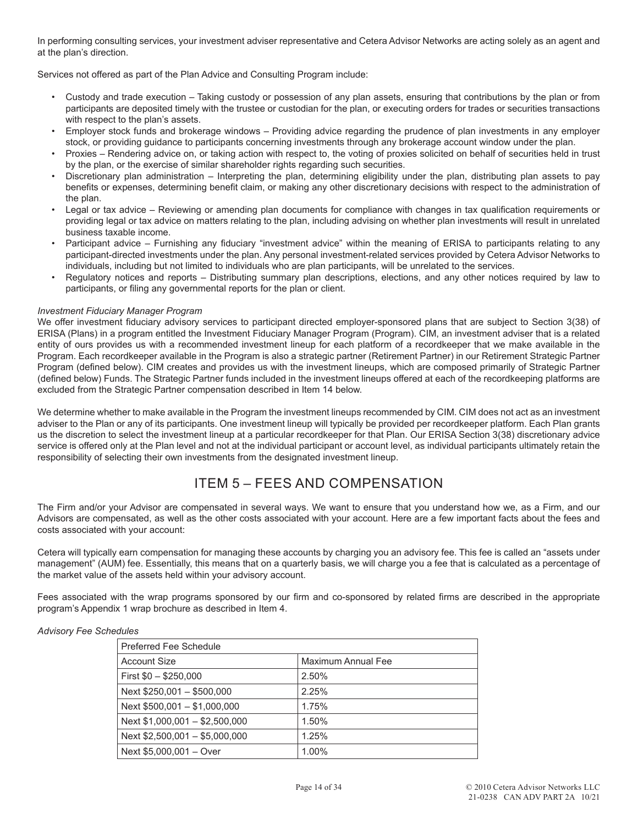In performing consulting services, your investment adviser representative and Cetera Advisor Networks are acting solely as an agent and at the plan's direction.

Services not offered as part of the Plan Advice and Consulting Program include:

- Custody and trade execution Taking custody or possession of any plan assets, ensuring that contributions by the plan or from participants are deposited timely with the trustee or custodian for the plan, or executing orders for trades or securities transactions with respect to the plan's assets.
- Employer stock funds and brokerage windows Providing advice regarding the prudence of plan investments in any employer stock, or providing guidance to participants concerning investments through any brokerage account window under the plan.
- Proxies Rendering advice on, or taking action with respect to, the voting of proxies solicited on behalf of securities held in trust by the plan, or the exercise of similar shareholder rights regarding such securities.
- Discretionary plan administration Interpreting the plan, determining eligibility under the plan, distributing plan assets to pay benefits or expenses, determining benefit claim, or making any other discretionary decisions with respect to the administration of the plan.
- Legal or tax advice Reviewing or amending plan documents for compliance with changes in tax qualification requirements or providing legal or tax advice on matters relating to the plan, including advising on whether plan investments will result in unrelated business taxable income.
- Participant advice Furnishing any fiduciary "investment advice" within the meaning of ERISA to participants relating to any participant-directed investments under the plan. Any personal investment-related services provided by Cetera Advisor Networks to individuals, including but not limited to individuals who are plan participants, will be unrelated to the services.
- Regulatory notices and reports Distributing summary plan descriptions, elections, and any other notices required by law to participants, or filing any governmental reports for the plan or client.

# *Investment Fiduciary Manager Program*

We offer investment fiduciary advisory services to participant directed employer-sponsored plans that are subject to Section 3(38) of ERISA (Plans) in a program entitled the Investment Fiduciary Manager Program (Program). CIM, an investment adviser that is a related entity of ours provides us with a recommended investment lineup for each platform of a recordkeeper that we make available in the Program. Each recordkeeper available in the Program is also a strategic partner (Retirement Partner) in our Retirement Strategic Partner Program (defined below). CIM creates and provides us with the investment lineups, which are composed primarily of Strategic Partner (defined below) Funds. The Strategic Partner funds included in the investment lineups offered at each of the recordkeeping platforms are excluded from the Strategic Partner compensation described in Item 14 below.

We determine whether to make available in the Program the investment lineups recommended by CIM. CIM does not act as an investment adviser to the Plan or any of its participants. One investment lineup will typically be provided per recordkeeper platform. Each Plan grants us the discretion to select the investment lineup at a particular recordkeeper for that Plan. Our ERISA Section 3(38) discretionary advice service is offered only at the Plan level and not at the individual participant or account level, as individual participants ultimately retain the responsibility of selecting their own investments from the designated investment lineup.

# ITEM 5 – FEES AND COMPENSATION

The Firm and/or your Advisor are compensated in several ways. We want to ensure that you understand how we, as a Firm, and our Advisors are compensated, as well as the other costs associated with your account. Here are a few important facts about the fees and costs associated with your account:

Cetera will typically earn compensation for managing these accounts by charging you an advisory fee. This fee is called an "assets under management" (AUM) fee. Essentially, this means that on a quarterly basis, we will charge you a fee that is calculated as a percentage of the market value of the assets held within your advisory account.

Fees associated with the wrap programs sponsored by our firm and co-sponsored by related firms are described in the appropriate program's Appendix 1 wrap brochure as described in Item 4.

|  |  | Advisory Fee Schedules |
|--|--|------------------------|
|--|--|------------------------|

| Preferred Fee Schedule         |                    |  |
|--------------------------------|--------------------|--|
| Account Size                   | Maximum Annual Fee |  |
| First $$0 - $250,000$          | 2.50%              |  |
| Next \$250,001 - \$500,000     | 2.25%              |  |
| Next $$500,001 - $1,000,000$   | 1.75%              |  |
| Next $$1,000,001 - $2,500,000$ | 1.50%              |  |
| Next $$2,500,001 - $5,000,000$ | 1.25%              |  |
| Next \$5,000,001 - Over        | 1.00%              |  |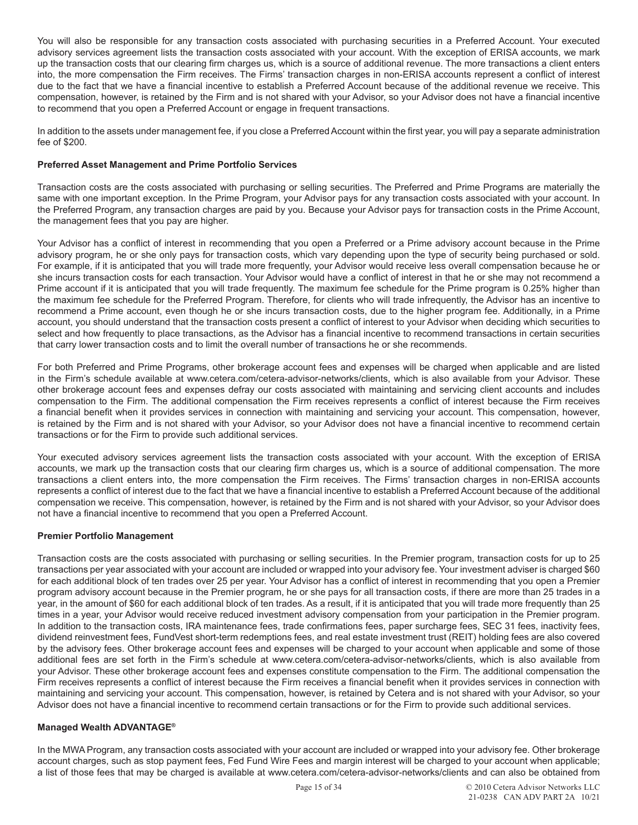You will also be responsible for any transaction costs associated with purchasing securities in a Preferred Account. Your executed advisory services agreement lists the transaction costs associated with your account. With the exception of ERISA accounts, we mark up the transaction costs that our clearing firm charges us, which is a source of additional revenue. The more transactions a client enters into, the more compensation the Firm receives. The Firms' transaction charges in non-ERISA accounts represent a conflict of interest due to the fact that we have a financial incentive to establish a Preferred Account because of the additional revenue we receive. This compensation, however, is retained by the Firm and is not shared with your Advisor, so your Advisor does not have a financial incentive to recommend that you open a Preferred Account or engage in frequent transactions.

In addition to the assets under management fee, if you close a Preferred Account within the first year, you will pay a separate administration fee of \$200.

# **Preferred Asset Management and Prime Portfolio Services**

Transaction costs are the costs associated with purchasing or selling securities. The Preferred and Prime Programs are materially the same with one important exception. In the Prime Program, your Advisor pays for any transaction costs associated with your account. In the Preferred Program, any transaction charges are paid by you. Because your Advisor pays for transaction costs in the Prime Account, the management fees that you pay are higher.

Your Advisor has a conflict of interest in recommending that you open a Preferred or a Prime advisory account because in the Prime advisory program, he or she only pays for transaction costs, which vary depending upon the type of security being purchased or sold. For example, if it is anticipated that you will trade more frequently, your Advisor would receive less overall compensation because he or she incurs transaction costs for each transaction. Your Advisor would have a conflict of interest in that he or she may not recommend a Prime account if it is anticipated that you will trade frequently. The maximum fee schedule for the Prime program is 0.25% higher than the maximum fee schedule for the Preferred Program. Therefore, for clients who will trade infrequently, the Advisor has an incentive to recommend a Prime account, even though he or she incurs transaction costs, due to the higher program fee. Additionally, in a Prime account, you should understand that the transaction costs present a conflict of interest to your Advisor when deciding which securities to select and how frequently to place transactions, as the Advisor has a financial incentive to recommend transactions in certain securities that carry lower transaction costs and to limit the overall number of transactions he or she recommends.

For both Preferred and Prime Programs, other brokerage account fees and expenses will be charged when applicable and are listed in the Firm's schedule available at www.cetera.com/cetera-advisor-networks/clients, which is also available from your Advisor. These other brokerage account fees and expenses defray our costs associated with maintaining and servicing client accounts and includes compensation to the Firm. The additional compensation the Firm receives represents a conflict of interest because the Firm receives a financial benefit when it provides services in connection with maintaining and servicing your account. This compensation, however, is retained by the Firm and is not shared with your Advisor, so your Advisor does not have a financial incentive to recommend certain transactions or for the Firm to provide such additional services.

Your executed advisory services agreement lists the transaction costs associated with your account. With the exception of ERISA accounts, we mark up the transaction costs that our clearing firm charges us, which is a source of additional compensation. The more transactions a client enters into, the more compensation the Firm receives. The Firms' transaction charges in non-ERISA accounts represents a conflict of interest due to the fact that we have a financial incentive to establish a Preferred Account because of the additional compensation we receive. This compensation, however, is retained by the Firm and is not shared with your Advisor, so your Advisor does not have a financial incentive to recommend that you open a Preferred Account.

# **Premier Portfolio Management**

Transaction costs are the costs associated with purchasing or selling securities. In the Premier program, transaction costs for up to 25 transactions per year associated with your account are included or wrapped into your advisory fee. Your investment adviser is charged \$60 for each additional block of ten trades over 25 per year. Your Advisor has a conflict of interest in recommending that you open a Premier program advisory account because in the Premier program, he or she pays for all transaction costs, if there are more than 25 trades in a year, in the amount of \$60 for each additional block of ten trades. As a result, if it is anticipated that you will trade more frequently than 25 times in a year, your Advisor would receive reduced investment advisory compensation from your participation in the Premier program. In addition to the transaction costs, IRA maintenance fees, trade confirmations fees, paper surcharge fees, SEC 31 fees, inactivity fees, dividend reinvestment fees, FundVest short-term redemptions fees, and real estate investment trust (REIT) holding fees are also covered by the advisory fees. Other brokerage account fees and expenses will be charged to your account when applicable and some of those additional fees are set forth in the Firm's schedule at www.cetera.com/cetera-advisor-networks/clients, which is also available from your Advisor. These other brokerage account fees and expenses constitute compensation to the Firm. The additional compensation the Firm receives represents a conflict of interest because the Firm receives a financial benefit when it provides services in connection with maintaining and servicing your account. This compensation, however, is retained by Cetera and is not shared with your Advisor, so your Advisor does not have a financial incentive to recommend certain transactions or for the Firm to provide such additional services.

# **Managed Wealth ADVANTAGE®**

In the MWA Program, any transaction costs associated with your account are included or wrapped into your advisory fee. Other brokerage account charges, such as stop payment fees, Fed Fund Wire Fees and margin interest will be charged to your account when applicable; a list of those fees that may be charged is available at www.cetera.com/cetera-advisor-networks/clients and can also be obtained from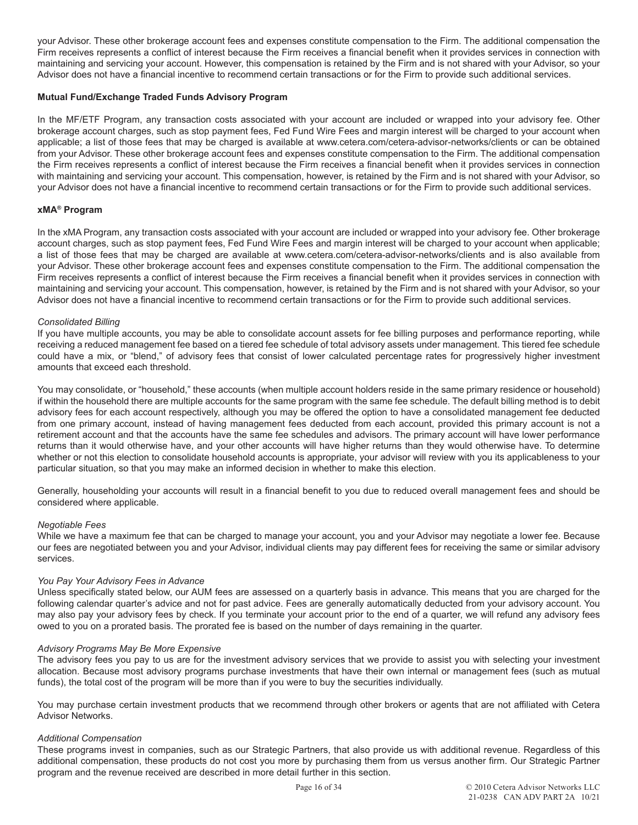your Advisor. These other brokerage account fees and expenses constitute compensation to the Firm. The additional compensation the Firm receives represents a conflict of interest because the Firm receives a financial benefit when it provides services in connection with maintaining and servicing your account. However, this compensation is retained by the Firm and is not shared with your Advisor, so your Advisor does not have a financial incentive to recommend certain transactions or for the Firm to provide such additional services.

# **Mutual Fund/Exchange Traded Funds Advisory Program**

In the MF/ETF Program, any transaction costs associated with your account are included or wrapped into your advisory fee. Other brokerage account charges, such as stop payment fees, Fed Fund Wire Fees and margin interest will be charged to your account when applicable; a list of those fees that may be charged is available at www.cetera.com/cetera-advisor-networks/clients or can be obtained from your Advisor. These other brokerage account fees and expenses constitute compensation to the Firm. The additional compensation the Firm receives represents a conflict of interest because the Firm receives a financial benefit when it provides services in connection with maintaining and servicing your account. This compensation, however, is retained by the Firm and is not shared with your Advisor, so your Advisor does not have a financial incentive to recommend certain transactions or for the Firm to provide such additional services.

# **xMA® Program**

In the xMA Program, any transaction costs associated with your account are included or wrapped into your advisory fee. Other brokerage account charges, such as stop payment fees, Fed Fund Wire Fees and margin interest will be charged to your account when applicable; a list of those fees that may be charged are available at www.cetera.com/cetera-advisor-networks/clients and is also available from your Advisor. These other brokerage account fees and expenses constitute compensation to the Firm. The additional compensation the Firm receives represents a conflict of interest because the Firm receives a financial benefit when it provides services in connection with maintaining and servicing your account. This compensation, however, is retained by the Firm and is not shared with your Advisor, so your Advisor does not have a financial incentive to recommend certain transactions or for the Firm to provide such additional services.

# *Consolidated Billing*

If you have multiple accounts, you may be able to consolidate account assets for fee billing purposes and performance reporting, while receiving a reduced management fee based on a tiered fee schedule of total advisory assets under management. This tiered fee schedule could have a mix, or "blend," of advisory fees that consist of lower calculated percentage rates for progressively higher investment amounts that exceed each threshold.

You may consolidate, or "household," these accounts (when multiple account holders reside in the same primary residence or household) if within the household there are multiple accounts for the same program with the same fee schedule. The default billing method is to debit advisory fees for each account respectively, although you may be offered the option to have a consolidated management fee deducted from one primary account, instead of having management fees deducted from each account, provided this primary account is not a retirement account and that the accounts have the same fee schedules and advisors. The primary account will have lower performance returns than it would otherwise have, and your other accounts will have higher returns than they would otherwise have. To determine whether or not this election to consolidate household accounts is appropriate, your advisor will review with you its applicableness to your particular situation, so that you may make an informed decision in whether to make this election.

Generally, householding your accounts will result in a financial benefit to you due to reduced overall management fees and should be considered where applicable.

# *Negotiable Fees*

While we have a maximum fee that can be charged to manage your account, you and your Advisor may negotiate a lower fee. Because our fees are negotiated between you and your Advisor, individual clients may pay different fees for receiving the same or similar advisory services.

# *You Pay Your Advisory Fees in Advance*

Unless specifically stated below, our AUM fees are assessed on a quarterly basis in advance. This means that you are charged for the following calendar quarter's advice and not for past advice. Fees are generally automatically deducted from your advisory account. You may also pay your advisory fees by check. If you terminate your account prior to the end of a quarter, we will refund any advisory fees owed to you on a prorated basis. The prorated fee is based on the number of days remaining in the quarter.

# *Advisory Programs May Be More Expensive*

The advisory fees you pay to us are for the investment advisory services that we provide to assist you with selecting your investment allocation. Because most advisory programs purchase investments that have their own internal or management fees (such as mutual funds), the total cost of the program will be more than if you were to buy the securities individually.

You may purchase certain investment products that we recommend through other brokers or agents that are not affiliated with Cetera Advisor Networks.

# *Additional Compensation*

These programs invest in companies, such as our Strategic Partners, that also provide us with additional revenue. Regardless of this additional compensation, these products do not cost you more by purchasing them from us versus another firm. Our Strategic Partner program and the revenue received are described in more detail further in this section.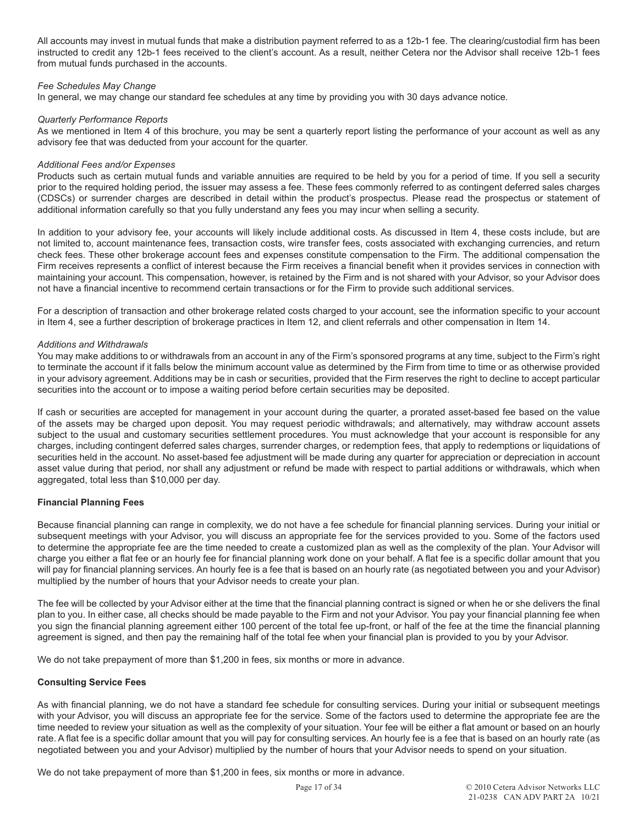All accounts may invest in mutual funds that make a distribution payment referred to as a 12b-1 fee. The clearing/custodial firm has been instructed to credit any 12b-1 fees received to the client's account. As a result, neither Cetera nor the Advisor shall receive 12b-1 fees from mutual funds purchased in the accounts.

# *Fee Schedules May Change*

In general, we may change our standard fee schedules at any time by providing you with 30 days advance notice.

# *Quarterly Performance Reports*

As we mentioned in Item 4 of this brochure, you may be sent a quarterly report listing the performance of your account as well as any advisory fee that was deducted from your account for the quarter.

# *Additional Fees and/or Expenses*

Products such as certain mutual funds and variable annuities are required to be held by you for a period of time. If you sell a security prior to the required holding period, the issuer may assess a fee. These fees commonly referred to as contingent deferred sales charges (CDSCs) or surrender charges are described in detail within the product's prospectus. Please read the prospectus or statement of additional information carefully so that you fully understand any fees you may incur when selling a security.

In addition to your advisory fee, your accounts will likely include additional costs. As discussed in Item 4, these costs include, but are not limited to, account maintenance fees, transaction costs, wire transfer fees, costs associated with exchanging currencies, and return check fees. These other brokerage account fees and expenses constitute compensation to the Firm. The additional compensation the Firm receives represents a conflict of interest because the Firm receives a financial benefit when it provides services in connection with maintaining your account. This compensation, however, is retained by the Firm and is not shared with your Advisor, so your Advisor does not have a financial incentive to recommend certain transactions or for the Firm to provide such additional services.

For a description of transaction and other brokerage related costs charged to your account, see the information specific to your account in Item 4, see a further description of brokerage practices in Item 12, and client referrals and other compensation in Item 14.

# *Additions and Withdrawals*

You may make additions to or withdrawals from an account in any of the Firm's sponsored programs at any time, subject to the Firm's right to terminate the account if it falls below the minimum account value as determined by the Firm from time to time or as otherwise provided in your advisory agreement. Additions may be in cash or securities, provided that the Firm reserves the right to decline to accept particular securities into the account or to impose a waiting period before certain securities may be deposited.

If cash or securities are accepted for management in your account during the quarter, a prorated asset-based fee based on the value of the assets may be charged upon deposit. You may request periodic withdrawals; and alternatively, may withdraw account assets subject to the usual and customary securities settlement procedures. You must acknowledge that your account is responsible for any charges, including contingent deferred sales charges, surrender charges, or redemption fees, that apply to redemptions or liquidations of securities held in the account. No asset-based fee adjustment will be made during any quarter for appreciation or depreciation in account asset value during that period, nor shall any adjustment or refund be made with respect to partial additions or withdrawals, which when aggregated, total less than \$10,000 per day.

# **Financial Planning Fees**

Because financial planning can range in complexity, we do not have a fee schedule for financial planning services. During your initial or subsequent meetings with your Advisor, you will discuss an appropriate fee for the services provided to you. Some of the factors used to determine the appropriate fee are the time needed to create a customized plan as well as the complexity of the plan. Your Advisor will charge you either a flat fee or an hourly fee for financial planning work done on your behalf. A flat fee is a specific dollar amount that you will pay for financial planning services. An hourly fee is a fee that is based on an hourly rate (as negotiated between you and your Advisor) multiplied by the number of hours that your Advisor needs to create your plan.

The fee will be collected by your Advisor either at the time that the financial planning contract is signed or when he or she delivers the final plan to you. In either case, all checks should be made payable to the Firm and not your Advisor. You pay your financial planning fee when you sign the financial planning agreement either 100 percent of the total fee up-front, or half of the fee at the time the financial planning agreement is signed, and then pay the remaining half of the total fee when your financial plan is provided to you by your Advisor.

We do not take prepayment of more than \$1,200 in fees, six months or more in advance.

# **Consulting Service Fees**

As with financial planning, we do not have a standard fee schedule for consulting services. During your initial or subsequent meetings with your Advisor, you will discuss an appropriate fee for the service. Some of the factors used to determine the appropriate fee are the time needed to review your situation as well as the complexity of your situation. Your fee will be either a flat amount or based on an hourly rate. A flat fee is a specific dollar amount that you will pay for consulting services. An hourly fee is a fee that is based on an hourly rate (as negotiated between you and your Advisor) multiplied by the number of hours that your Advisor needs to spend on your situation.

We do not take prepayment of more than \$1,200 in fees, six months or more in advance.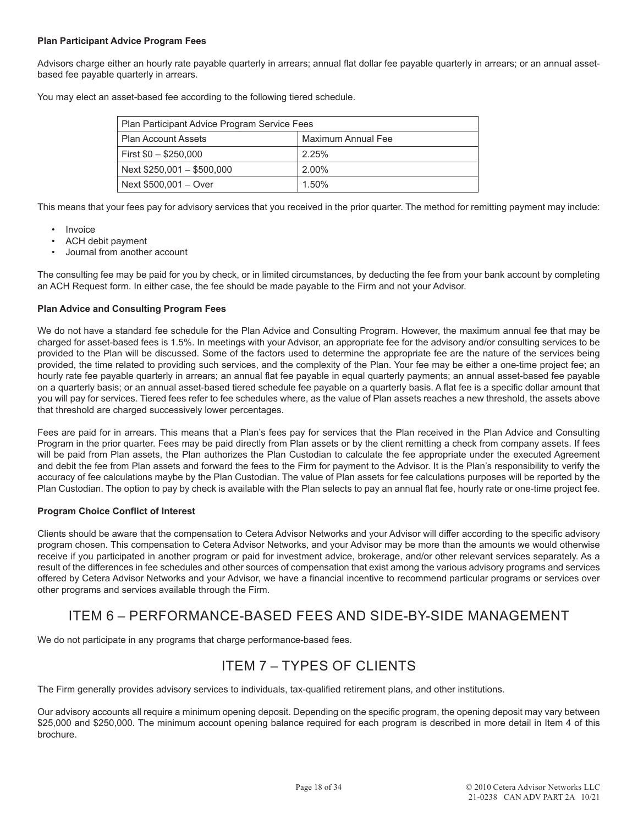# **Plan Participant Advice Program Fees**

Advisors charge either an hourly rate payable quarterly in arrears; annual flat dollar fee payable quarterly in arrears; or an annual assetbased fee payable quarterly in arrears.

You may elect an asset-based fee according to the following tiered schedule.

| Plan Participant Advice Program Service Fees     |       |  |
|--------------------------------------------------|-------|--|
| Maximum Annual Fee<br><b>Plan Account Assets</b> |       |  |
| First $$0 - $250,000$                            | 2.25% |  |
| Next \$250,001 - \$500,000                       | 2.00% |  |
| Next \$500,001 - Over                            | 1.50% |  |

This means that your fees pay for advisory services that you received in the prior quarter. The method for remitting payment may include:

- Invoice
- ACH debit payment
- Journal from another account

The consulting fee may be paid for you by check, or in limited circumstances, by deducting the fee from your bank account by completing an ACH Request form. In either case, the fee should be made payable to the Firm and not your Advisor.

# **Plan Advice and Consulting Program Fees**

We do not have a standard fee schedule for the Plan Advice and Consulting Program. However, the maximum annual fee that may be charged for asset-based fees is 1.5%. In meetings with your Advisor, an appropriate fee for the advisory and/or consulting services to be provided to the Plan will be discussed. Some of the factors used to determine the appropriate fee are the nature of the services being provided, the time related to providing such services, and the complexity of the Plan. Your fee may be either a one-time project fee; an hourly rate fee payable quarterly in arrears; an annual flat fee payable in equal quarterly payments; an annual asset-based fee payable on a quarterly basis; or an annual asset-based tiered schedule fee payable on a quarterly basis. A flat fee is a specific dollar amount that you will pay for services. Tiered fees refer to fee schedules where, as the value of Plan assets reaches a new threshold, the assets above that threshold are charged successively lower percentages.

Fees are paid for in arrears. This means that a Plan's fees pay for services that the Plan received in the Plan Advice and Consulting Program in the prior quarter. Fees may be paid directly from Plan assets or by the client remitting a check from company assets. If fees will be paid from Plan assets, the Plan authorizes the Plan Custodian to calculate the fee appropriate under the executed Agreement and debit the fee from Plan assets and forward the fees to the Firm for payment to the Advisor. It is the Plan's responsibility to verify the accuracy of fee calculations maybe by the Plan Custodian. The value of Plan assets for fee calculations purposes will be reported by the Plan Custodian. The option to pay by check is available with the Plan selects to pay an annual flat fee, hourly rate or one-time project fee.

# **Program Choice Conflict of Interest**

Clients should be aware that the compensation to Cetera Advisor Networks and your Advisor will differ according to the specific advisory program chosen. This compensation to Cetera Advisor Networks, and your Advisor may be more than the amounts we would otherwise receive if you participated in another program or paid for investment advice, brokerage, and/or other relevant services separately. As a result of the differences in fee schedules and other sources of compensation that exist among the various advisory programs and services offered by Cetera Advisor Networks and your Advisor, we have a financial incentive to recommend particular programs or services over other programs and services available through the Firm.

# ITEM 6 – PERFORMANCE-BASED FEES AND SIDE-BY-SIDE MANAGEMENT

We do not participate in any programs that charge performance-based fees.

# ITEM 7 – TYPES OF CLIENTS

The Firm generally provides advisory services to individuals, tax-qualified retirement plans, and other institutions.

Our advisory accounts all require a minimum opening deposit. Depending on the specific program, the opening deposit may vary between \$25,000 and \$250,000. The minimum account opening balance required for each program is described in more detail in Item 4 of this brochure.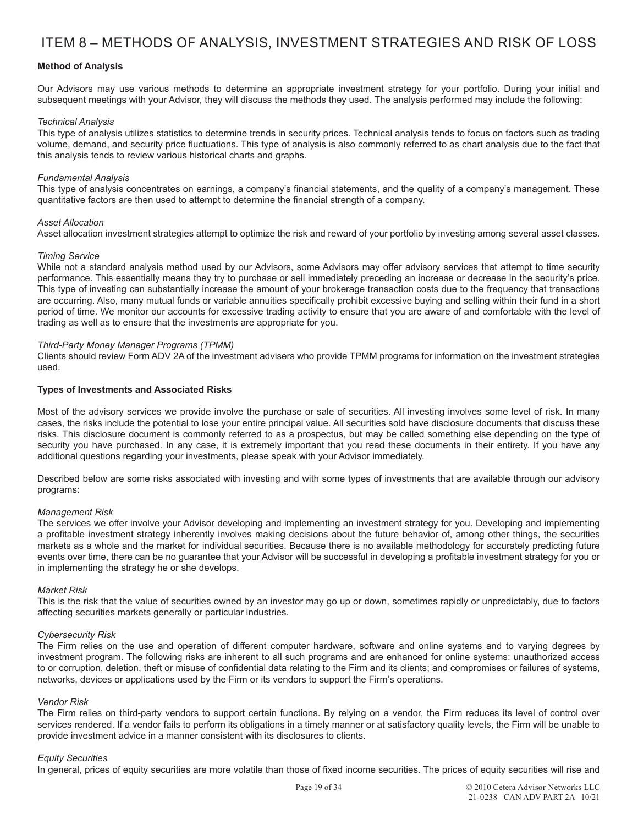# **Method of Analysis**

Our Advisors may use various methods to determine an appropriate investment strategy for your portfolio. During your initial and subsequent meetings with your Advisor, they will discuss the methods they used. The analysis performed may include the following:

#### *Technical Analysis*

This type of analysis utilizes statistics to determine trends in security prices. Technical analysis tends to focus on factors such as trading volume, demand, and security price fluctuations. This type of analysis is also commonly referred to as chart analysis due to the fact that this analysis tends to review various historical charts and graphs.

#### *Fundamental Analysis*

This type of analysis concentrates on earnings, a company's financial statements, and the quality of a company's management. These quantitative factors are then used to attempt to determine the financial strength of a company.

#### *Asset Allocation*

Asset allocation investment strategies attempt to optimize the risk and reward of your portfolio by investing among several asset classes.

#### *Timing Service*

While not a standard analysis method used by our Advisors, some Advisors may offer advisory services that attempt to time security performance. This essentially means they try to purchase or sell immediately preceding an increase or decrease in the security's price. This type of investing can substantially increase the amount of your brokerage transaction costs due to the frequency that transactions are occurring. Also, many mutual funds or variable annuities specifically prohibit excessive buying and selling within their fund in a short period of time. We monitor our accounts for excessive trading activity to ensure that you are aware of and comfortable with the level of trading as well as to ensure that the investments are appropriate for you.

#### *Third-Party Money Manager Programs (TPMM)*

Clients should review Form ADV 2A of the investment advisers who provide TPMM programs for information on the investment strategies used.

#### **Types of Investments and Associated Risks**

Most of the advisory services we provide involve the purchase or sale of securities. All investing involves some level of risk. In many cases, the risks include the potential to lose your entire principal value. All securities sold have disclosure documents that discuss these risks. This disclosure document is commonly referred to as a prospectus, but may be called something else depending on the type of security you have purchased. In any case, it is extremely important that you read these documents in their entirety. If you have any additional questions regarding your investments, please speak with your Advisor immediately.

Described below are some risks associated with investing and with some types of investments that are available through our advisory programs:

#### *Management Risk*

The services we offer involve your Advisor developing and implementing an investment strategy for you. Developing and implementing a profitable investment strategy inherently involves making decisions about the future behavior of, among other things, the securities markets as a whole and the market for individual securities. Because there is no available methodology for accurately predicting future events over time, there can be no guarantee that your Advisor will be successful in developing a profitable investment strategy for you or in implementing the strategy he or she develops.

#### *Market Risk*

This is the risk that the value of securities owned by an investor may go up or down, sometimes rapidly or unpredictably, due to factors affecting securities markets generally or particular industries.

#### *Cybersecurity Risk*

The Firm relies on the use and operation of different computer hardware, software and online systems and to varying degrees by investment program. The following risks are inherent to all such programs and are enhanced for online systems: unauthorized access to or corruption, deletion, theft or misuse of confidential data relating to the Firm and its clients; and compromises or failures of systems, networks, devices or applications used by the Firm or its vendors to support the Firm's operations.

#### *Vendor Risk*

The Firm relies on third-party vendors to support certain functions. By relying on a vendor, the Firm reduces its level of control over services rendered. If a vendor fails to perform its obligations in a timely manner or at satisfactory quality levels, the Firm will be unable to provide investment advice in a manner consistent with its disclosures to clients.

#### *Equity Securities*

In general, prices of equity securities are more volatile than those of fixed income securities. The prices of equity securities will rise and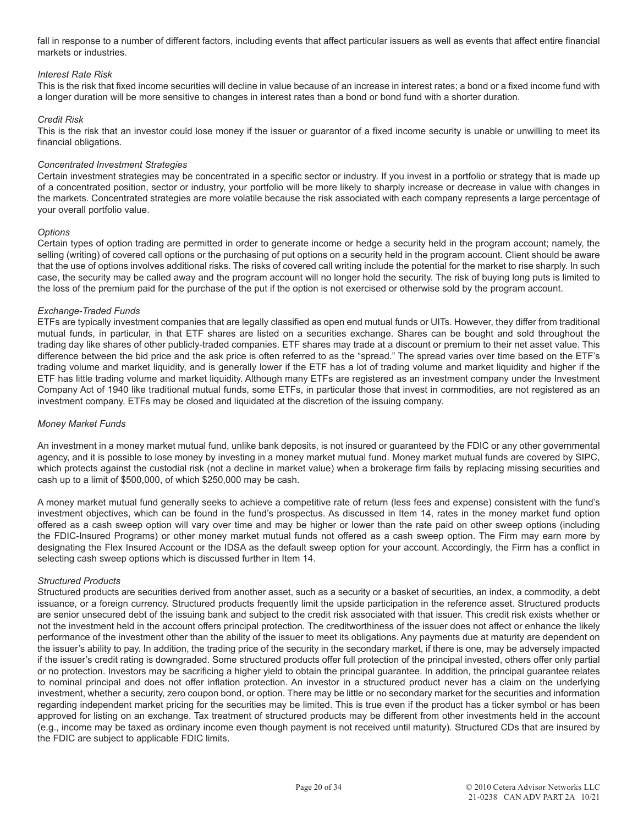fall in response to a number of different factors, including events that affect particular issuers as well as events that affect entire financial markets or industries.

# *Interest Rate Risk*

This is the risk that fixed income securities will decline in value because of an increase in interest rates; a bond or a fixed income fund with a longer duration will be more sensitive to changes in interest rates than a bond or bond fund with a shorter duration.

#### *Credit Risk*

This is the risk that an investor could lose money if the issuer or guarantor of a fixed income security is unable or unwilling to meet its financial obligations.

#### *Concentrated Investment Strategies*

Certain investment strategies may be concentrated in a specific sector or industry. If you invest in a portfolio or strategy that is made up of a concentrated position, sector or industry, your portfolio will be more likely to sharply increase or decrease in value with changes in the markets. Concentrated strategies are more volatile because the risk associated with each company represents a large percentage of your overall portfolio value.

#### *Options*

Certain types of option trading are permitted in order to generate income or hedge a security held in the program account; namely, the selling (writing) of covered call options or the purchasing of put options on a security held in the program account. Client should be aware that the use of options involves additional risks. The risks of covered call writing include the potential for the market to rise sharply. In such case, the security may be called away and the program account will no longer hold the security. The risk of buying long puts is limited to the loss of the premium paid for the purchase of the put if the option is not exercised or otherwise sold by the program account.

# *Exchange-Traded Funds*

ETFs are typically investment companies that are legally classified as open end mutual funds or UITs. However, they differ from traditional mutual funds, in particular, in that ETF shares are listed on a securities exchange. Shares can be bought and sold throughout the trading day like shares of other publicly-traded companies. ETF shares may trade at a discount or premium to their net asset value. This difference between the bid price and the ask price is often referred to as the "spread." The spread varies over time based on the ETF's trading volume and market liquidity, and is generally lower if the ETF has a lot of trading volume and market liquidity and higher if the ETF has little trading volume and market liquidity. Although many ETFs are registered as an investment company under the Investment Company Act of 1940 like traditional mutual funds, some ETFs, in particular those that invest in commodities, are not registered as an investment company. ETFs may be closed and liquidated at the discretion of the issuing company.

# *Money Market Funds*

An investment in a money market mutual fund, unlike bank deposits, is not insured or guaranteed by the FDIC or any other governmental agency, and it is possible to lose money by investing in a money market mutual fund. Money market mutual funds are covered by SIPC, which protects against the custodial risk (not a decline in market value) when a brokerage firm fails by replacing missing securities and cash up to a limit of \$500,000, of which \$250,000 may be cash.

A money market mutual fund generally seeks to achieve a competitive rate of return (less fees and expense) consistent with the fund's investment objectives, which can be found in the fund's prospectus. As discussed in Item 14, rates in the money market fund option offered as a cash sweep option will vary over time and may be higher or lower than the rate paid on other sweep options (including the FDIC-Insured Programs) or other money market mutual funds not offered as a cash sweep option. The Firm may earn more by designating the Flex Insured Account or the IDSA as the default sweep option for your account. Accordingly, the Firm has a conflict in selecting cash sweep options which is discussed further in Item 14.

#### *Structured Products*

Structured products are securities derived from another asset, such as a security or a basket of securities, an index, a commodity, a debt issuance, or a foreign currency. Structured products frequently limit the upside participation in the reference asset. Structured products are senior unsecured debt of the issuing bank and subject to the credit risk associated with that issuer. This credit risk exists whether or not the investment held in the account offers principal protection. The creditworthiness of the issuer does not affect or enhance the likely performance of the investment other than the ability of the issuer to meet its obligations. Any payments due at maturity are dependent on the issuer's ability to pay. In addition, the trading price of the security in the secondary market, if there is one, may be adversely impacted if the issuer's credit rating is downgraded. Some structured products offer full protection of the principal invested, others offer only partial or no protection. Investors may be sacrificing a higher yield to obtain the principal guarantee. In addition, the principal guarantee relates to nominal principal and does not offer inflation protection. An investor in a structured product never has a claim on the underlying investment, whether a security, zero coupon bond, or option. There may be little or no secondary market for the securities and information regarding independent market pricing for the securities may be limited. This is true even if the product has a ticker symbol or has been approved for listing on an exchange. Tax treatment of structured products may be different from other investments held in the account (e.g., income may be taxed as ordinary income even though payment is not received until maturity). Structured CDs that are insured by the FDIC are subject to applicable FDIC limits.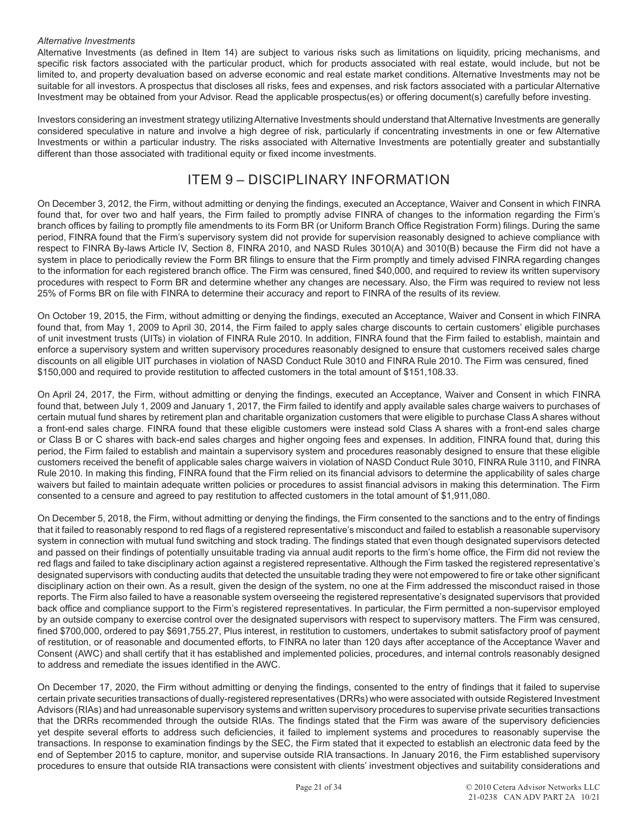# *Alternative Investments*

Alternative Investments (as defined in Item 14) are subject to various risks such as limitations on liquidity, pricing mechanisms, and specific risk factors associated with the particular product, which for products associated with real estate, would include, but not be limited to, and property devaluation based on adverse economic and real estate market conditions. Alternative Investments may not be suitable for all investors. A prospectus that discloses all risks, fees and expenses, and risk factors associated with a particular Alternative Investment may be obtained from your Advisor. Read the applicable prospectus(es) or offering document(s) carefully before investing.

Investors considering an investment strategy utilizing Alternative Investments should understand that Alternative Investments are generally considered speculative in nature and involve a high degree of risk, particularly if concentrating investments in one or few Alternative Investments or within a particular industry. The risks associated with Alternative Investments are potentially greater and substantially different than those associated with traditional equity or fixed income investments.

# ITEM 9 – DISCIPLINARY INFORMATION

On December 3, 2012, the Firm, without admitting or denying the findings, executed an Acceptance, Waiver and Consent in which FINRA found that, for over two and half years, the Firm failed to promptly advise FINRA of changes to the information regarding the Firm's branch offices by failing to promptly file amendments to its Form BR (or Uniform Branch Office Registration Form) filings. During the same period, FINRA found that the Firm's supervisory system did not provide for supervision reasonably designed to achieve compliance with respect to FINRA By-laws Article IV, Section 8, FINRA 2010, and NASD Rules 3010(A) and 3010(B) because the Firm did not have a system in place to periodically review the Form BR filings to ensure that the Firm promptly and timely advised FINRA regarding changes to the information for each registered branch office. The Firm was censured, fined \$40,000, and required to review its written supervisory procedures with respect to Form BR and determine whether any changes are necessary. Also, the Firm was required to review not less 25% of Forms BR on file with FINRA to determine their accuracy and report to FINRA of the results of its review.

On October 19, 2015, the Firm, without admitting or denying the findings, executed an Acceptance, Waiver and Consent in which FINRA found that, from May 1, 2009 to April 30, 2014, the Firm failed to apply sales charge discounts to certain customers' eligible purchases of unit investment trusts (UITs) in violation of FINRA Rule 2010. In addition, FINRA found that the Firm failed to establish, maintain and enforce a supervisory system and written supervisory procedures reasonably designed to ensure that customers received sales charge discounts on all eligible UIT purchases in violation of NASD Conduct Rule 3010 and FINRA Rule 2010. The Firm was censured, fined \$150,000 and required to provide restitution to affected customers in the total amount of \$151,108.33.

On April 24, 2017, the Firm, without admitting or denying the findings, executed an Acceptance, Waiver and Consent in which FINRA found that, between July 1, 2009 and January 1, 2017, the Firm failed to identify and apply available sales charge waivers to purchases of certain mutual fund shares by retirement plan and charitable organization customers that were eligible to purchase Class A shares without a front-end sales charge. FINRA found that these eligible customers were instead sold Class A shares with a front-end sales charge or Class B or C shares with back-end sales charges and higher ongoing fees and expenses. In addition, FINRA found that, during this period, the Firm failed to establish and maintain a supervisory system and procedures reasonably designed to ensure that these eligible customers received the benefit of applicable sales charge waivers in violation of NASD Conduct Rule 3010, FINRA Rule 3110, and FINRA Rule 2010. In making this finding, FINRA found that the Firm relied on its financial advisors to determine the applicability of sales charge waivers but failed to maintain adequate written policies or procedures to assist financial advisors in making this determination. The Firm consented to a censure and agreed to pay restitution to affected customers in the total amount of \$1,911,080.

On December 5, 2018, the Firm, without admitting or denying the findings, the Firm consented to the sanctions and to the entry of findings that it failed to reasonably respond to red flags of a registered representative's misconduct and failed to establish a reasonable supervisory system in connection with mutual fund switching and stock trading. The findings stated that even though designated supervisors detected and passed on their findings of potentially unsuitable trading via annual audit reports to the firm's home office, the Firm did not review the red flags and failed to take disciplinary action against a registered representative. Although the Firm tasked the registered representative's designated supervisors with conducting audits that detected the unsuitable trading they were not empowered to fire or take other significant disciplinary action on their own. As a result, given the design of the system, no one at the Firm addressed the misconduct raised in those reports. The Firm also failed to have a reasonable system overseeing the registered representative's designated supervisors that provided back office and compliance support to the Firm's registered representatives. In particular, the Firm permitted a non-supervisor employed by an outside company to exercise control over the designated supervisors with respect to supervisory matters. The Firm was censured, fined \$700,000, ordered to pay \$691,755.27, Plus interest, in restitution to customers, undertakes to submit satisfactory proof of payment of restitution, or of reasonable and documented efforts, to FINRA no later than 120 days after acceptance of the Acceptance Waver and Consent (AWC) and shall certify that it has established and implemented policies, procedures, and internal controls reasonably designed to address and remediate the issues identified in the AWC.

On December 17, 2020, the Firm without admitting or denying the findings, consented to the entry of findings that it failed to supervise certain private securities transactions of dually-registered representatives (DRRs) who were associated with outside Registered Investment Advisors (RIAs) and had unreasonable supervisory systems and written supervisory procedures to supervise private securities transactions that the DRRs recommended through the outside RIAs. The findings stated that the Firm was aware of the supervisory deficiencies yet despite several efforts to address such deficiencies, it failed to implement systems and procedures to reasonably supervise the transactions. In response to examination findings by the SEC, the Firm stated that it expected to establish an electronic data feed by the end of September 2015 to capture, monitor, and supervise outside RIA transactions. In January 2016, the Firm established supervisory procedures to ensure that outside RIA transactions were consistent with clients' investment objectives and suitability considerations and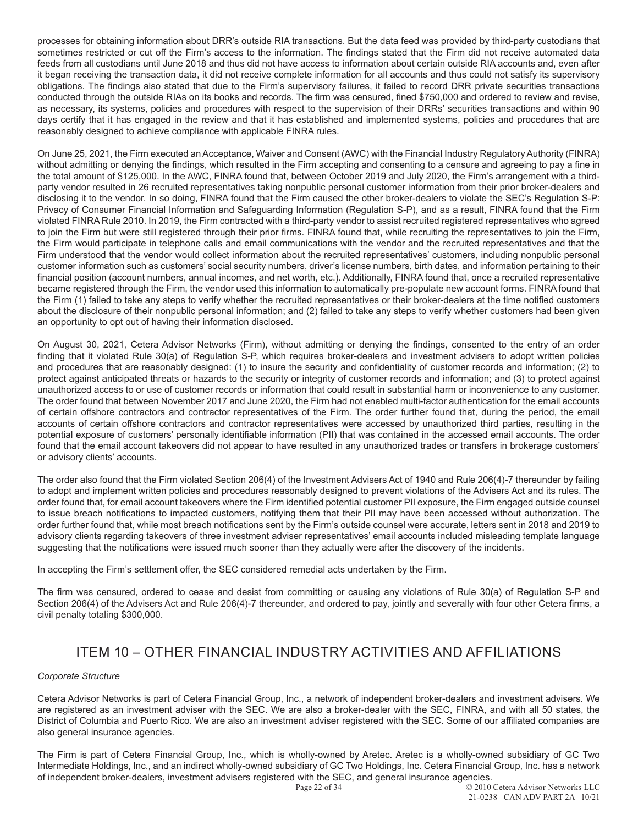processes for obtaining information about DRR's outside RIA transactions. But the data feed was provided by third-party custodians that sometimes restricted or cut off the Firm's access to the information. The findings stated that the Firm did not receive automated data feeds from all custodians until June 2018 and thus did not have access to information about certain outside RIA accounts and, even after it began receiving the transaction data, it did not receive complete information for all accounts and thus could not satisfy its supervisory obligations. The findings also stated that due to the Firm's supervisory failures, it failed to record DRR private securities transactions conducted through the outside RIAs on its books and records. The firm was censured, fined \$750,000 and ordered to review and revise, as necessary, its systems, policies and procedures with respect to the supervision of their DRRs' securities transactions and within 90 days certify that it has engaged in the review and that it has established and implemented systems, policies and procedures that are reasonably designed to achieve compliance with applicable FINRA rules.

On June 25, 2021, the Firm executed an Acceptance, Waiver and Consent (AWC) with the Financial Industry Regulatory Authority (FINRA) without admitting or denying the findings, which resulted in the Firm accepting and consenting to a censure and agreeing to pay a fine in the total amount of \$125,000. In the AWC, FINRA found that, between October 2019 and July 2020, the Firm's arrangement with a thirdparty vendor resulted in 26 recruited representatives taking nonpublic personal customer information from their prior broker-dealers and disclosing it to the vendor. In so doing, FINRA found that the Firm caused the other broker-dealers to violate the SEC's Regulation S-P: Privacy of Consumer Financial Information and Safeguarding Information (Regulation S-P), and as a result, FINRA found that the Firm violated FINRA Rule 2010. In 2019, the Firm contracted with a third-party vendor to assist recruited registered representatives who agreed to join the Firm but were still registered through their prior firms. FINRA found that, while recruiting the representatives to join the Firm, the Firm would participate in telephone calls and email communications with the vendor and the recruited representatives and that the Firm understood that the vendor would collect information about the recruited representatives' customers, including nonpublic personal customer information such as customers' social security numbers, driver's license numbers, birth dates, and information pertaining to their financial position (account numbers, annual incomes, and net worth, etc.). Additionally, FINRA found that, once a recruited representative became registered through the Firm, the vendor used this information to automatically pre-populate new account forms. FINRA found that the Firm (1) failed to take any steps to verify whether the recruited representatives or their broker-dealers at the time notified customers about the disclosure of their nonpublic personal information; and (2) failed to take any steps to verify whether customers had been given an opportunity to opt out of having their information disclosed.

On August 30, 2021, Cetera Advisor Networks (Firm), without admitting or denying the findings, consented to the entry of an order finding that it violated Rule 30(a) of Regulation S-P, which requires broker-dealers and investment advisers to adopt written policies and procedures that are reasonably designed: (1) to insure the security and confidentiality of customer records and information; (2) to protect against anticipated threats or hazards to the security or integrity of customer records and information; and (3) to protect against unauthorized access to or use of customer records or information that could result in substantial harm or inconvenience to any customer. The order found that between November 2017 and June 2020, the Firm had not enabled multi-factor authentication for the email accounts of certain offshore contractors and contractor representatives of the Firm. The order further found that, during the period, the email accounts of certain offshore contractors and contractor representatives were accessed by unauthorized third parties, resulting in the potential exposure of customers' personally identifiable information (PII) that was contained in the accessed email accounts. The order found that the email account takeovers did not appear to have resulted in any unauthorized trades or transfers in brokerage customers' or advisory clients' accounts.

The order also found that the Firm violated Section 206(4) of the Investment Advisers Act of 1940 and Rule 206(4)-7 thereunder by failing to adopt and implement written policies and procedures reasonably designed to prevent violations of the Advisers Act and its rules. The order found that, for email account takeovers where the Firm identified potential customer PII exposure, the Firm engaged outside counsel to issue breach notifications to impacted customers, notifying them that their PII may have been accessed without authorization. The order further found that, while most breach notifications sent by the Firm's outside counsel were accurate, letters sent in 2018 and 2019 to advisory clients regarding takeovers of three investment adviser representatives' email accounts included misleading template language suggesting that the notifications were issued much sooner than they actually were after the discovery of the incidents.

In accepting the Firm's settlement offer, the SEC considered remedial acts undertaken by the Firm.

The firm was censured, ordered to cease and desist from committing or causing any violations of Rule 30(a) of Regulation S-P and Section 206(4) of the Advisers Act and Rule 206(4)-7 thereunder, and ordered to pay, jointly and severally with four other Cetera firms, a civil penalty totaling \$300,000.

# ITEM 10 – OTHER FINANCIAL INDUSTRY ACTIVITIES AND AFFILIATIONS

# *Corporate Structure*

Cetera Advisor Networks is part of Cetera Financial Group, Inc., a network of independent broker-dealers and investment advisers. We are registered as an investment adviser with the SEC. We are also a broker-dealer with the SEC, FINRA, and with all 50 states, the District of Columbia and Puerto Rico. We are also an investment adviser registered with the SEC. Some of our affiliated companies are also general insurance agencies.

The Firm is part of Cetera Financial Group, Inc., which is wholly-owned by Aretec. Aretec is a wholly-owned subsidiary of GC Two Intermediate Holdings, Inc., and an indirect wholly-owned subsidiary of GC Two Holdings, Inc. Cetera Financial Group, Inc. has a network of independent broker-dealers, investment advisers registered with the SEC, and general insurance agencies.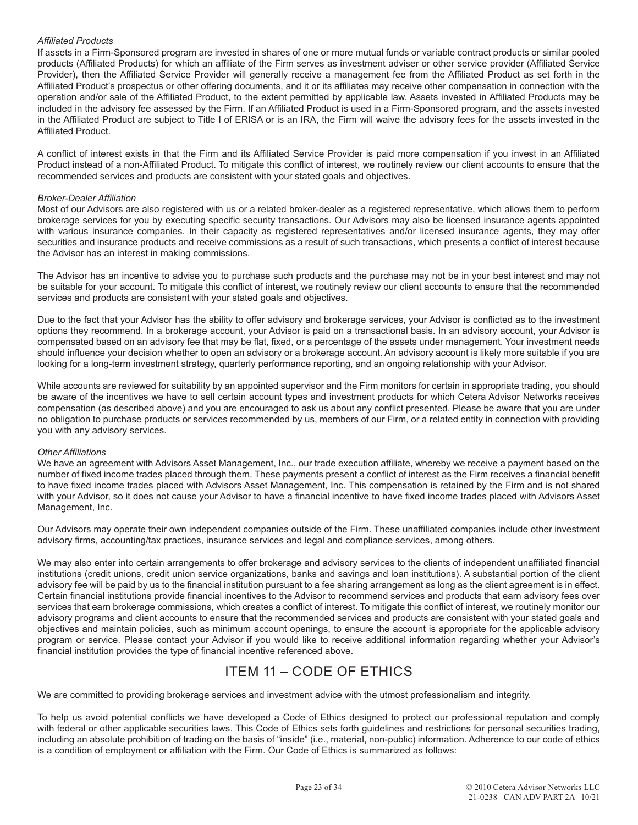# *Affiliated Products*

If assets in a Firm-Sponsored program are invested in shares of one or more mutual funds or variable contract products or similar pooled products (Affiliated Products) for which an affiliate of the Firm serves as investment adviser or other service provider (Affiliated Service Provider), then the Affiliated Service Provider will generally receive a management fee from the Affiliated Product as set forth in the Affiliated Product's prospectus or other offering documents, and it or its affiliates may receive other compensation in connection with the operation and/or sale of the Affiliated Product, to the extent permitted by applicable law. Assets invested in Affiliated Products may be included in the advisory fee assessed by the Firm. If an Affiliated Product is used in a Firm-Sponsored program, and the assets invested in the Affiliated Product are subject to Title I of ERISA or is an IRA, the Firm will waive the advisory fees for the assets invested in the Affiliated Product.

A conflict of interest exists in that the Firm and its Affiliated Service Provider is paid more compensation if you invest in an Affiliated Product instead of a non-Affiliated Product. To mitigate this conflict of interest, we routinely review our client accounts to ensure that the recommended services and products are consistent with your stated goals and objectives.

# *Broker-Dealer Affiliation*

Most of our Advisors are also registered with us or a related broker-dealer as a registered representative, which allows them to perform brokerage services for you by executing specific security transactions. Our Advisors may also be licensed insurance agents appointed with various insurance companies. In their capacity as registered representatives and/or licensed insurance agents, they may offer securities and insurance products and receive commissions as a result of such transactions, which presents a conflict of interest because the Advisor has an interest in making commissions.

The Advisor has an incentive to advise you to purchase such products and the purchase may not be in your best interest and may not be suitable for your account. To mitigate this conflict of interest, we routinely review our client accounts to ensure that the recommended services and products are consistent with your stated goals and objectives.

Due to the fact that your Advisor has the ability to offer advisory and brokerage services, your Advisor is conflicted as to the investment options they recommend. In a brokerage account, your Advisor is paid on a transactional basis. In an advisory account, your Advisor is compensated based on an advisory fee that may be flat, fixed, or a percentage of the assets under management. Your investment needs should influence your decision whether to open an advisory or a brokerage account. An advisory account is likely more suitable if you are looking for a long-term investment strategy, quarterly performance reporting, and an ongoing relationship with your Advisor.

While accounts are reviewed for suitability by an appointed supervisor and the Firm monitors for certain in appropriate trading, you should be aware of the incentives we have to sell certain account types and investment products for which Cetera Advisor Networks receives compensation (as described above) and you are encouraged to ask us about any conflict presented. Please be aware that you are under no obligation to purchase products or services recommended by us, members of our Firm, or a related entity in connection with providing you with any advisory services.

# *Other Affiliations*

We have an agreement with Advisors Asset Management, Inc., our trade execution affiliate, whereby we receive a payment based on the number of fixed income trades placed through them. These payments present a conflict of interest as the Firm receives a financial benefit to have fixed income trades placed with Advisors Asset Management, Inc. This compensation is retained by the Firm and is not shared with your Advisor, so it does not cause your Advisor to have a financial incentive to have fixed income trades placed with Advisors Asset Management, Inc.

Our Advisors may operate their own independent companies outside of the Firm. These unaffiliated companies include other investment advisory firms, accounting/tax practices, insurance services and legal and compliance services, among others.

We may also enter into certain arrangements to offer brokerage and advisory services to the clients of independent unaffiliated financial institutions (credit unions, credit union service organizations, banks and savings and loan institutions). A substantial portion of the client advisory fee will be paid by us to the financial institution pursuant to a fee sharing arrangement as long as the client agreement is in effect. Certain financial institutions provide financial incentives to the Advisor to recommend services and products that earn advisory fees over services that earn brokerage commissions, which creates a conflict of interest. To mitigate this conflict of interest, we routinely monitor our advisory programs and client accounts to ensure that the recommended services and products are consistent with your stated goals and objectives and maintain policies, such as minimum account openings, to ensure the account is appropriate for the applicable advisory program or service. Please contact your Advisor if you would like to receive additional information regarding whether your Advisor's financial institution provides the type of financial incentive referenced above.

# ITEM 11 – CODE OF ETHICS

We are committed to providing brokerage services and investment advice with the utmost professionalism and integrity.

To help us avoid potential conflicts we have developed a Code of Ethics designed to protect our professional reputation and comply with federal or other applicable securities laws. This Code of Ethics sets forth guidelines and restrictions for personal securities trading, including an absolute prohibition of trading on the basis of "inside" (i.e., material, non-public) information. Adherence to our code of ethics is a condition of employment or affiliation with the Firm. Our Code of Ethics is summarized as follows: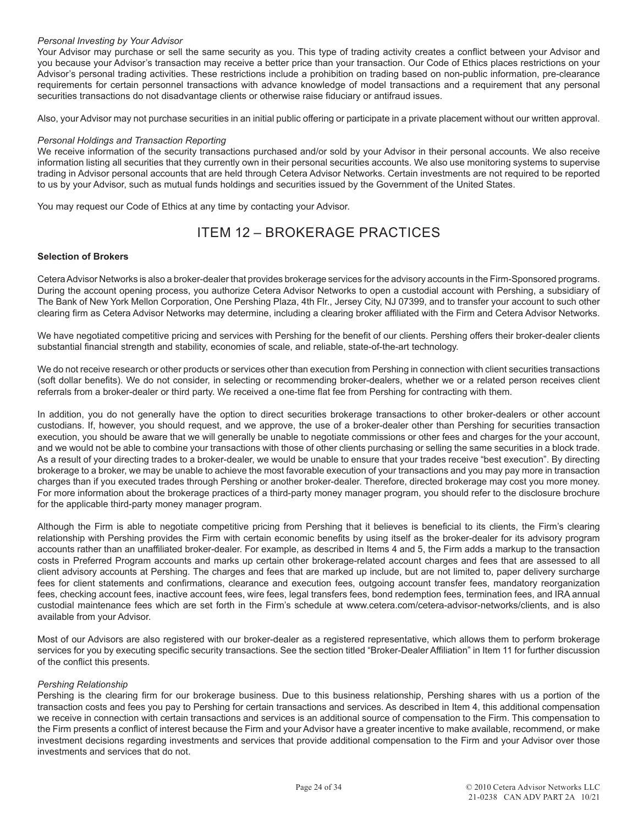## *Personal Investing by Your Advisor*

Your Advisor may purchase or sell the same security as you. This type of trading activity creates a conflict between your Advisor and you because your Advisor's transaction may receive a better price than your transaction. Our Code of Ethics places restrictions on your Advisor's personal trading activities. These restrictions include a prohibition on trading based on non-public information, pre-clearance requirements for certain personnel transactions with advance knowledge of model transactions and a requirement that any personal securities transactions do not disadvantage clients or otherwise raise fiduciary or antifraud issues.

Also, your Advisor may not purchase securities in an initial public offering or participate in a private placement without our written approval.

#### *Personal Holdings and Transaction Reporting*

We receive information of the security transactions purchased and/or sold by your Advisor in their personal accounts. We also receive information listing all securities that they currently own in their personal securities accounts. We also use monitoring systems to supervise trading in Advisor personal accounts that are held through Cetera Advisor Networks. Certain investments are not required to be reported to us by your Advisor, such as mutual funds holdings and securities issued by the Government of the United States.

You may request our Code of Ethics at any time by contacting your Advisor.

# ITEM 12 – BROKERAGE PRACTICES

# **Selection of Brokers**

Cetera Advisor Networks is also a broker-dealer that provides brokerage services for the advisory accounts in the Firm-Sponsored programs. During the account opening process, you authorize Cetera Advisor Networks to open a custodial account with Pershing, a subsidiary of The Bank of New York Mellon Corporation, One Pershing Plaza, 4th Flr., Jersey City, NJ 07399, and to transfer your account to such other clearing firm as Cetera Advisor Networks may determine, including a clearing broker affiliated with the Firm and Cetera Advisor Networks.

We have negotiated competitive pricing and services with Pershing for the benefit of our clients. Pershing offers their broker-dealer clients substantial financial strength and stability, economies of scale, and reliable, state-of-the-art technology.

We do not receive research or other products or services other than execution from Pershing in connection with client securities transactions (soft dollar benefits). We do not consider, in selecting or recommending broker-dealers, whether we or a related person receives client referrals from a broker-dealer or third party. We received a one-time flat fee from Pershing for contracting with them.

In addition, you do not generally have the option to direct securities brokerage transactions to other broker-dealers or other account custodians. If, however, you should request, and we approve, the use of a broker-dealer other than Pershing for securities transaction execution, you should be aware that we will generally be unable to negotiate commissions or other fees and charges for the your account, and we would not be able to combine your transactions with those of other clients purchasing or selling the same securities in a block trade. As a result of your directing trades to a broker-dealer, we would be unable to ensure that your trades receive "best execution". By directing brokerage to a broker, we may be unable to achieve the most favorable execution of your transactions and you may pay more in transaction charges than if you executed trades through Pershing or another broker-dealer. Therefore, directed brokerage may cost you more money. For more information about the brokerage practices of a third-party money manager program, you should refer to the disclosure brochure for the applicable third-party money manager program.

Although the Firm is able to negotiate competitive pricing from Pershing that it believes is beneficial to its clients, the Firm's clearing relationship with Pershing provides the Firm with certain economic benefits by using itself as the broker-dealer for its advisory program accounts rather than an unaffiliated broker-dealer. For example, as described in Items 4 and 5, the Firm adds a markup to the transaction costs in Preferred Program accounts and marks up certain other brokerage-related account charges and fees that are assessed to all client advisory accounts at Pershing. The charges and fees that are marked up include, but are not limited to, paper delivery surcharge fees for client statements and confirmations, clearance and execution fees, outgoing account transfer fees, mandatory reorganization fees, checking account fees, inactive account fees, wire fees, legal transfers fees, bond redemption fees, termination fees, and IRA annual custodial maintenance fees which are set forth in the Firm's schedule at www.cetera.com/cetera-advisor-networks/clients, and is also available from your Advisor.

Most of our Advisors are also registered with our broker-dealer as a registered representative, which allows them to perform brokerage services for you by executing specific security transactions. See the section titled "Broker-Dealer Affiliation" in Item 11 for further discussion of the conflict this presents.

# *Pershing Relationship*

Pershing is the clearing firm for our brokerage business. Due to this business relationship, Pershing shares with us a portion of the transaction costs and fees you pay to Pershing for certain transactions and services. As described in Item 4, this additional compensation we receive in connection with certain transactions and services is an additional source of compensation to the Firm. This compensation to the Firm presents a conflict of interest because the Firm and your Advisor have a greater incentive to make available, recommend, or make investment decisions regarding investments and services that provide additional compensation to the Firm and your Advisor over those investments and services that do not.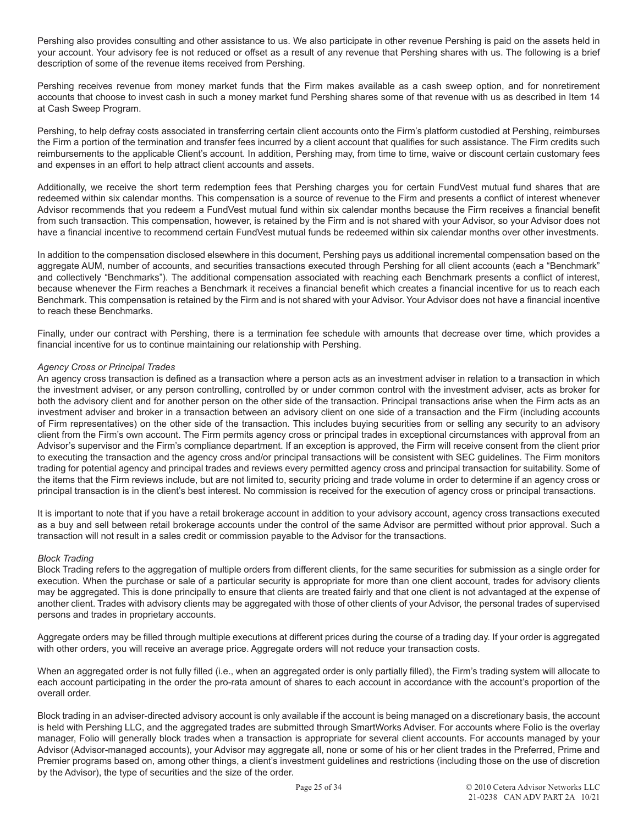Pershing also provides consulting and other assistance to us. We also participate in other revenue Pershing is paid on the assets held in your account. Your advisory fee is not reduced or offset as a result of any revenue that Pershing shares with us. The following is a brief description of some of the revenue items received from Pershing.

Pershing receives revenue from money market funds that the Firm makes available as a cash sweep option, and for nonretirement accounts that choose to invest cash in such a money market fund Pershing shares some of that revenue with us as described in Item 14 at Cash Sweep Program.

Pershing, to help defray costs associated in transferring certain client accounts onto the Firm's platform custodied at Pershing, reimburses the Firm a portion of the termination and transfer fees incurred by a client account that qualifies for such assistance. The Firm credits such reimbursements to the applicable Client's account. In addition, Pershing may, from time to time, waive or discount certain customary fees and expenses in an effort to help attract client accounts and assets.

Additionally, we receive the short term redemption fees that Pershing charges you for certain FundVest mutual fund shares that are redeemed within six calendar months. This compensation is a source of revenue to the Firm and presents a conflict of interest whenever Advisor recommends that you redeem a FundVest mutual fund within six calendar months because the Firm receives a financial benefit from such transaction. This compensation, however, is retained by the Firm and is not shared with your Advisor, so your Advisor does not have a financial incentive to recommend certain FundVest mutual funds be redeemed within six calendar months over other investments.

In addition to the compensation disclosed elsewhere in this document, Pershing pays us additional incremental compensation based on the aggregate AUM, number of accounts, and securities transactions executed through Pershing for all client accounts (each a "Benchmark" and collectively "Benchmarks"). The additional compensation associated with reaching each Benchmark presents a conflict of interest, because whenever the Firm reaches a Benchmark it receives a financial benefit which creates a financial incentive for us to reach each Benchmark. This compensation is retained by the Firm and is not shared with your Advisor. Your Advisor does not have a financial incentive to reach these Benchmarks.

Finally, under our contract with Pershing, there is a termination fee schedule with amounts that decrease over time, which provides a financial incentive for us to continue maintaining our relationship with Pershing.

# *Agency Cross or Principal Trades*

An agency cross transaction is defined as a transaction where a person acts as an investment adviser in relation to a transaction in which the investment adviser, or any person controlling, controlled by or under common control with the investment adviser, acts as broker for both the advisory client and for another person on the other side of the transaction. Principal transactions arise when the Firm acts as an investment adviser and broker in a transaction between an advisory client on one side of a transaction and the Firm (including accounts of Firm representatives) on the other side of the transaction. This includes buying securities from or selling any security to an advisory client from the Firm's own account. The Firm permits agency cross or principal trades in exceptional circumstances with approval from an Advisor's supervisor and the Firm's compliance department. If an exception is approved, the Firm will receive consent from the client prior to executing the transaction and the agency cross and/or principal transactions will be consistent with SEC guidelines. The Firm monitors trading for potential agency and principal trades and reviews every permitted agency cross and principal transaction for suitability. Some of the items that the Firm reviews include, but are not limited to, security pricing and trade volume in order to determine if an agency cross or principal transaction is in the client's best interest. No commission is received for the execution of agency cross or principal transactions.

It is important to note that if you have a retail brokerage account in addition to your advisory account, agency cross transactions executed as a buy and sell between retail brokerage accounts under the control of the same Advisor are permitted without prior approval. Such a transaction will not result in a sales credit or commission payable to the Advisor for the transactions.

# *Block Trading*

Block Trading refers to the aggregation of multiple orders from different clients, for the same securities for submission as a single order for execution. When the purchase or sale of a particular security is appropriate for more than one client account, trades for advisory clients may be aggregated. This is done principally to ensure that clients are treated fairly and that one client is not advantaged at the expense of another client. Trades with advisory clients may be aggregated with those of other clients of your Advisor, the personal trades of supervised persons and trades in proprietary accounts.

Aggregate orders may be filled through multiple executions at different prices during the course of a trading day. If your order is aggregated with other orders, you will receive an average price. Aggregate orders will not reduce your transaction costs.

When an aggregated order is not fully filled (i.e., when an aggregated order is only partially filled), the Firm's trading system will allocate to each account participating in the order the pro-rata amount of shares to each account in accordance with the account's proportion of the overall order.

Block trading in an adviser-directed advisory account is only available if the account is being managed on a discretionary basis, the account is held with Pershing LLC, and the aggregated trades are submitted through SmartWorks Adviser. For accounts where Folio is the overlay manager, Folio will generally block trades when a transaction is appropriate for several client accounts. For accounts managed by your Advisor (Advisor-managed accounts), your Advisor may aggregate all, none or some of his or her client trades in the Preferred, Prime and Premier programs based on, among other things, a client's investment guidelines and restrictions (including those on the use of discretion by the Advisor), the type of securities and the size of the order.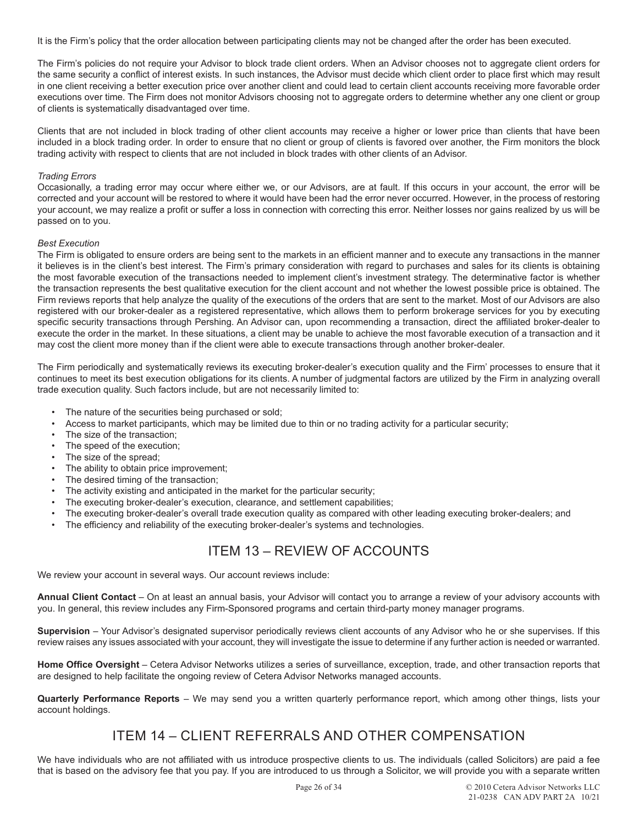It is the Firm's policy that the order allocation between participating clients may not be changed after the order has been executed.

The Firm's policies do not require your Advisor to block trade client orders. When an Advisor chooses not to aggregate client orders for the same security a conflict of interest exists. In such instances, the Advisor must decide which client order to place first which may result in one client receiving a better execution price over another client and could lead to certain client accounts receiving more favorable order executions over time. The Firm does not monitor Advisors choosing not to aggregate orders to determine whether any one client or group of clients is systematically disadvantaged over time.

Clients that are not included in block trading of other client accounts may receive a higher or lower price than clients that have been included in a block trading order. In order to ensure that no client or group of clients is favored over another, the Firm monitors the block trading activity with respect to clients that are not included in block trades with other clients of an Advisor.

## *Trading Errors*

Occasionally, a trading error may occur where either we, or our Advisors, are at fault. If this occurs in your account, the error will be corrected and your account will be restored to where it would have been had the error never occurred. However, in the process of restoring your account, we may realize a profit or suffer a loss in connection with correcting this error. Neither losses nor gains realized by us will be passed on to you.

#### *Best Execution*

The Firm is obligated to ensure orders are being sent to the markets in an efficient manner and to execute any transactions in the manner it believes is in the client's best interest. The Firm's primary consideration with regard to purchases and sales for its clients is obtaining the most favorable execution of the transactions needed to implement client's investment strategy. The determinative factor is whether the transaction represents the best qualitative execution for the client account and not whether the lowest possible price is obtained. The Firm reviews reports that help analyze the quality of the executions of the orders that are sent to the market. Most of our Advisors are also registered with our broker-dealer as a registered representative, which allows them to perform brokerage services for you by executing specific security transactions through Pershing. An Advisor can, upon recommending a transaction, direct the affiliated broker-dealer to execute the order in the market. In these situations, a client may be unable to achieve the most favorable execution of a transaction and it may cost the client more money than if the client were able to execute transactions through another broker-dealer.

The Firm periodically and systematically reviews its executing broker-dealer's execution quality and the Firm' processes to ensure that it continues to meet its best execution obligations for its clients. A number of judgmental factors are utilized by the Firm in analyzing overall trade execution quality. Such factors include, but are not necessarily limited to:

- The nature of the securities being purchased or sold;
- Access to market participants, which may be limited due to thin or no trading activity for a particular security;
- The size of the transaction;
- The speed of the execution;
- The size of the spread;
- The ability to obtain price improvement;
- The desired timing of the transaction;
- The activity existing and anticipated in the market for the particular security;
- The executing broker-dealer's execution, clearance, and settlement capabilities;
- The executing broker-dealer's overall trade execution quality as compared with other leading executing broker-dealers; and
- The efficiency and reliability of the executing broker-dealer's systems and technologies.

# ITEM 13 – REVIEW OF ACCOUNTS

We review your account in several ways. Our account reviews include:

**Annual Client Contact** – On at least an annual basis, your Advisor will contact you to arrange a review of your advisory accounts with you. In general, this review includes any Firm-Sponsored programs and certain third-party money manager programs.

**Supervision** – Your Advisor's designated supervisor periodically reviews client accounts of any Advisor who he or she supervises. If this review raises any issues associated with your account, they will investigate the issue to determine if any further action is needed or warranted.

**Home Office Oversight** – Cetera Advisor Networks utilizes a series of surveillance, exception, trade, and other transaction reports that are designed to help facilitate the ongoing review of Cetera Advisor Networks managed accounts.

**Quarterly Performance Reports** – We may send you a written quarterly performance report, which among other things, lists your account holdings.

# ITEM 14 – CLIENT REFERRALS AND OTHER COMPENSATION

We have individuals who are not affiliated with us introduce prospective clients to us. The individuals (called Solicitors) are paid a fee that is based on the advisory fee that you pay. If you are introduced to us through a Solicitor, we will provide you with a separate written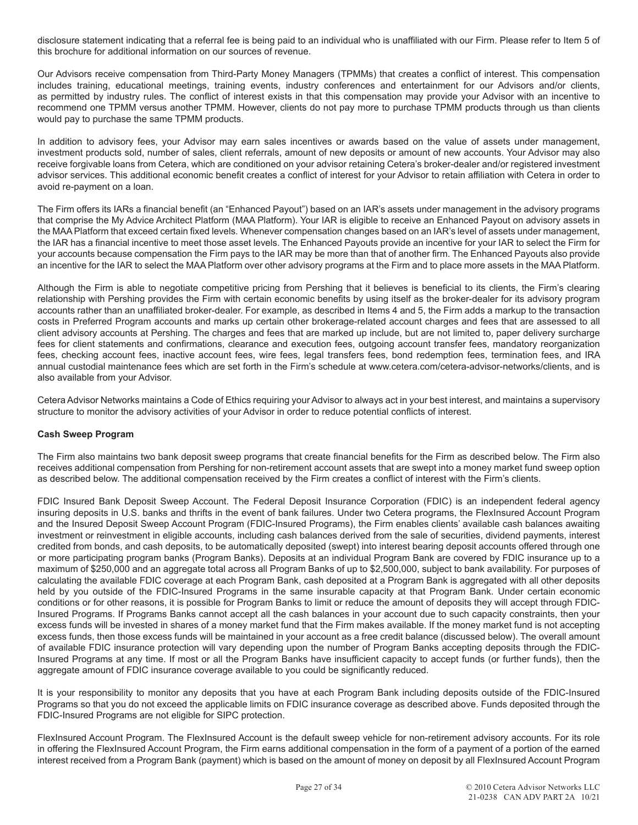disclosure statement indicating that a referral fee is being paid to an individual who is unaffiliated with our Firm. Please refer to Item 5 of this brochure for additional information on our sources of revenue.

Our Advisors receive compensation from Third-Party Money Managers (TPMMs) that creates a conflict of interest. This compensation includes training, educational meetings, training events, industry conferences and entertainment for our Advisors and/or clients, as permitted by industry rules. The conflict of interest exists in that this compensation may provide your Advisor with an incentive to recommend one TPMM versus another TPMM. However, clients do not pay more to purchase TPMM products through us than clients would pay to purchase the same TPMM products.

In addition to advisory fees, your Advisor may earn sales incentives or awards based on the value of assets under management, investment products sold, number of sales, client referrals, amount of new deposits or amount of new accounts. Your Advisor may also receive forgivable loans from Cetera, which are conditioned on your advisor retaining Cetera's broker-dealer and/or registered investment advisor services. This additional economic benefit creates a conflict of interest for your Advisor to retain affiliation with Cetera in order to avoid re-payment on a loan.

The Firm offers its IARs a financial benefit (an "Enhanced Payout") based on an IAR's assets under management in the advisory programs that comprise the My Advice Architect Platform (MAA Platform). Your IAR is eligible to receive an Enhanced Payout on advisory assets in the MAA Platform that exceed certain fixed levels. Whenever compensation changes based on an IAR's level of assets under management, the IAR has a financial incentive to meet those asset levels. The Enhanced Payouts provide an incentive for your IAR to select the Firm for your accounts because compensation the Firm pays to the IAR may be more than that of another firm. The Enhanced Payouts also provide an incentive for the IAR to select the MAA Platform over other advisory programs at the Firm and to place more assets in the MAA Platform.

Although the Firm is able to negotiate competitive pricing from Pershing that it believes is beneficial to its clients, the Firm's clearing relationship with Pershing provides the Firm with certain economic benefits by using itself as the broker-dealer for its advisory program accounts rather than an unaffiliated broker-dealer. For example, as described in Items 4 and 5, the Firm adds a markup to the transaction costs in Preferred Program accounts and marks up certain other brokerage-related account charges and fees that are assessed to all client advisory accounts at Pershing. The charges and fees that are marked up include, but are not limited to, paper delivery surcharge fees for client statements and confirmations, clearance and execution fees, outgoing account transfer fees, mandatory reorganization fees, checking account fees, inactive account fees, wire fees, legal transfers fees, bond redemption fees, termination fees, and IRA annual custodial maintenance fees which are set forth in the Firm's schedule at www.cetera.com/cetera-advisor-networks/clients, and is also available from your Advisor.

Cetera Advisor Networks maintains a Code of Ethics requiring your Advisor to always act in your best interest, and maintains a supervisory structure to monitor the advisory activities of your Advisor in order to reduce potential conflicts of interest.

# **Cash Sweep Program**

The Firm also maintains two bank deposit sweep programs that create financial benefits for the Firm as described below. The Firm also receives additional compensation from Pershing for non-retirement account assets that are swept into a money market fund sweep option as described below. The additional compensation received by the Firm creates a conflict of interest with the Firm's clients.

FDIC Insured Bank Deposit Sweep Account. The Federal Deposit Insurance Corporation (FDIC) is an independent federal agency insuring deposits in U.S. banks and thrifts in the event of bank failures. Under two Cetera programs, the FlexInsured Account Program and the Insured Deposit Sweep Account Program (FDIC-Insured Programs), the Firm enables clients' available cash balances awaiting investment or reinvestment in eligible accounts, including cash balances derived from the sale of securities, dividend payments, interest credited from bonds, and cash deposits, to be automatically deposited (swept) into interest bearing deposit accounts offered through one or more participating program banks (Program Banks). Deposits at an individual Program Bank are covered by FDIC insurance up to a maximum of \$250,000 and an aggregate total across all Program Banks of up to \$2,500,000, subject to bank availability. For purposes of calculating the available FDIC coverage at each Program Bank, cash deposited at a Program Bank is aggregated with all other deposits held by you outside of the FDIC-Insured Programs in the same insurable capacity at that Program Bank. Under certain economic conditions or for other reasons, it is possible for Program Banks to limit or reduce the amount of deposits they will accept through FDIC-Insured Programs. If Programs Banks cannot accept all the cash balances in your account due to such capacity constraints, then your excess funds will be invested in shares of a money market fund that the Firm makes available. If the money market fund is not accepting excess funds, then those excess funds will be maintained in your account as a free credit balance (discussed below). The overall amount of available FDIC insurance protection will vary depending upon the number of Program Banks accepting deposits through the FDIC-Insured Programs at any time. If most or all the Program Banks have insufficient capacity to accept funds (or further funds), then the aggregate amount of FDIC insurance coverage available to you could be significantly reduced.

It is your responsibility to monitor any deposits that you have at each Program Bank including deposits outside of the FDIC-Insured Programs so that you do not exceed the applicable limits on FDIC insurance coverage as described above. Funds deposited through the FDIC-Insured Programs are not eligible for SIPC protection.

FlexInsured Account Program. The FlexInsured Account is the default sweep vehicle for non-retirement advisory accounts. For its role in offering the FlexInsured Account Program, the Firm earns additional compensation in the form of a payment of a portion of the earned interest received from a Program Bank (payment) which is based on the amount of money on deposit by all FlexInsured Account Program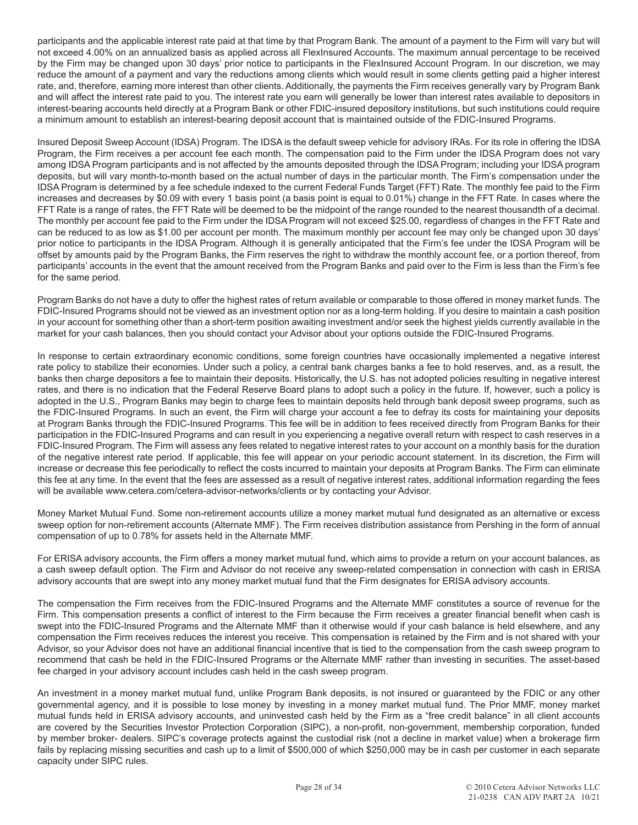participants and the applicable interest rate paid at that time by that Program Bank. The amount of a payment to the Firm will vary but will not exceed 4.00% on an annualized basis as applied across all FlexInsured Accounts. The maximum annual percentage to be received by the Firm may be changed upon 30 days' prior notice to participants in the FlexInsured Account Program. In our discretion, we may reduce the amount of a payment and vary the reductions among clients which would result in some clients getting paid a higher interest rate, and, therefore, earning more interest than other clients. Additionally, the payments the Firm receives generally vary by Program Bank and will affect the interest rate paid to you. The interest rate you earn will generally be lower than interest rates available to depositors in interest-bearing accounts held directly at a Program Bank or other FDIC-insured depository institutions, but such institutions could require a minimum amount to establish an interest-bearing deposit account that is maintained outside of the FDIC-Insured Programs.

Insured Deposit Sweep Account (IDSA) Program. The IDSA is the default sweep vehicle for advisory IRAs. For its role in offering the IDSA Program, the Firm receives a per account fee each month. The compensation paid to the Firm under the IDSA Program does not vary among IDSA Program participants and is not affected by the amounts deposited through the IDSA Program; including your IDSA program deposits, but will vary month-to-month based on the actual number of days in the particular month. The Firm's compensation under the IDSA Program is determined by a fee schedule indexed to the current Federal Funds Target (FFT) Rate. The monthly fee paid to the Firm increases and decreases by \$0.09 with every 1 basis point (a basis point is equal to 0.01%) change in the FFT Rate. In cases where the FFT Rate is a range of rates, the FFT Rate will be deemed to be the midpoint of the range rounded to the nearest thousandth of a decimal. The monthly per account fee paid to the Firm under the IDSA Program will not exceed \$25.00, regardless of changes in the FFT Rate and can be reduced to as low as \$1.00 per account per month. The maximum monthly per account fee may only be changed upon 30 days' prior notice to participants in the IDSA Program. Although it is generally anticipated that the Firm's fee under the IDSA Program will be offset by amounts paid by the Program Banks, the Firm reserves the right to withdraw the monthly account fee, or a portion thereof, from participants' accounts in the event that the amount received from the Program Banks and paid over to the Firm is less than the Firm's fee for the same period.

Program Banks do not have a duty to offer the highest rates of return available or comparable to those offered in money market funds. The FDIC-Insured Programs should not be viewed as an investment option nor as a long-term holding. If you desire to maintain a cash position in your account for something other than a short-term position awaiting investment and/or seek the highest yields currently available in the market for your cash balances, then you should contact your Advisor about your options outside the FDIC-Insured Programs.

In response to certain extraordinary economic conditions, some foreign countries have occasionally implemented a negative interest rate policy to stabilize their economies. Under such a policy, a central bank charges banks a fee to hold reserves, and, as a result, the banks then charge depositors a fee to maintain their deposits. Historically, the U.S. has not adopted policies resulting in negative interest rates, and there is no indication that the Federal Reserve Board plans to adopt such a policy in the future. If, however, such a policy is adopted in the U.S., Program Banks may begin to charge fees to maintain deposits held through bank deposit sweep programs, such as the FDIC-Insured Programs. In such an event, the Firm will charge your account a fee to defray its costs for maintaining your deposits at Program Banks through the FDIC-Insured Programs. This fee will be in addition to fees received directly from Program Banks for their participation in the FDIC-Insured Programs and can result in you experiencing a negative overall return with respect to cash reserves in a FDIC-Insured Program. The Firm will assess any fees related to negative interest rates to your account on a monthly basis for the duration of the negative interest rate period. If applicable, this fee will appear on your periodic account statement. In its discretion, the Firm will increase or decrease this fee periodically to reflect the costs incurred to maintain your deposits at Program Banks. The Firm can eliminate this fee at any time. In the event that the fees are assessed as a result of negative interest rates, additional information regarding the fees will be available www.cetera.com/cetera-advisor-networks/clients or by contacting your Advisor.

Money Market Mutual Fund. Some non-retirement accounts utilize a money market mutual fund designated as an alternative or excess sweep option for non-retirement accounts (Alternate MMF). The Firm receives distribution assistance from Pershing in the form of annual compensation of up to 0.78% for assets held in the Alternate MMF.

For ERISA advisory accounts, the Firm offers a money market mutual fund, which aims to provide a return on your account balances, as a cash sweep default option. The Firm and Advisor do not receive any sweep-related compensation in connection with cash in ERISA advisory accounts that are swept into any money market mutual fund that the Firm designates for ERISA advisory accounts.

The compensation the Firm receives from the FDIC-Insured Programs and the Alternate MMF constitutes a source of revenue for the Firm. This compensation presents a conflict of interest to the Firm because the Firm receives a greater financial benefit when cash is swept into the FDIC-Insured Programs and the Alternate MMF than it otherwise would if your cash balance is held elsewhere, and any compensation the Firm receives reduces the interest you receive. This compensation is retained by the Firm and is not shared with your Advisor, so your Advisor does not have an additional financial incentive that is tied to the compensation from the cash sweep program to recommend that cash be held in the FDIC-Insured Programs or the Alternate MMF rather than investing in securities. The asset-based fee charged in your advisory account includes cash held in the cash sweep program.

An investment in a money market mutual fund, unlike Program Bank deposits, is not insured or guaranteed by the FDIC or any other governmental agency, and it is possible to lose money by investing in a money market mutual fund. The Prior MMF, money market mutual funds held in ERISA advisory accounts, and uninvested cash held by the Firm as a "free credit balance" in all client accounts are covered by the Securities Investor Protection Corporation (SIPC), a non-profit, non-government, membership corporation, funded by member broker- dealers. SIPC's coverage protects against the custodial risk (not a decline in market value) when a brokerage firm fails by replacing missing securities and cash up to a limit of \$500,000 of which \$250,000 may be in cash per customer in each separate capacity under SIPC rules.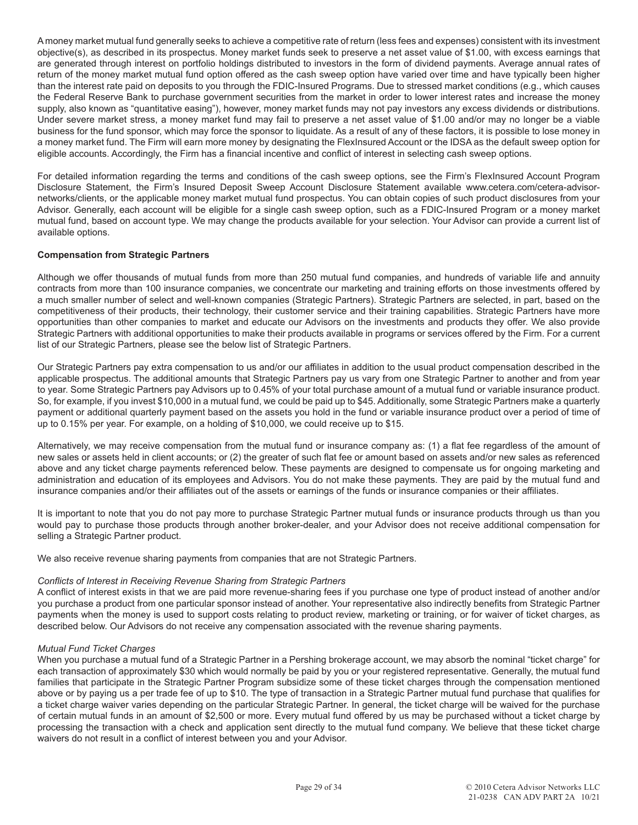A money market mutual fund generally seeks to achieve a competitive rate of return (less fees and expenses) consistent with its investment objective(s), as described in its prospectus. Money market funds seek to preserve a net asset value of \$1.00, with excess earnings that are generated through interest on portfolio holdings distributed to investors in the form of dividend payments. Average annual rates of return of the money market mutual fund option offered as the cash sweep option have varied over time and have typically been higher than the interest rate paid on deposits to you through the FDIC-Insured Programs. Due to stressed market conditions (e.g., which causes the Federal Reserve Bank to purchase government securities from the market in order to lower interest rates and increase the money supply, also known as "quantitative easing"), however, money market funds may not pay investors any excess dividends or distributions. Under severe market stress, a money market fund may fail to preserve a net asset value of \$1.00 and/or may no longer be a viable business for the fund sponsor, which may force the sponsor to liquidate. As a result of any of these factors, it is possible to lose money in a money market fund. The Firm will earn more money by designating the FlexInsured Account or the IDSA as the default sweep option for eligible accounts. Accordingly, the Firm has a financial incentive and conflict of interest in selecting cash sweep options.

For detailed information regarding the terms and conditions of the cash sweep options, see the Firm's FlexInsured Account Program Disclosure Statement, the Firm's Insured Deposit Sweep Account Disclosure Statement available www.cetera.com/cetera-advisornetworks/clients, or the applicable money market mutual fund prospectus. You can obtain copies of such product disclosures from your Advisor. Generally, each account will be eligible for a single cash sweep option, such as a FDIC-Insured Program or a money market mutual fund, based on account type. We may change the products available for your selection. Your Advisor can provide a current list of available options.

# **Compensation from Strategic Partners**

Although we offer thousands of mutual funds from more than 250 mutual fund companies, and hundreds of variable life and annuity contracts from more than 100 insurance companies, we concentrate our marketing and training efforts on those investments offered by a much smaller number of select and well-known companies (Strategic Partners). Strategic Partners are selected, in part, based on the competitiveness of their products, their technology, their customer service and their training capabilities. Strategic Partners have more opportunities than other companies to market and educate our Advisors on the investments and products they offer. We also provide Strategic Partners with additional opportunities to make their products available in programs or services offered by the Firm. For a current list of our Strategic Partners, please see the below list of Strategic Partners.

Our Strategic Partners pay extra compensation to us and/or our affiliates in addition to the usual product compensation described in the applicable prospectus. The additional amounts that Strategic Partners pay us vary from one Strategic Partner to another and from year to year. Some Strategic Partners pay Advisors up to 0.45% of your total purchase amount of a mutual fund or variable insurance product. So, for example, if you invest \$10,000 in a mutual fund, we could be paid up to \$45. Additionally, some Strategic Partners make a quarterly payment or additional quarterly payment based on the assets you hold in the fund or variable insurance product over a period of time of up to 0.15% per year. For example, on a holding of \$10,000, we could receive up to \$15.

Alternatively, we may receive compensation from the mutual fund or insurance company as: (1) a flat fee regardless of the amount of new sales or assets held in client accounts; or (2) the greater of such flat fee or amount based on assets and/or new sales as referenced above and any ticket charge payments referenced below. These payments are designed to compensate us for ongoing marketing and administration and education of its employees and Advisors. You do not make these payments. They are paid by the mutual fund and insurance companies and/or their affiliates out of the assets or earnings of the funds or insurance companies or their affiliates.

It is important to note that you do not pay more to purchase Strategic Partner mutual funds or insurance products through us than you would pay to purchase those products through another broker-dealer, and your Advisor does not receive additional compensation for selling a Strategic Partner product.

We also receive revenue sharing payments from companies that are not Strategic Partners.

# *Conflicts of Interest in Receiving Revenue Sharing from Strategic Partners*

A conflict of interest exists in that we are paid more revenue-sharing fees if you purchase one type of product instead of another and/or you purchase a product from one particular sponsor instead of another. Your representative also indirectly benefits from Strategic Partner payments when the money is used to support costs relating to product review, marketing or training, or for waiver of ticket charges, as described below. Our Advisors do not receive any compensation associated with the revenue sharing payments.

# *Mutual Fund Ticket Charges*

When you purchase a mutual fund of a Strategic Partner in a Pershing brokerage account, we may absorb the nominal "ticket charge" for each transaction of approximately \$30 which would normally be paid by you or your registered representative. Generally, the mutual fund families that participate in the Strategic Partner Program subsidize some of these ticket charges through the compensation mentioned above or by paying us a per trade fee of up to \$10. The type of transaction in a Strategic Partner mutual fund purchase that qualifies for a ticket charge waiver varies depending on the particular Strategic Partner. In general, the ticket charge will be waived for the purchase of certain mutual funds in an amount of \$2,500 or more. Every mutual fund offered by us may be purchased without a ticket charge by processing the transaction with a check and application sent directly to the mutual fund company. We believe that these ticket charge waivers do not result in a conflict of interest between you and your Advisor.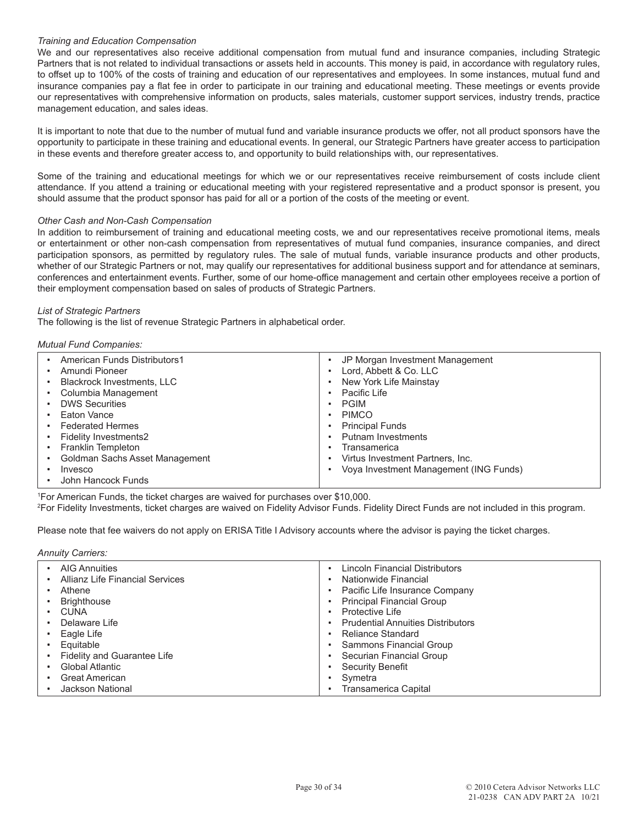# *Training and Education Compensation*

We and our representatives also receive additional compensation from mutual fund and insurance companies, including Strategic Partners that is not related to individual transactions or assets held in accounts. This money is paid, in accordance with regulatory rules, to offset up to 100% of the costs of training and education of our representatives and employees. In some instances, mutual fund and insurance companies pay a flat fee in order to participate in our training and educational meeting. These meetings or events provide our representatives with comprehensive information on products, sales materials, customer support services, industry trends, practice management education, and sales ideas.

It is important to note that due to the number of mutual fund and variable insurance products we offer, not all product sponsors have the opportunity to participate in these training and educational events. In general, our Strategic Partners have greater access to participation in these events and therefore greater access to, and opportunity to build relationships with, our representatives.

Some of the training and educational meetings for which we or our representatives receive reimbursement of costs include client attendance. If you attend a training or educational meeting with your registered representative and a product sponsor is present, you should assume that the product sponsor has paid for all or a portion of the costs of the meeting or event.

# *Other Cash and Non-Cash Compensation*

In addition to reimbursement of training and educational meeting costs, we and our representatives receive promotional items, meals or entertainment or other non-cash compensation from representatives of mutual fund companies, insurance companies, and direct participation sponsors, as permitted by regulatory rules. The sale of mutual funds, variable insurance products and other products, whether of our Strategic Partners or not, may qualify our representatives for additional business support and for attendance at seminars, conferences and entertainment events. Further, some of our home-office management and certain other employees receive a portion of their employment compensation based on sales of products of Strategic Partners.

# *List of Strategic Partners*

The following is the list of revenue Strategic Partners in alphabetical order.

#### *Mutual Fund Companies:*

|   | American Funds Distributors1      | JP Morgan Investment Management        |
|---|-----------------------------------|----------------------------------------|
|   | Amundi Pioneer                    | Lord, Abbett & Co. LLC                 |
|   | <b>Blackrock Investments, LLC</b> | New York Life Mainstay                 |
|   | Columbia Management               | Pacific Life                           |
| ٠ | <b>DWS Securities</b>             | <b>PGIM</b>                            |
| ٠ | Eaton Vance                       | <b>PIMCO</b>                           |
| ٠ | <b>Federated Hermes</b>           | <b>Principal Funds</b>                 |
|   | Fidelity Investments2             | <b>Putnam Investments</b>              |
| ٠ | <b>Franklin Templeton</b>         | Transamerica                           |
|   | Goldman Sachs Asset Management    | Virtus Investment Partners, Inc.       |
|   | Invesco                           | Voya Investment Management (ING Funds) |
|   | John Hancock Funds                |                                        |

1 For American Funds, the ticket charges are waived for purchases over \$10,000.

2 For Fidelity Investments, ticket charges are waived on Fidelity Advisor Funds. Fidelity Direct Funds are not included in this program.

Please note that fee waivers do not apply on ERISA Title I Advisory accounts where the advisor is paying the ticket charges.

#### *Annuity Carriers:*

| <b>AIG Annuities</b><br>Allianz Life Financial Services<br>Athene<br><b>Brighthouse</b><br><b>CUNA</b> | Lincoln Financial Distributors<br>Nationwide Financial<br>Pacific Life Insurance Company<br><b>Principal Financial Group</b><br>Protective Life |
|--------------------------------------------------------------------------------------------------------|-------------------------------------------------------------------------------------------------------------------------------------------------|
| Eagle Life                                                                                             | <b>Reliance Standard</b>                                                                                                                        |
| Equitable                                                                                              | <b>Sammons Financial Group</b>                                                                                                                  |
| <b>Fidelity and Guarantee Life</b>                                                                     | Securian Financial Group                                                                                                                        |
| <b>Global Atlantic</b>                                                                                 | <b>Security Benefit</b>                                                                                                                         |
| <b>Great American</b>                                                                                  | Symetra                                                                                                                                         |
| <b>Jackson National</b>                                                                                | <b>Transamerica Capital</b>                                                                                                                     |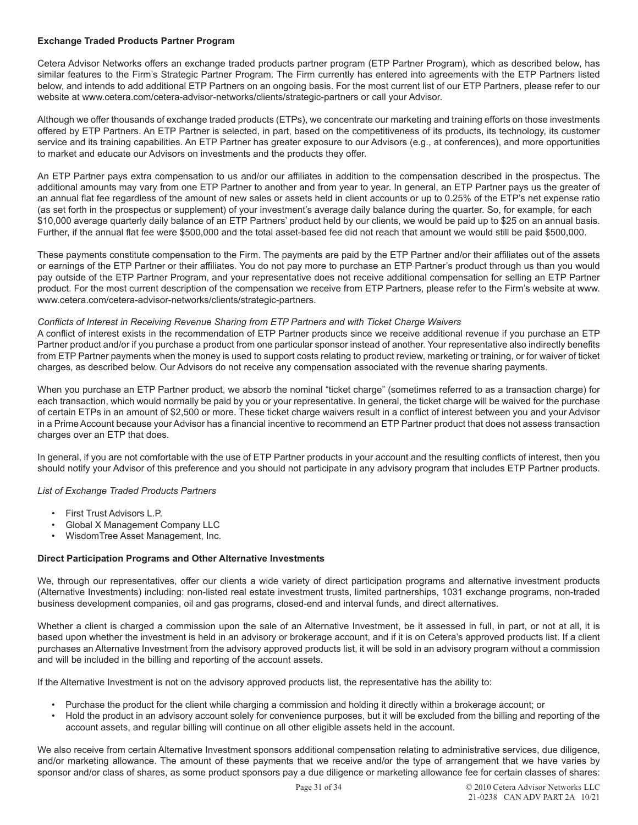# **Exchange Traded Products Partner Program**

Cetera Advisor Networks offers an exchange traded products partner program (ETP Partner Program), which as described below, has similar features to the Firm's Strategic Partner Program. The Firm currently has entered into agreements with the ETP Partners listed below, and intends to add additional ETP Partners on an ongoing basis. For the most current list of our ETP Partners, please refer to our website at www.cetera.com/cetera-advisor-networks/clients/strategic-partners or call your Advisor.

Although we offer thousands of exchange traded products (ETPs), we concentrate our marketing and training efforts on those investments offered by ETP Partners. An ETP Partner is selected, in part, based on the competitiveness of its products, its technology, its customer service and its training capabilities. An ETP Partner has greater exposure to our Advisors (e.g., at conferences), and more opportunities to market and educate our Advisors on investments and the products they offer.

An ETP Partner pays extra compensation to us and/or our affiliates in addition to the compensation described in the prospectus. The additional amounts may vary from one ETP Partner to another and from year to year. In general, an ETP Partner pays us the greater of an annual flat fee regardless of the amount of new sales or assets held in client accounts or up to 0.25% of the ETP's net expense ratio (as set forth in the prospectus or supplement) of your investment's average daily balance during the quarter. So, for example, for each \$10,000 average quarterly daily balance of an ETP Partners' product held by our clients, we would be paid up to \$25 on an annual basis. Further, if the annual flat fee were \$500,000 and the total asset-based fee did not reach that amount we would still be paid \$500,000.

These payments constitute compensation to the Firm. The payments are paid by the ETP Partner and/or their affiliates out of the assets or earnings of the ETP Partner or their affiliates. You do not pay more to purchase an ETP Partner's product through us than you would pay outside of the ETP Partner Program, and your representative does not receive additional compensation for selling an ETP Partner product. For the most current description of the compensation we receive from ETP Partners, please refer to the Firm's website at www. www.cetera.com/cetera-advisor-networks/clients/strategic-partners.

# *Conflicts of Interest in Receiving Revenue Sharing from ETP Partners and with Ticket Charge Waivers*

A conflict of interest exists in the recommendation of ETP Partner products since we receive additional revenue if you purchase an ETP Partner product and/or if you purchase a product from one particular sponsor instead of another. Your representative also indirectly benefits from ETP Partner payments when the money is used to support costs relating to product review, marketing or training, or for waiver of ticket charges, as described below. Our Advisors do not receive any compensation associated with the revenue sharing payments.

When you purchase an ETP Partner product, we absorb the nominal "ticket charge" (sometimes referred to as a transaction charge) for each transaction, which would normally be paid by you or your representative. In general, the ticket charge will be waived for the purchase of certain ETPs in an amount of \$2,500 or more. These ticket charge waivers result in a conflict of interest between you and your Advisor in a Prime Account because your Advisor has a financial incentive to recommend an ETP Partner product that does not assess transaction charges over an ETP that does.

In general, if you are not comfortable with the use of ETP Partner products in your account and the resulting conflicts of interest, then you should notify your Advisor of this preference and you should not participate in any advisory program that includes ETP Partner products.

# *List of Exchange Traded Products Partners*

- First Trust Advisors L.P.
- Global X Management Company LLC
- WisdomTree Asset Management, Inc.

#### **Direct Participation Programs and Other Alternative Investments**

We, through our representatives, offer our clients a wide variety of direct participation programs and alternative investment products (Alternative Investments) including: non-listed real estate investment trusts, limited partnerships, 1031 exchange programs, non-traded business development companies, oil and gas programs, closed-end and interval funds, and direct alternatives.

Whether a client is charged a commission upon the sale of an Alternative Investment, be it assessed in full, in part, or not at all, it is based upon whether the investment is held in an advisory or brokerage account, and if it is on Cetera's approved products list. If a client purchases an Alternative Investment from the advisory approved products list, it will be sold in an advisory program without a commission and will be included in the billing and reporting of the account assets.

If the Alternative Investment is not on the advisory approved products list, the representative has the ability to:

- Purchase the product for the client while charging a commission and holding it directly within a brokerage account; or
- Hold the product in an advisory account solely for convenience purposes, but it will be excluded from the billing and reporting of the account assets, and regular billing will continue on all other eligible assets held in the account.

We also receive from certain Alternative Investment sponsors additional compensation relating to administrative services, due diligence, and/or marketing allowance. The amount of these payments that we receive and/or the type of arrangement that we have varies by sponsor and/or class of shares, as some product sponsors pay a due diligence or marketing allowance fee for certain classes of shares: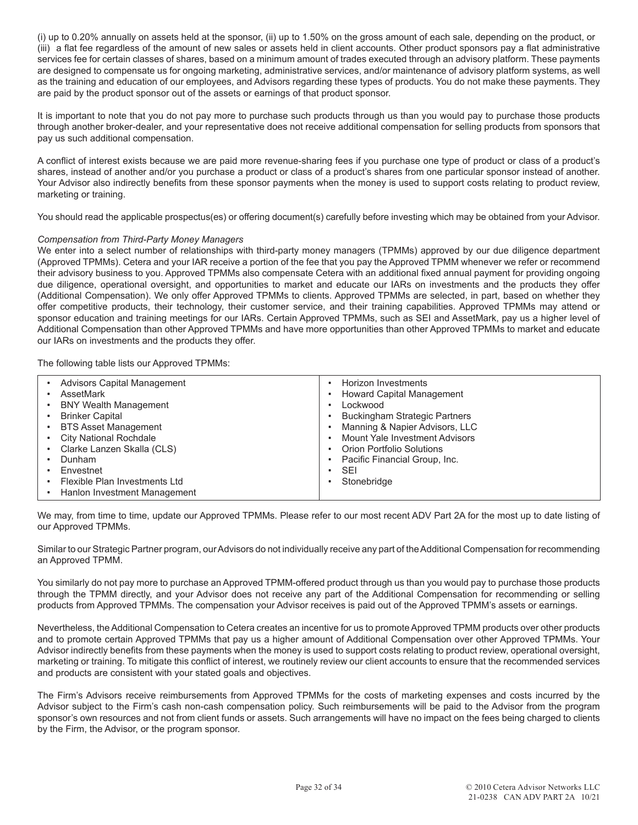(i) up to 0.20% annually on assets held at the sponsor, (ii) up to 1.50% on the gross amount of each sale, depending on the product, or (iii) a flat fee regardless of the amount of new sales or assets held in client accounts. Other product sponsors pay a flat administrative services fee for certain classes of shares, based on a minimum amount of trades executed through an advisory platform. These payments are designed to compensate us for ongoing marketing, administrative services, and/or maintenance of advisory platform systems, as well as the training and education of our employees, and Advisors regarding these types of products. You do not make these payments. They are paid by the product sponsor out of the assets or earnings of that product sponsor.

It is important to note that you do not pay more to purchase such products through us than you would pay to purchase those products through another broker-dealer, and your representative does not receive additional compensation for selling products from sponsors that pay us such additional compensation.

A conflict of interest exists because we are paid more revenue-sharing fees if you purchase one type of product or class of a product's shares, instead of another and/or you purchase a product or class of a product's shares from one particular sponsor instead of another. Your Advisor also indirectly benefits from these sponsor payments when the money is used to support costs relating to product review, marketing or training.

You should read the applicable prospectus(es) or offering document(s) carefully before investing which may be obtained from your Advisor.

# *Compensation from Third-Party Money Managers*

We enter into a select number of relationships with third-party money managers (TPMMs) approved by our due diligence department (Approved TPMMs). Cetera and your IAR receive a portion of the fee that you pay the Approved TPMM whenever we refer or recommend their advisory business to you. Approved TPMMs also compensate Cetera with an additional fixed annual payment for providing ongoing due diligence, operational oversight, and opportunities to market and educate our IARs on investments and the products they offer (Additional Compensation). We only offer Approved TPMMs to clients. Approved TPMMs are selected, in part, based on whether they offer competitive products, their technology, their customer service, and their training capabilities. Approved TPMMs may attend or sponsor education and training meetings for our IARs. Certain Approved TPMMs, such as SEI and AssetMark, pay us a higher level of Additional Compensation than other Approved TPMMs and have more opportunities than other Approved TPMMs to market and educate our IARs on investments and the products they offer.

The following table lists our Approved TPMMs:

We may, from time to time, update our Approved TPMMs. Please refer to our most recent ADV Part 2A for the most up to date listing of our Approved TPMMs.

Similar to our Strategic Partner program, our Advisors do not individually receive any part of the Additional Compensation for recommending an Approved TPMM.

You similarly do not pay more to purchase an Approved TPMM-offered product through us than you would pay to purchase those products through the TPMM directly, and your Advisor does not receive any part of the Additional Compensation for recommending or selling products from Approved TPMMs. The compensation your Advisor receives is paid out of the Approved TPMM's assets or earnings.

Nevertheless, the Additional Compensation to Cetera creates an incentive for us to promote Approved TPMM products over other products and to promote certain Approved TPMMs that pay us a higher amount of Additional Compensation over other Approved TPMMs. Your Advisor indirectly benefits from these payments when the money is used to support costs relating to product review, operational oversight, marketing or training. To mitigate this conflict of interest, we routinely review our client accounts to ensure that the recommended services and products are consistent with your stated goals and objectives.

The Firm's Advisors receive reimbursements from Approved TPMMs for the costs of marketing expenses and costs incurred by the Advisor subject to the Firm's cash non-cash compensation policy. Such reimbursements will be paid to the Advisor from the program sponsor's own resources and not from client funds or assets. Such arrangements will have no impact on the fees being charged to clients by the Firm, the Advisor, or the program sponsor.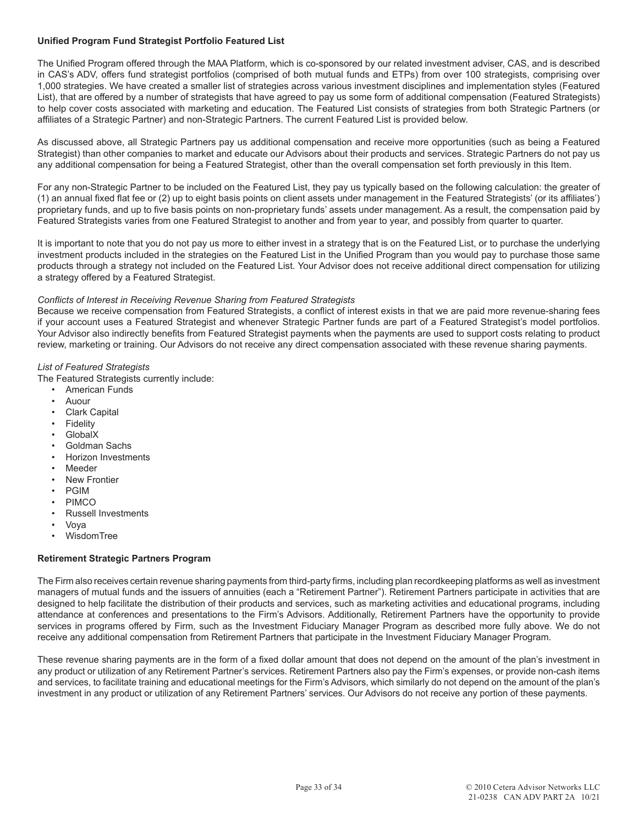# **Unified Program Fund Strategist Portfolio Featured List**

The Unified Program offered through the MAA Platform, which is co-sponsored by our related investment adviser, CAS, and is described in CAS's ADV, offers fund strategist portfolios (comprised of both mutual funds and ETPs) from over 100 strategists, comprising over 1,000 strategies. We have created a smaller list of strategies across various investment disciplines and implementation styles (Featured List), that are offered by a number of strategists that have agreed to pay us some form of additional compensation (Featured Strategists) to help cover costs associated with marketing and education. The Featured List consists of strategies from both Strategic Partners (or affiliates of a Strategic Partner) and non-Strategic Partners. The current Featured List is provided below.

As discussed above, all Strategic Partners pay us additional compensation and receive more opportunities (such as being a Featured Strategist) than other companies to market and educate our Advisors about their products and services. Strategic Partners do not pay us any additional compensation for being a Featured Strategist, other than the overall compensation set forth previously in this Item.

For any non-Strategic Partner to be included on the Featured List, they pay us typically based on the following calculation: the greater of (1) an annual fixed flat fee or (2) up to eight basis points on client assets under management in the Featured Strategists' (or its affiliates') proprietary funds, and up to five basis points on non-proprietary funds' assets under management. As a result, the compensation paid by Featured Strategists varies from one Featured Strategist to another and from year to year, and possibly from quarter to quarter.

It is important to note that you do not pay us more to either invest in a strategy that is on the Featured List, or to purchase the underlying investment products included in the strategies on the Featured List in the Unified Program than you would pay to purchase those same products through a strategy not included on the Featured List. Your Advisor does not receive additional direct compensation for utilizing a strategy offered by a Featured Strategist.

# *Conflicts of Interest in Receiving Revenue Sharing from Featured Strategists*

Because we receive compensation from Featured Strategists, a conflict of interest exists in that we are paid more revenue-sharing fees if your account uses a Featured Strategist and whenever Strategic Partner funds are part of a Featured Strategist's model portfolios. Your Advisor also indirectly benefits from Featured Strategist payments when the payments are used to support costs relating to product review, marketing or training. Our Advisors do not receive any direct compensation associated with these revenue sharing payments.

# *List of Featured Strategists*

The Featured Strategists currently include:

- American Funds
- Auour
- **Clark Capital**
- **Fidelity**
- GlobalX
- Goldman Sachs
- Horizon Investments
- **Meeder**
- New Frontier
- PGIM
- PIMCO
- Russell Investments
- Voya
- WisdomTree

# **Retirement Strategic Partners Program**

The Firm also receives certain revenue sharing payments from third-party firms, including plan recordkeeping platforms as well as investment managers of mutual funds and the issuers of annuities (each a "Retirement Partner"). Retirement Partners participate in activities that are designed to help facilitate the distribution of their products and services, such as marketing activities and educational programs, including attendance at conferences and presentations to the Firm's Advisors. Additionally, Retirement Partners have the opportunity to provide services in programs offered by Firm, such as the Investment Fiduciary Manager Program as described more fully above. We do not receive any additional compensation from Retirement Partners that participate in the Investment Fiduciary Manager Program.

These revenue sharing payments are in the form of a fixed dollar amount that does not depend on the amount of the plan's investment in any product or utilization of any Retirement Partner's services. Retirement Partners also pay the Firm's expenses, or provide non-cash items and services, to facilitate training and educational meetings for the Firm's Advisors, which similarly do not depend on the amount of the plan's investment in any product or utilization of any Retirement Partners' services. Our Advisors do not receive any portion of these payments.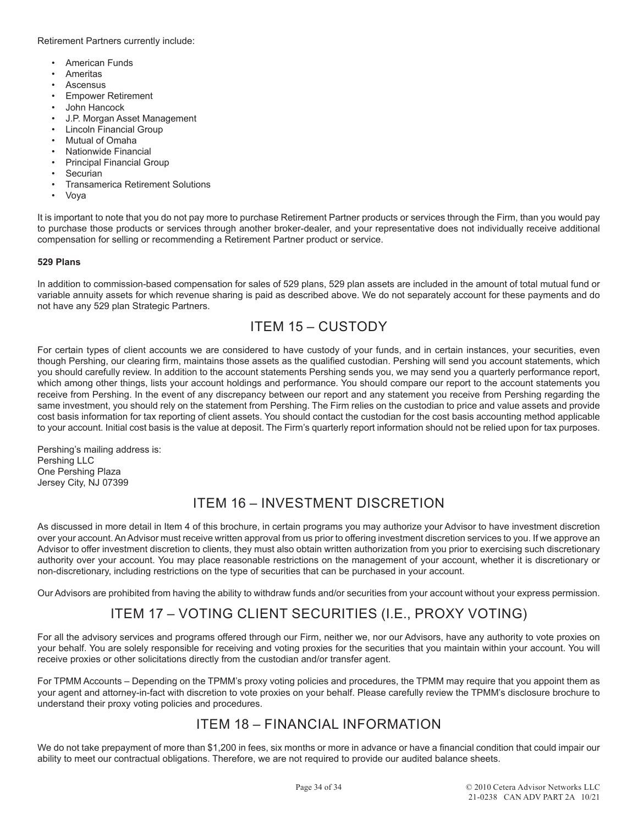Retirement Partners currently include:

- American Funds
- **Ameritas**
- **Ascensus**
- Empower Retirement
- John Hancock
- J.P. Morgan Asset Management
- Lincoln Financial Group
- Mutual of Omaha
- Nationwide Financial
- Principal Financial Group
- **Securian**
- Transamerica Retirement Solutions
- Voya

It is important to note that you do not pay more to purchase Retirement Partner products or services through the Firm, than you would pay to purchase those products or services through another broker-dealer, and your representative does not individually receive additional compensation for selling or recommending a Retirement Partner product or service.

# **529 Plans**

In addition to commission-based compensation for sales of 529 plans, 529 plan assets are included in the amount of total mutual fund or variable annuity assets for which revenue sharing is paid as described above. We do not separately account for these payments and do not have any 529 plan Strategic Partners.

# ITEM 15 – CUSTODY

For certain types of client accounts we are considered to have custody of your funds, and in certain instances, your securities, even though Pershing, our clearing firm, maintains those assets as the qualified custodian. Pershing will send you account statements, which you should carefully review. In addition to the account statements Pershing sends you, we may send you a quarterly performance report, which among other things, lists your account holdings and performance. You should compare our report to the account statements you receive from Pershing. In the event of any discrepancy between our report and any statement you receive from Pershing regarding the same investment, you should rely on the statement from Pershing. The Firm relies on the custodian to price and value assets and provide cost basis information for tax reporting of client assets. You should contact the custodian for the cost basis accounting method applicable to your account. Initial cost basis is the value at deposit. The Firm's quarterly report information should not be relied upon for tax purposes.

Pershing's mailing address is: Pershing LLC One Pershing Plaza Jersey City, NJ 07399

# ITEM 16 – INVESTMENT DISCRETION

As discussed in more detail in Item 4 of this brochure, in certain programs you may authorize your Advisor to have investment discretion over your account. An Advisor must receive written approval from us prior to offering investment discretion services to you. If we approve an Advisor to offer investment discretion to clients, they must also obtain written authorization from you prior to exercising such discretionary authority over your account. You may place reasonable restrictions on the management of your account, whether it is discretionary or non-discretionary, including restrictions on the type of securities that can be purchased in your account.

Our Advisors are prohibited from having the ability to withdraw funds and/or securities from your account without your express permission.

# ITEM 17 – VOTING CLIENT SECURITIES (I.E., PROXY VOTING)

For all the advisory services and programs offered through our Firm, neither we, nor our Advisors, have any authority to vote proxies on your behalf. You are solely responsible for receiving and voting proxies for the securities that you maintain within your account. You will receive proxies or other solicitations directly from the custodian and/or transfer agent.

For TPMM Accounts – Depending on the TPMM's proxy voting policies and procedures, the TPMM may require that you appoint them as your agent and attorney-in-fact with discretion to vote proxies on your behalf. Please carefully review the TPMM's disclosure brochure to understand their proxy voting policies and procedures.

# ITEM 18 – FINANCIAL INFORMATION

We do not take prepayment of more than \$1,200 in fees, six months or more in advance or have a financial condition that could impair our ability to meet our contractual obligations. Therefore, we are not required to provide our audited balance sheets.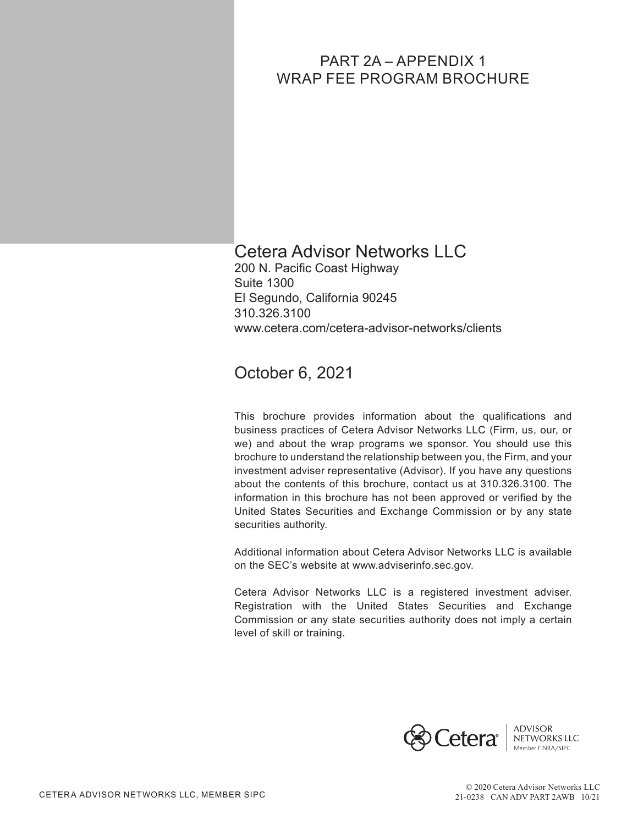# PART 2A – APPENDIX 1 WRAP FEE PROGRAM BROCHURE

# Cetera Advisor Networks LLC

200 N. Pacific Coast Highway Suite 1300 El Segundo, California 90245 310.326.3100 www.cetera.com/cetera-advisor-networks/clients

# October 6, 2021

This brochure provides information about the qualifications and business practices of Cetera Advisor Networks LLC (Firm, us, our, or we) and about the wrap programs we sponsor. You should use this brochure to understand the relationship between you, the Firm, and your investment adviser representative (Advisor). If you have any questions about the contents of this brochure, contact us at 310.326.3100. The information in this brochure has not been approved or verified by the United States Securities and Exchange Commission or by any state securities authority.

Additional information about Cetera Advisor Networks LLC is available on the SEC's website at www.adviserinfo.sec.gov.

Cetera Advisor Networks LLC is a registered investment adviser. Registration with the United States Securities and Exchange Commission or any state securities authority does not imply a certain level of skill or training.

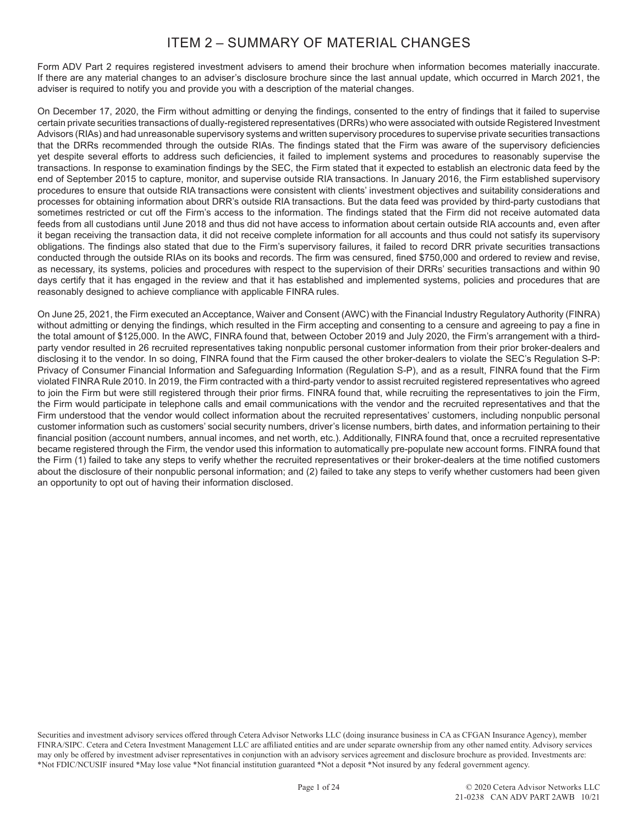# ITEM 2 – SUMMARY OF MATERIAL CHANGES

Form ADV Part 2 requires registered investment advisers to amend their brochure when information becomes materially inaccurate. If there are any material changes to an adviser's disclosure brochure since the last annual update, which occurred in March 2021, the adviser is required to notify you and provide you with a description of the material changes.

On December 17, 2020, the Firm without admitting or denying the findings, consented to the entry of findings that it failed to supervise certain private securities transactions of dually-registered representatives (DRRs) who were associated with outside Registered Investment Advisors (RIAs) and had unreasonable supervisory systems and written supervisory procedures to supervise private securities transactions that the DRRs recommended through the outside RIAs. The findings stated that the Firm was aware of the supervisory deficiencies yet despite several efforts to address such deficiencies, it failed to implement systems and procedures to reasonably supervise the transactions. In response to examination findings by the SEC, the Firm stated that it expected to establish an electronic data feed by the end of September 2015 to capture, monitor, and supervise outside RIA transactions. In January 2016, the Firm established supervisory procedures to ensure that outside RIA transactions were consistent with clients' investment objectives and suitability considerations and processes for obtaining information about DRR's outside RIA transactions. But the data feed was provided by third-party custodians that sometimes restricted or cut off the Firm's access to the information. The findings stated that the Firm did not receive automated data feeds from all custodians until June 2018 and thus did not have access to information about certain outside RIA accounts and, even after it began receiving the transaction data, it did not receive complete information for all accounts and thus could not satisfy its supervisory obligations. The findings also stated that due to the Firm's supervisory failures, it failed to record DRR private securities transactions conducted through the outside RIAs on its books and records. The firm was censured, fined \$750,000 and ordered to review and revise, as necessary, its systems, policies and procedures with respect to the supervision of their DRRs' securities transactions and within 90 days certify that it has engaged in the review and that it has established and implemented systems, policies and procedures that are reasonably designed to achieve compliance with applicable FINRA rules.

On June 25, 2021, the Firm executed an Acceptance, Waiver and Consent (AWC) with the Financial Industry Regulatory Authority (FINRA) without admitting or denying the findings, which resulted in the Firm accepting and consenting to a censure and agreeing to pay a fine in the total amount of \$125,000. In the AWC, FINRA found that, between October 2019 and July 2020, the Firm's arrangement with a thirdparty vendor resulted in 26 recruited representatives taking nonpublic personal customer information from their prior broker-dealers and disclosing it to the vendor. In so doing, FINRA found that the Firm caused the other broker-dealers to violate the SEC's Regulation S-P: Privacy of Consumer Financial Information and Safeguarding Information (Regulation S-P), and as a result, FINRA found that the Firm violated FINRA Rule 2010. In 2019, the Firm contracted with a third-party vendor to assist recruited registered representatives who agreed to join the Firm but were still registered through their prior firms. FINRA found that, while recruiting the representatives to join the Firm, the Firm would participate in telephone calls and email communications with the vendor and the recruited representatives and that the Firm understood that the vendor would collect information about the recruited representatives' customers, including nonpublic personal customer information such as customers' social security numbers, driver's license numbers, birth dates, and information pertaining to their financial position (account numbers, annual incomes, and net worth, etc.). Additionally, FINRA found that, once a recruited representative became registered through the Firm, the vendor used this information to automatically pre-populate new account forms. FINRA found that the Firm (1) failed to take any steps to verify whether the recruited representatives or their broker-dealers at the time notified customers about the disclosure of their nonpublic personal information; and (2) failed to take any steps to verify whether customers had been given an opportunity to opt out of having their information disclosed.

Securities and investment advisory services offered through Cetera Advisor Networks LLC (doing insurance business in CA as CFGAN Insurance Agency), member FINRA/SIPC. Cetera and Cetera Investment Management LLC are affiliated entities and are under separate ownership from any other named entity. Advisory services may only be offered by investment adviser representatives in conjunction with an advisory services agreement and disclosure brochure as provided. Investments are: \*Not FDIC/NCUSIF insured \*May lose value \*Not financial institution guaranteed \*Not a deposit \*Not insured by any federal government agency.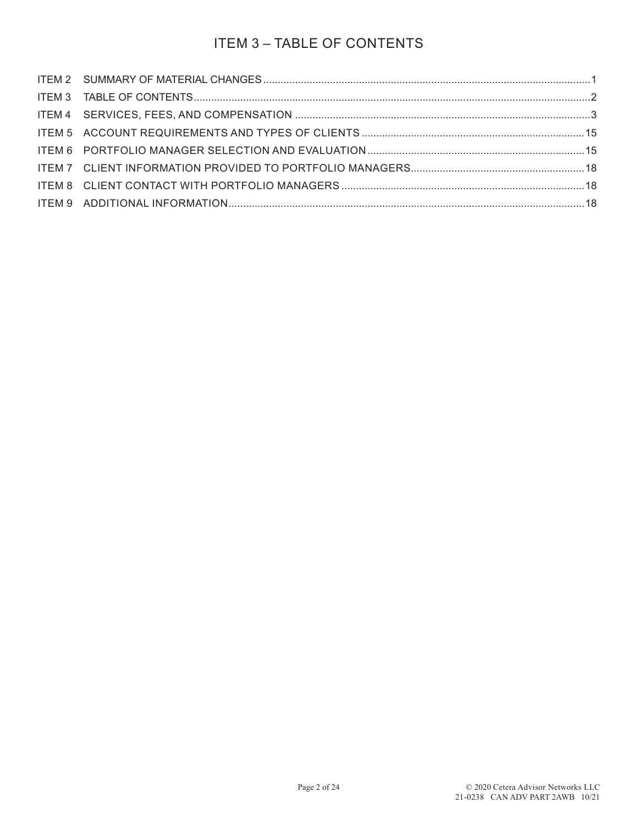# ITEM 3 – TABLE OF CONTENTS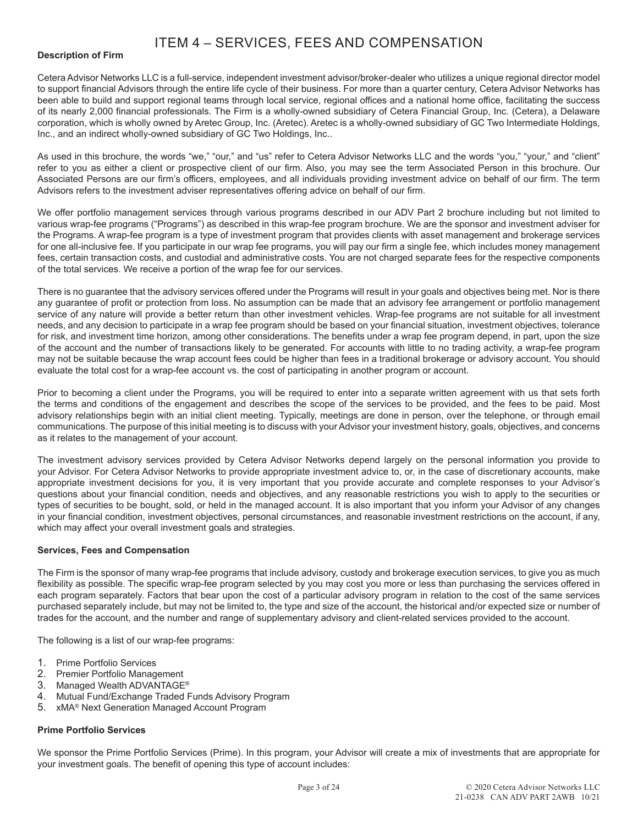# ITEM 4 – SERVICES, FEES AND COMPENSATION

## **Description of Firm**

Cetera Advisor Networks LLC is a full-service, independent investment advisor/broker-dealer who utilizes a unique regional director model to support financial Advisors through the entire life cycle of their business. For more than a quarter century, Cetera Advisor Networks has been able to build and support regional teams through local service, regional offices and a national home office, facilitating the success of its nearly 2,000 financial professionals. The Firm is a wholly-owned subsidiary of Cetera Financial Group, Inc. (Cetera), a Delaware corporation, which is wholly owned by Aretec Group, Inc. (Aretec). Aretec is a wholly-owned subsidiary of GC Two Intermediate Holdings, Inc., and an indirect wholly-owned subsidiary of GC Two Holdings, Inc..

As used in this brochure, the words "we," "our," and "us" refer to Cetera Advisor Networks LLC and the words "you," "your," and "client" refer to you as either a client or prospective client of our firm. Also, you may see the term Associated Person in this brochure. Our Associated Persons are our firm's officers, employees, and all individuals providing investment advice on behalf of our firm. The term Advisors refers to the investment adviser representatives offering advice on behalf of our firm.

We offer portfolio management services through various programs described in our ADV Part 2 brochure including but not limited to various wrap-fee programs ("Programs") as described in this wrap-fee program brochure. We are the sponsor and investment adviser for the Programs. A wrap-fee program is a type of investment program that provides clients with asset management and brokerage services for one all-inclusive fee. If you participate in our wrap fee programs, you will pay our firm a single fee, which includes money management fees, certain transaction costs, and custodial and administrative costs. You are not charged separate fees for the respective components of the total services. We receive a portion of the wrap fee for our services.

There is no guarantee that the advisory services offered under the Programs will result in your goals and objectives being met. Nor is there any guarantee of profit or protection from loss. No assumption can be made that an advisory fee arrangement or portfolio management service of any nature will provide a better return than other investment vehicles. Wrap-fee programs are not suitable for all investment needs, and any decision to participate in a wrap fee program should be based on your financial situation, investment objectives, tolerance for risk, and investment time horizon, among other considerations. The benefits under a wrap fee program depend, in part, upon the size of the account and the number of transactions likely to be generated. For accounts with little to no trading activity, a wrap-fee program may not be suitable because the wrap account fees could be higher than fees in a traditional brokerage or advisory account. You should evaluate the total cost for a wrap-fee account vs. the cost of participating in another program or account.

Prior to becoming a client under the Programs, you will be required to enter into a separate written agreement with us that sets forth the terms and conditions of the engagement and describes the scope of the services to be provided, and the fees to be paid. Most advisory relationships begin with an initial client meeting. Typically, meetings are done in person, over the telephone, or through email communications. The purpose of this initial meeting is to discuss with your Advisor your investment history, goals, objectives, and concerns as it relates to the management of your account.

The investment advisory services provided by Cetera Advisor Networks depend largely on the personal information you provide to your Advisor. For Cetera Advisor Networks to provide appropriate investment advice to, or, in the case of discretionary accounts, make appropriate investment decisions for you, it is very important that you provide accurate and complete responses to your Advisor's questions about your financial condition, needs and objectives, and any reasonable restrictions you wish to apply to the securities or types of securities to be bought, sold, or held in the managed account. It is also important that you inform your Advisor of any changes in your financial condition, investment objectives, personal circumstances, and reasonable investment restrictions on the account, if any, which may affect your overall investment goals and strategies.

#### **Services, Fees and Compensation**

The Firm is the sponsor of many wrap-fee programs that include advisory, custody and brokerage execution services, to give you as much flexibility as possible. The specific wrap-fee program selected by you may cost you more or less than purchasing the services offered in each program separately. Factors that bear upon the cost of a particular advisory program in relation to the cost of the same services purchased separately include, but may not be limited to, the type and size of the account, the historical and/or expected size or number of trades for the account, and the number and range of supplementary advisory and client-related services provided to the account.

The following is a list of our wrap-fee programs:

- 1. Prime Portfolio Services
- 2. Premier Portfolio Management
- 3. Managed Wealth ADVANTAGE®
- 4. Mutual Fund/Exchange Traded Funds Advisory Program
- 5. xMA® Next Generation Managed Account Program

# **Prime Portfolio Services**

We sponsor the Prime Portfolio Services (Prime). In this program, your Advisor will create a mix of investments that are appropriate for your investment goals. The benefit of opening this type of account includes: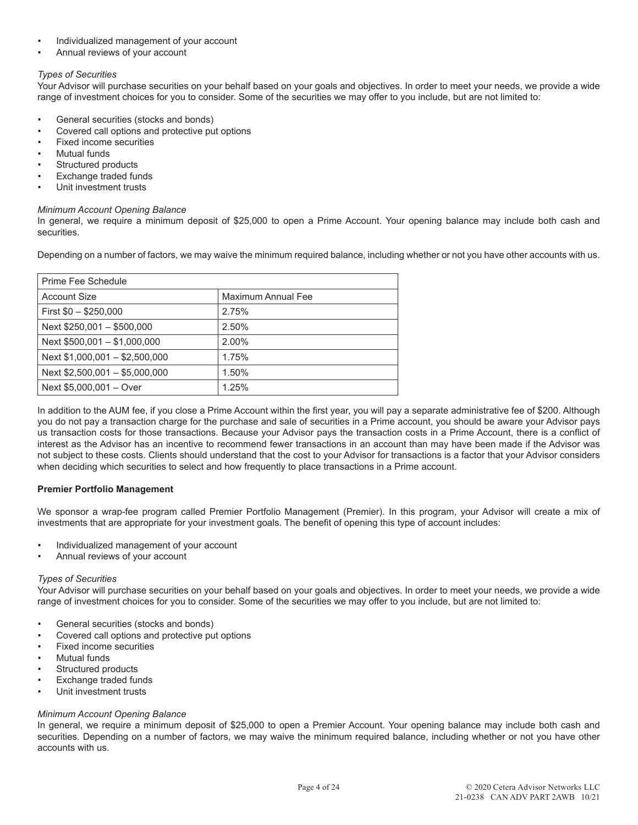- Individualized management of your account
- Annual reviews of your account

# *Types of Securities*

Your Advisor will purchase securities on your behalf based on your goals and objectives. In order to meet your needs, we provide a wide range of investment choices for you to consider. Some of the securities we may offer to you include, but are not limited to:

- General securities (stocks and bonds)
- Covered call options and protective put options
- Fixed income securities
- **Mutual funds**
- Structured products
- **Exchange traded funds**
- Unit investment trusts

#### *Minimum Account Opening Balance*

In general, we require a minimum deposit of \$25,000 to open a Prime Account. Your opening balance may include both cash and securities.

Depending on a number of factors, we may waive the minimum required balance, including whether or not you have other accounts with us.

| Prime Fee Schedule             |                    |  |
|--------------------------------|--------------------|--|
| <b>Account Size</b>            | Maximum Annual Fee |  |
| First $$0 - $250,000$          | 2.75%              |  |
| Next \$250,001 - \$500,000     | 2.50%              |  |
| Next $$500,001 - $1,000,000$   | 2.00%              |  |
| Next \$1,000,001 - \$2,500,000 | 1.75%              |  |
| Next \$2,500,001 - \$5,000,000 | 1.50%              |  |
| Next \$5,000,001 - Over        | 1.25%              |  |

In addition to the AUM fee, if you close a Prime Account within the first year, you will pay a separate administrative fee of \$200. Although you do not pay a transaction charge for the purchase and sale of securities in a Prime account, you should be aware your Advisor pays us transaction costs for those transactions. Because your Advisor pays the transaction costs in a Prime Account, there is a conflict of interest as the Advisor has an incentive to recommend fewer transactions in an account than may have been made if the Advisor was not subject to these costs. Clients should understand that the cost to your Advisor for transactions is a factor that your Advisor considers when deciding which securities to select and how frequently to place transactions in a Prime account.

# **Premier Portfolio Management**

We sponsor a wrap-fee program called Premier Portfolio Management (Premier). In this program, your Advisor will create a mix of investments that are appropriate for your investment goals. The benefit of opening this type of account includes:

- Individualized management of your account
- Annual reviews of your account

# *Types of Securities*

Your Advisor will purchase securities on your behalf based on your goals and objectives. In order to meet your needs, we provide a wide range of investment choices for you to consider. Some of the securities we may offer to you include, but are not limited to:

- General securities (stocks and bonds)
- Covered call options and protective put options
- Fixed income securities
- **Mutual funds**
- Structured products
- Exchange traded funds
- Unit investment trusts

# *Minimum Account Opening Balance*

In general, we require a minimum deposit of \$25,000 to open a Premier Account. Your opening balance may include both cash and securities. Depending on a number of factors, we may waive the minimum required balance, including whether or not you have other accounts with us.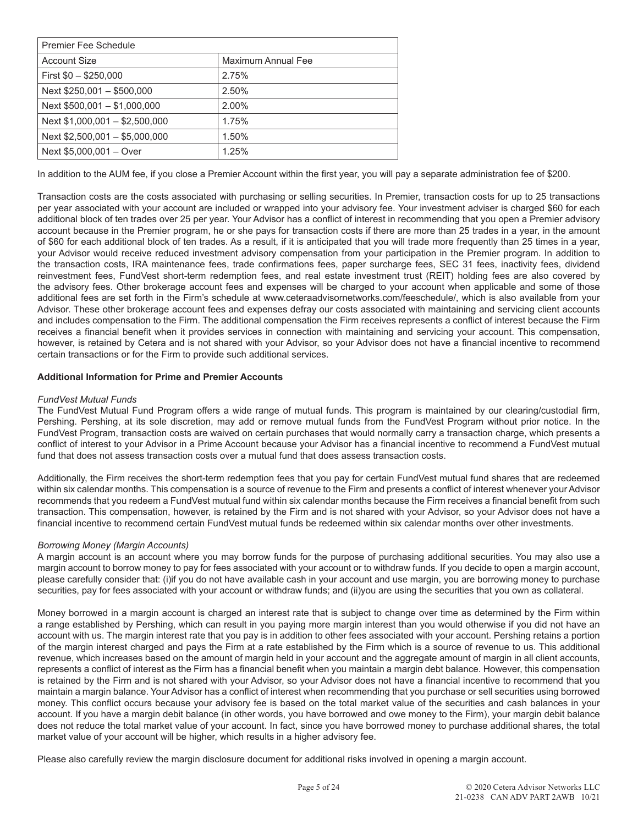| Premier Fee Schedule           |                    |  |
|--------------------------------|--------------------|--|
| <b>Account Size</b>            | Maximum Annual Fee |  |
| First $$0 - $250,000$          | 2.75%              |  |
| Next \$250,001 - \$500,000     | 2.50%              |  |
| Next $$500,001 - $1,000,000$   | 2.00%              |  |
| Next $$1,000,001 - $2,500,000$ | 1.75%              |  |
| Next \$2,500,001 - \$5,000,000 | 1.50%              |  |
| Next \$5,000,001 - Over        | 1.25%              |  |

In addition to the AUM fee, if you close a Premier Account within the first year, you will pay a separate administration fee of \$200.

Transaction costs are the costs associated with purchasing or selling securities. In Premier, transaction costs for up to 25 transactions per year associated with your account are included or wrapped into your advisory fee. Your investment adviser is charged \$60 for each additional block of ten trades over 25 per year. Your Advisor has a conflict of interest in recommending that you open a Premier advisory account because in the Premier program, he or she pays for transaction costs if there are more than 25 trades in a year, in the amount of \$60 for each additional block of ten trades. As a result, if it is anticipated that you will trade more frequently than 25 times in a year, your Advisor would receive reduced investment advisory compensation from your participation in the Premier program. In addition to the transaction costs, IRA maintenance fees, trade confirmations fees, paper surcharge fees, SEC 31 fees, inactivity fees, dividend reinvestment fees, FundVest short-term redemption fees, and real estate investment trust (REIT) holding fees are also covered by the advisory fees. Other brokerage account fees and expenses will be charged to your account when applicable and some of those additional fees are set forth in the Firm's schedule at www.ceteraadvisornetworks.com/feeschedule/, which is also available from your Advisor. These other brokerage account fees and expenses defray our costs associated with maintaining and servicing client accounts and includes compensation to the Firm. The additional compensation the Firm receives represents a conflict of interest because the Firm receives a financial benefit when it provides services in connection with maintaining and servicing your account. This compensation, however, is retained by Cetera and is not shared with your Advisor, so your Advisor does not have a financial incentive to recommend certain transactions or for the Firm to provide such additional services.

# **Additional Information for Prime and Premier Accounts**

#### *FundVest Mutual Funds*

The FundVest Mutual Fund Program offers a wide range of mutual funds. This program is maintained by our clearing/custodial firm, Pershing. Pershing, at its sole discretion, may add or remove mutual funds from the FundVest Program without prior notice. In the FundVest Program, transaction costs are waived on certain purchases that would normally carry a transaction charge, which presents a conflict of interest to your Advisor in a Prime Account because your Advisor has a financial incentive to recommend a FundVest mutual fund that does not assess transaction costs over a mutual fund that does assess transaction costs.

Additionally, the Firm receives the short-term redemption fees that you pay for certain FundVest mutual fund shares that are redeemed within six calendar months. This compensation is a source of revenue to the Firm and presents a conflict of interest whenever your Advisor recommends that you redeem a FundVest mutual fund within six calendar months because the Firm receives a financial benefit from such transaction. This compensation, however, is retained by the Firm and is not shared with your Advisor, so your Advisor does not have a financial incentive to recommend certain FundVest mutual funds be redeemed within six calendar months over other investments.

#### *Borrowing Money (Margin Accounts)*

A margin account is an account where you may borrow funds for the purpose of purchasing additional securities. You may also use a margin account to borrow money to pay for fees associated with your account or to withdraw funds. If you decide to open a margin account, please carefully consider that: (i)if you do not have available cash in your account and use margin, you are borrowing money to purchase securities, pay for fees associated with your account or withdraw funds; and (ii)you are using the securities that you own as collateral.

Money borrowed in a margin account is charged an interest rate that is subject to change over time as determined by the Firm within a range established by Pershing, which can result in you paying more margin interest than you would otherwise if you did not have an account with us. The margin interest rate that you pay is in addition to other fees associated with your account. Pershing retains a portion of the margin interest charged and pays the Firm at a rate established by the Firm which is a source of revenue to us. This additional revenue, which increases based on the amount of margin held in your account and the aggregate amount of margin in all client accounts, represents a conflict of interest as the Firm has a financial benefit when you maintain a margin debt balance. However, this compensation is retained by the Firm and is not shared with your Advisor, so your Advisor does not have a financial incentive to recommend that you maintain a margin balance. Your Advisor has a conflict of interest when recommending that you purchase or sell securities using borrowed money. This conflict occurs because your advisory fee is based on the total market value of the securities and cash balances in your account. If you have a margin debit balance (in other words, you have borrowed and owe money to the Firm), your margin debit balance does not reduce the total market value of your account. In fact, since you have borrowed money to purchase additional shares, the total market value of your account will be higher, which results in a higher advisory fee.

Please also carefully review the margin disclosure document for additional risks involved in opening a margin account.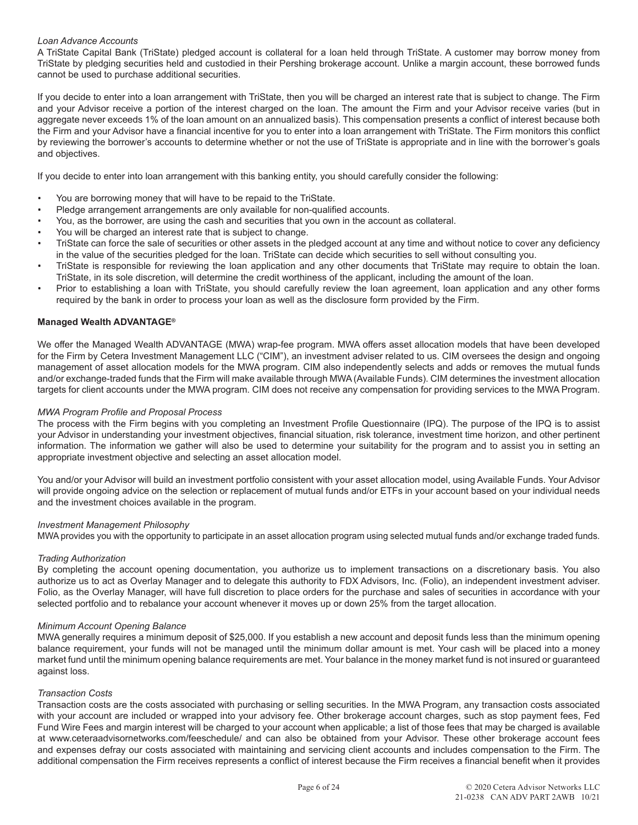# *Loan Advance Accounts*

A TriState Capital Bank (TriState) pledged account is collateral for a loan held through TriState. A customer may borrow money from TriState by pledging securities held and custodied in their Pershing brokerage account. Unlike a margin account, these borrowed funds cannot be used to purchase additional securities.

If you decide to enter into a loan arrangement with TriState, then you will be charged an interest rate that is subject to change. The Firm and your Advisor receive a portion of the interest charged on the loan. The amount the Firm and your Advisor receive varies (but in aggregate never exceeds 1% of the loan amount on an annualized basis). This compensation presents a conflict of interest because both the Firm and your Advisor have a financial incentive for you to enter into a loan arrangement with TriState. The Firm monitors this conflict by reviewing the borrower's accounts to determine whether or not the use of TriState is appropriate and in line with the borrower's goals and objectives.

If you decide to enter into loan arrangement with this banking entity, you should carefully consider the following:

- You are borrowing money that will have to be repaid to the TriState.
- Pledge arrangement arrangements are only available for non-qualified accounts.
- You, as the borrower, are using the cash and securities that you own in the account as collateral.
- You will be charged an interest rate that is subject to change.
- TriState can force the sale of securities or other assets in the pledged account at any time and without notice to cover any deficiency in the value of the securities pledged for the loan. TriState can decide which securities to sell without consulting you.
- TriState is responsible for reviewing the loan application and any other documents that TriState may require to obtain the loan. TriState, in its sole discretion, will determine the credit worthiness of the applicant, including the amount of the loan.
- Prior to establishing a loan with TriState, you should carefully review the loan agreement, loan application and any other forms required by the bank in order to process your loan as well as the disclosure form provided by the Firm.

#### **Managed Wealth ADVANTAGE®**

We offer the Managed Wealth ADVANTAGE (MWA) wrap-fee program. MWA offers asset allocation models that have been developed for the Firm by Cetera Investment Management LLC ("CIM"), an investment adviser related to us. CIM oversees the design and ongoing management of asset allocation models for the MWA program. CIM also independently selects and adds or removes the mutual funds and/or exchange-traded funds that the Firm will make available through MWA (Available Funds). CIM determines the investment allocation targets for client accounts under the MWA program. CIM does not receive any compensation for providing services to the MWA Program.

#### *MWA Program Profile and Proposal Process*

The process with the Firm begins with you completing an Investment Profile Questionnaire (IPQ). The purpose of the IPQ is to assist your Advisor in understanding your investment objectives, financial situation, risk tolerance, investment time horizon, and other pertinent information. The information we gather will also be used to determine your suitability for the program and to assist you in setting an appropriate investment objective and selecting an asset allocation model.

You and/or your Advisor will build an investment portfolio consistent with your asset allocation model, using Available Funds. Your Advisor will provide ongoing advice on the selection or replacement of mutual funds and/or ETFs in your account based on your individual needs and the investment choices available in the program.

#### *Investment Management Philosophy*

MWA provides you with the opportunity to participate in an asset allocation program using selected mutual funds and/or exchange traded funds.

#### *Trading Authorization*

By completing the account opening documentation, you authorize us to implement transactions on a discretionary basis. You also authorize us to act as Overlay Manager and to delegate this authority to FDX Advisors, Inc. (Folio), an independent investment adviser. Folio, as the Overlay Manager, will have full discretion to place orders for the purchase and sales of securities in accordance with your selected portfolio and to rebalance your account whenever it moves up or down 25% from the target allocation.

#### *Minimum Account Opening Balance*

MWA generally requires a minimum deposit of \$25,000. If you establish a new account and deposit funds less than the minimum opening balance requirement, your funds will not be managed until the minimum dollar amount is met. Your cash will be placed into a money market fund until the minimum opening balance requirements are met. Your balance in the money market fund is not insured or guaranteed against loss.

#### *Transaction Costs*

Transaction costs are the costs associated with purchasing or selling securities. In the MWA Program, any transaction costs associated with your account are included or wrapped into your advisory fee. Other brokerage account charges, such as stop payment fees, Fed Fund Wire Fees and margin interest will be charged to your account when applicable; a list of those fees that may be charged is available at www.ceteraadvisornetworks.com/feeschedule/ and can also be obtained from your Advisor. These other brokerage account fees and expenses defray our costs associated with maintaining and servicing client accounts and includes compensation to the Firm. The additional compensation the Firm receives represents a conflict of interest because the Firm receives a financial benefit when it provides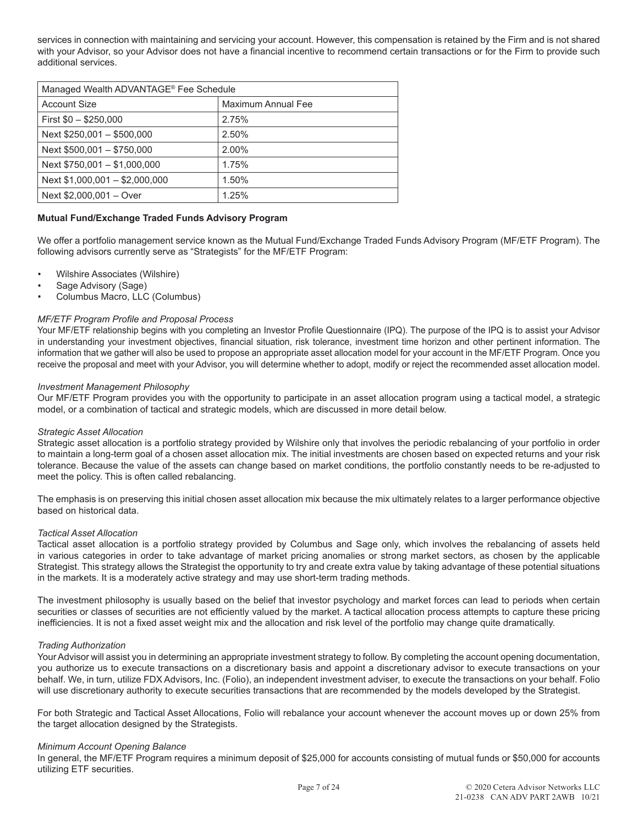services in connection with maintaining and servicing your account. However, this compensation is retained by the Firm and is not shared with your Advisor, so your Advisor does not have a financial incentive to recommend certain transactions or for the Firm to provide such additional services.

| Managed Wealth ADVANTAGE <sup>®</sup> Fee Schedule |                    |  |
|----------------------------------------------------|--------------------|--|
| <b>Account Size</b>                                | Maximum Annual Fee |  |
| First $$0 - $250,000$                              | 2.75%              |  |
| Next \$250,001 - \$500,000                         | 2.50%              |  |
| Next \$500,001 - \$750,000                         | 2.00%              |  |
| Next $$750,001 - $1,000,000$                       | 1.75%              |  |
| Next $$1,000,001 - $2,000,000$                     | 1.50%              |  |
| Next \$2,000,001 - Over                            | 1.25%              |  |

# **Mutual Fund/Exchange Traded Funds Advisory Program**

We offer a portfolio management service known as the Mutual Fund/Exchange Traded Funds Advisory Program (MF/ETF Program). The following advisors currently serve as "Strategists" for the MF/ETF Program:

- Wilshire Associates (Wilshire)
- Sage Advisory (Sage)
- Columbus Macro, LLC (Columbus)

#### *MF/ETF Program Profile and Proposal Process*

Your MF/ETF relationship begins with you completing an Investor Profile Questionnaire (IPQ). The purpose of the IPQ is to assist your Advisor in understanding your investment objectives, financial situation, risk tolerance, investment time horizon and other pertinent information. The information that we gather will also be used to propose an appropriate asset allocation model for your account in the MF/ETF Program. Once you receive the proposal and meet with your Advisor, you will determine whether to adopt, modify or reject the recommended asset allocation model.

#### *Investment Management Philosophy*

Our MF/ETF Program provides you with the opportunity to participate in an asset allocation program using a tactical model, a strategic model, or a combination of tactical and strategic models, which are discussed in more detail below.

#### *Strategic Asset Allocation*

Strategic asset allocation is a portfolio strategy provided by Wilshire only that involves the periodic rebalancing of your portfolio in order to maintain a long-term goal of a chosen asset allocation mix. The initial investments are chosen based on expected returns and your risk tolerance. Because the value of the assets can change based on market conditions, the portfolio constantly needs to be re-adjusted to meet the policy. This is often called rebalancing.

The emphasis is on preserving this initial chosen asset allocation mix because the mix ultimately relates to a larger performance objective based on historical data.

#### *Tactical Asset Allocation*

Tactical asset allocation is a portfolio strategy provided by Columbus and Sage only, which involves the rebalancing of assets held in various categories in order to take advantage of market pricing anomalies or strong market sectors, as chosen by the applicable Strategist. This strategy allows the Strategist the opportunity to try and create extra value by taking advantage of these potential situations in the markets. It is a moderately active strategy and may use short-term trading methods.

The investment philosophy is usually based on the belief that investor psychology and market forces can lead to periods when certain securities or classes of securities are not efficiently valued by the market. A tactical allocation process attempts to capture these pricing inefficiencies. It is not a fixed asset weight mix and the allocation and risk level of the portfolio may change quite dramatically.

#### *Trading Authorization*

Your Advisor will assist you in determining an appropriate investment strategy to follow. By completing the account opening documentation, you authorize us to execute transactions on a discretionary basis and appoint a discretionary advisor to execute transactions on your behalf. We, in turn, utilize FDX Advisors, Inc. (Folio), an independent investment adviser, to execute the transactions on your behalf. Folio will use discretionary authority to execute securities transactions that are recommended by the models developed by the Strategist.

For both Strategic and Tactical Asset Allocations, Folio will rebalance your account whenever the account moves up or down 25% from the target allocation designed by the Strategists.

#### *Minimum Account Opening Balance*

In general, the MF/ETF Program requires a minimum deposit of \$25,000 for accounts consisting of mutual funds or \$50,000 for accounts utilizing ETF securities.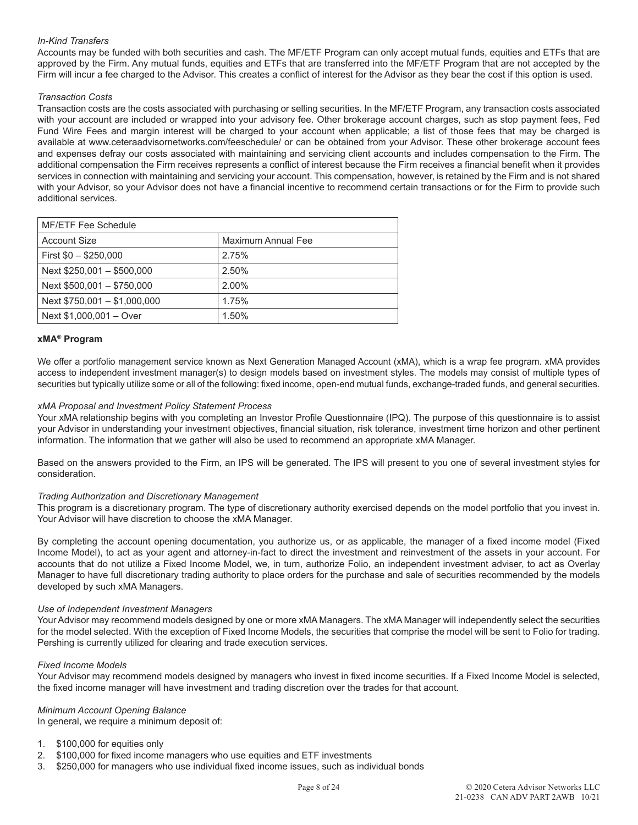# *In-Kind Transfers*

Accounts may be funded with both securities and cash. The MF/ETF Program can only accept mutual funds, equities and ETFs that are approved by the Firm. Any mutual funds, equities and ETFs that are transferred into the MF/ETF Program that are not accepted by the Firm will incur a fee charged to the Advisor. This creates a conflict of interest for the Advisor as they bear the cost if this option is used.

# *Transaction Costs*

Transaction costs are the costs associated with purchasing or selling securities. In the MF/ETF Program, any transaction costs associated with your account are included or wrapped into your advisory fee. Other brokerage account charges, such as stop payment fees, Fed Fund Wire Fees and margin interest will be charged to your account when applicable; a list of those fees that may be charged is available at www.ceteraadvisornetworks.com/feeschedule/ or can be obtained from your Advisor. These other brokerage account fees and expenses defray our costs associated with maintaining and servicing client accounts and includes compensation to the Firm. The additional compensation the Firm receives represents a conflict of interest because the Firm receives a financial benefit when it provides services in connection with maintaining and servicing your account. This compensation, however, is retained by the Firm and is not shared with your Advisor, so your Advisor does not have a financial incentive to recommend certain transactions or for the Firm to provide such additional services.

| MF/ETF Fee Schedule          |                    |  |
|------------------------------|--------------------|--|
| <b>Account Size</b>          | Maximum Annual Fee |  |
| First $$0 - $250,000$        | 2.75%              |  |
| Next \$250,001 - \$500,000   | 2.50%              |  |
| Next \$500,001 - \$750,000   | 2.00%              |  |
| Next \$750,001 - \$1,000,000 | 1.75%              |  |
| Next \$1,000,001 - Over      | 1.50%              |  |

# **xMA® Program**

We offer a portfolio management service known as Next Generation Managed Account (xMA), which is a wrap fee program. xMA provides access to independent investment manager(s) to design models based on investment styles. The models may consist of multiple types of securities but typically utilize some or all of the following: fixed income, open-end mutual funds, exchange-traded funds, and general securities.

## *xMA Proposal and Investment Policy Statement Process*

Your xMA relationship begins with you completing an Investor Profile Questionnaire (IPQ). The purpose of this questionnaire is to assist your Advisor in understanding your investment objectives, financial situation, risk tolerance, investment time horizon and other pertinent information. The information that we gather will also be used to recommend an appropriate xMA Manager.

Based on the answers provided to the Firm, an IPS will be generated. The IPS will present to you one of several investment styles for consideration.

#### *Trading Authorization and Discretionary Management*

This program is a discretionary program. The type of discretionary authority exercised depends on the model portfolio that you invest in. Your Advisor will have discretion to choose the xMA Manager.

By completing the account opening documentation, you authorize us, or as applicable, the manager of a fixed income model (Fixed Income Model), to act as your agent and attorney-in-fact to direct the investment and reinvestment of the assets in your account. For accounts that do not utilize a Fixed Income Model, we, in turn, authorize Folio, an independent investment adviser, to act as Overlay Manager to have full discretionary trading authority to place orders for the purchase and sale of securities recommended by the models developed by such xMA Managers.

#### *Use of Independent Investment Managers*

Your Advisor may recommend models designed by one or more xMA Managers. The xMA Manager will independently select the securities for the model selected. With the exception of Fixed Income Models, the securities that comprise the model will be sent to Folio for trading. Pershing is currently utilized for clearing and trade execution services.

#### *Fixed Income Models*

Your Advisor may recommend models designed by managers who invest in fixed income securities. If a Fixed Income Model is selected, the fixed income manager will have investment and trading discretion over the trades for that account.

# *Minimum Account Opening Balance*

In general, we require a minimum deposit of:

- 1. \$100,000 for equities only
- 2. \$100,000 for fixed income managers who use equities and ETF investments
- 3. \$250,000 for managers who use individual fixed income issues, such as individual bonds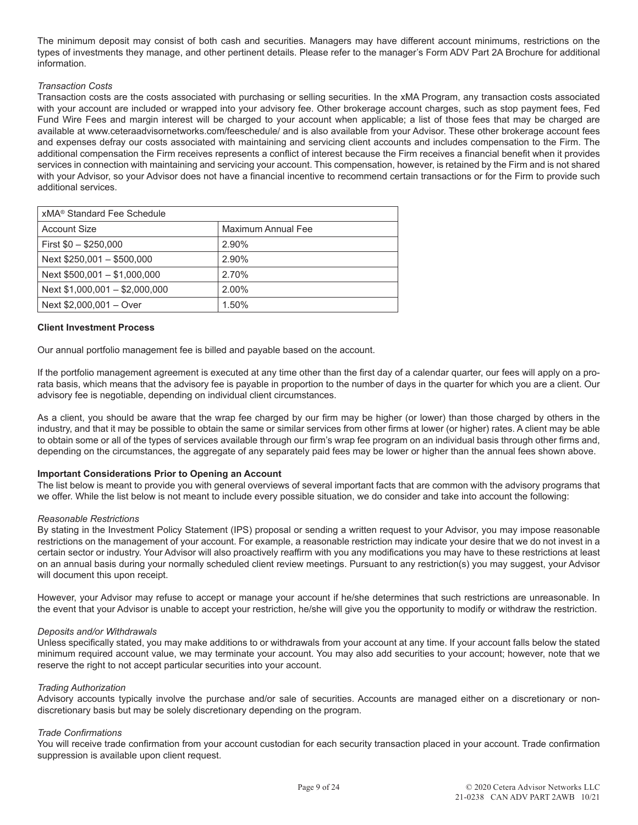The minimum deposit may consist of both cash and securities. Managers may have different account minimums, restrictions on the types of investments they manage, and other pertinent details. Please refer to the manager's Form ADV Part 2A Brochure for additional information.

# *Transaction Costs*

Transaction costs are the costs associated with purchasing or selling securities. In the xMA Program, any transaction costs associated with your account are included or wrapped into your advisory fee. Other brokerage account charges, such as stop payment fees, Fed Fund Wire Fees and margin interest will be charged to your account when applicable; a list of those fees that may be charged are available at www.ceteraadvisornetworks.com/feeschedule/ and is also available from your Advisor. These other brokerage account fees and expenses defray our costs associated with maintaining and servicing client accounts and includes compensation to the Firm. The additional compensation the Firm receives represents a conflict of interest because the Firm receives a financial benefit when it provides services in connection with maintaining and servicing your account. This compensation, however, is retained by the Firm and is not shared with your Advisor, so your Advisor does not have a financial incentive to recommend certain transactions or for the Firm to provide such additional services.

| xMA <sup>®</sup> Standard Fee Schedule |                    |
|----------------------------------------|--------------------|
| <b>Account Size</b>                    | Maximum Annual Fee |
| First $$0 - $250,000$                  | 2.90%              |
| Next \$250,001 - \$500,000             | 2.90%              |
| Next \$500,001 - \$1,000,000           | 2.70%              |
| Next \$1,000,001 - \$2,000,000         | 2.00%              |
| Next \$2,000,001 - Over                | 1.50%              |

# **Client Investment Process**

Our annual portfolio management fee is billed and payable based on the account.

If the portfolio management agreement is executed at any time other than the first day of a calendar quarter, our fees will apply on a prorata basis, which means that the advisory fee is payable in proportion to the number of days in the quarter for which you are a client. Our advisory fee is negotiable, depending on individual client circumstances.

As a client, you should be aware that the wrap fee charged by our firm may be higher (or lower) than those charged by others in the industry, and that it may be possible to obtain the same or similar services from other firms at lower (or higher) rates. A client may be able to obtain some or all of the types of services available through our firm's wrap fee program on an individual basis through other firms and, depending on the circumstances, the aggregate of any separately paid fees may be lower or higher than the annual fees shown above.

# **Important Considerations Prior to Opening an Account**

The list below is meant to provide you with general overviews of several important facts that are common with the advisory programs that we offer. While the list below is not meant to include every possible situation, we do consider and take into account the following:

# *Reasonable Restrictions*

By stating in the Investment Policy Statement (IPS) proposal or sending a written request to your Advisor, you may impose reasonable restrictions on the management of your account. For example, a reasonable restriction may indicate your desire that we do not invest in a certain sector or industry. Your Advisor will also proactively reaffirm with you any modifications you may have to these restrictions at least on an annual basis during your normally scheduled client review meetings. Pursuant to any restriction(s) you may suggest, your Advisor will document this upon receipt.

However, your Advisor may refuse to accept or manage your account if he/she determines that such restrictions are unreasonable. In the event that your Advisor is unable to accept your restriction, he/she will give you the opportunity to modify or withdraw the restriction.

# *Deposits and/or Withdrawals*

Unless specifically stated, you may make additions to or withdrawals from your account at any time. If your account falls below the stated minimum required account value, we may terminate your account. You may also add securities to your account; however, note that we reserve the right to not accept particular securities into your account.

# *Trading Authorization*

Advisory accounts typically involve the purchase and/or sale of securities. Accounts are managed either on a discretionary or nondiscretionary basis but may be solely discretionary depending on the program.

# *Trade Confirmations*

You will receive trade confirmation from your account custodian for each security transaction placed in your account. Trade confirmation suppression is available upon client request.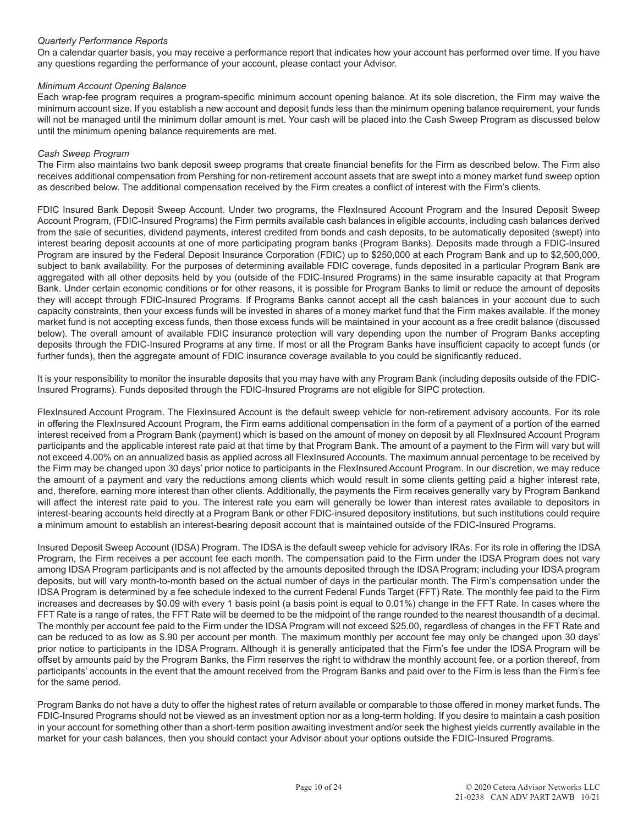# *Quarterly Performance Reports*

On a calendar quarter basis, you may receive a performance report that indicates how your account has performed over time. If you have any questions regarding the performance of your account, please contact your Advisor.

# *Minimum Account Opening Balance*

Each wrap-fee program requires a program-specific minimum account opening balance. At its sole discretion, the Firm may waive the minimum account size. If you establish a new account and deposit funds less than the minimum opening balance requirement, your funds will not be managed until the minimum dollar amount is met. Your cash will be placed into the Cash Sweep Program as discussed below until the minimum opening balance requirements are met.

## *Cash Sweep Program*

The Firm also maintains two bank deposit sweep programs that create financial benefits for the Firm as described below. The Firm also receives additional compensation from Pershing for non-retirement account assets that are swept into a money market fund sweep option as described below. The additional compensation received by the Firm creates a conflict of interest with the Firm's clients.

FDIC Insured Bank Deposit Sweep Account. Under two programs, the FlexInsured Account Program and the Insured Deposit Sweep Account Program, (FDIC-Insured Programs) the Firm permits available cash balances in eligible accounts, including cash balances derived from the sale of securities, dividend payments, interest credited from bonds and cash deposits, to be automatically deposited (swept) into interest bearing deposit accounts at one of more participating program banks (Program Banks). Deposits made through a FDIC-Insured Program are insured by the Federal Deposit Insurance Corporation (FDIC) up to \$250,000 at each Program Bank and up to \$2,500,000, subject to bank availability. For the purposes of determining available FDIC coverage, funds deposited in a particular Program Bank are aggregated with all other deposits held by you (outside of the FDIC-Insured Programs) in the same insurable capacity at that Program Bank. Under certain economic conditions or for other reasons, it is possible for Program Banks to limit or reduce the amount of deposits they will accept through FDIC-Insured Programs. If Programs Banks cannot accept all the cash balances in your account due to such capacity constraints, then your excess funds will be invested in shares of a money market fund that the Firm makes available. If the money market fund is not accepting excess funds, then those excess funds will be maintained in your account as a free credit balance (discussed below). The overall amount of available FDIC insurance protection will vary depending upon the number of Program Banks accepting deposits through the FDIC-Insured Programs at any time. If most or all the Program Banks have insufficient capacity to accept funds (or further funds), then the aggregate amount of FDIC insurance coverage available to you could be significantly reduced.

It is your responsibility to monitor the insurable deposits that you may have with any Program Bank (including deposits outside of the FDIC-Insured Programs). Funds deposited through the FDIC-Insured Programs are not eligible for SIPC protection.

FlexInsured Account Program. The FlexInsured Account is the default sweep vehicle for non-retirement advisory accounts. For its role in offering the FlexInsured Account Program, the Firm earns additional compensation in the form of a payment of a portion of the earned interest received from a Program Bank (payment) which is based on the amount of money on deposit by all FlexInsured Account Program participants and the applicable interest rate paid at that time by that Program Bank. The amount of a payment to the Firm will vary but will not exceed 4.00% on an annualized basis as applied across all FlexInsured Accounts. The maximum annual percentage to be received by the Firm may be changed upon 30 days' prior notice to participants in the FlexInsured Account Program. In our discretion, we may reduce the amount of a payment and vary the reductions among clients which would result in some clients getting paid a higher interest rate, and, therefore, earning more interest than other clients. Additionally, the payments the Firm receives generally vary by Program Bankand will affect the interest rate paid to you. The interest rate you earn will generally be lower than interest rates available to depositors in interest-bearing accounts held directly at a Program Bank or other FDIC-insured depository institutions, but such institutions could require a minimum amount to establish an interest-bearing deposit account that is maintained outside of the FDIC-Insured Programs.

Insured Deposit Sweep Account (IDSA) Program. The IDSA is the default sweep vehicle for advisory IRAs. For its role in offering the IDSA Program, the Firm receives a per account fee each month. The compensation paid to the Firm under the IDSA Program does not vary among IDSA Program participants and is not affected by the amounts deposited through the IDSA Program; including your IDSA program deposits, but will vary month-to-month based on the actual number of days in the particular month. The Firm's compensation under the IDSA Program is determined by a fee schedule indexed to the current Federal Funds Target (FFT) Rate. The monthly fee paid to the Firm increases and decreases by \$0.09 with every 1 basis point (a basis point is equal to 0.01%) change in the FFT Rate. In cases where the FFT Rate is a range of rates, the FFT Rate will be deemed to be the midpoint of the range rounded to the nearest thousandth of a decimal. The monthly per account fee paid to the Firm under the IDSA Program will not exceed \$25.00, regardless of changes in the FFT Rate and can be reduced to as low as \$.90 per account per month. The maximum monthly per account fee may only be changed upon 30 days' prior notice to participants in the IDSA Program. Although it is generally anticipated that the Firm's fee under the IDSA Program will be offset by amounts paid by the Program Banks, the Firm reserves the right to withdraw the monthly account fee, or a portion thereof, from participants' accounts in the event that the amount received from the Program Banks and paid over to the Firm is less than the Firm's fee for the same period.

Program Banks do not have a duty to offer the highest rates of return available or comparable to those offered in money market funds. The FDIC-Insured Programs should not be viewed as an investment option nor as a long-term holding. If you desire to maintain a cash position in your account for something other than a short-term position awaiting investment and/or seek the highest yields currently available in the market for your cash balances, then you should contact your Advisor about your options outside the FDIC-Insured Programs.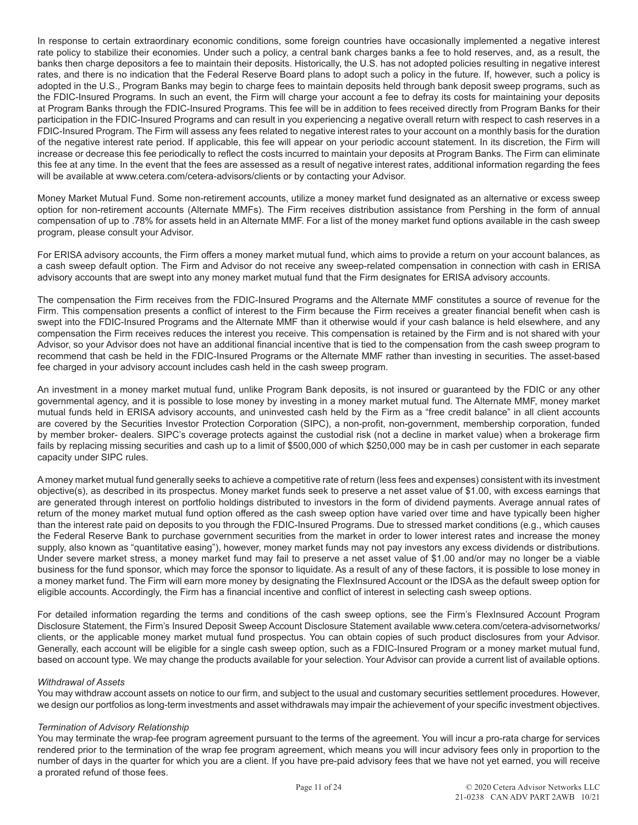In response to certain extraordinary economic conditions, some foreign countries have occasionally implemented a negative interest rate policy to stabilize their economies. Under such a policy, a central bank charges banks a fee to hold reserves, and, as a result, the banks then charge depositors a fee to maintain their deposits. Historically, the U.S. has not adopted policies resulting in negative interest rates, and there is no indication that the Federal Reserve Board plans to adopt such a policy in the future. If, however, such a policy is adopted in the U.S., Program Banks may begin to charge fees to maintain deposits held through bank deposit sweep programs, such as the FDIC-Insured Programs. In such an event, the Firm will charge your account a fee to defray its costs for maintaining your deposits at Program Banks through the FDIC-Insured Programs. This fee will be in addition to fees received directly from Program Banks for their participation in the FDIC-Insured Programs and can result in you experiencing a negative overall return with respect to cash reserves in a FDIC-Insured Program. The Firm will assess any fees related to negative interest rates to your account on a monthly basis for the duration of the negative interest rate period. If applicable, this fee will appear on your periodic account statement. In its discretion, the Firm will increase or decrease this fee periodically to reflect the costs incurred to maintain your deposits at Program Banks. The Firm can eliminate this fee at any time. In the event that the fees are assessed as a result of negative interest rates, additional information regarding the fees will be available at www.cetera.com/cetera-advisors/clients or by contacting your Advisor.

Money Market Mutual Fund. Some non-retirement accounts, utilize a money market fund designated as an alternative or excess sweep option for non-retirement accounts (Alternate MMFs). The Firm receives distribution assistance from Pershing in the form of annual compensation of up to .78% for assets held in an Alternate MMF. For a list of the money market fund options available in the cash sweep program, please consult your Advisor.

For ERISA advisory accounts, the Firm offers a money market mutual fund, which aims to provide a return on your account balances, as a cash sweep default option. The Firm and Advisor do not receive any sweep-related compensation in connection with cash in ERISA advisory accounts that are swept into any money market mutual fund that the Firm designates for ERISA advisory accounts.

The compensation the Firm receives from the FDIC-Insured Programs and the Alternate MMF constitutes a source of revenue for the Firm. This compensation presents a conflict of interest to the Firm because the Firm receives a greater financial benefit when cash is swept into the FDIC-Insured Programs and the Alternate MMF than it otherwise would if your cash balance is held elsewhere, and any compensation the Firm receives reduces the interest you receive. This compensation is retained by the Firm and is not shared with your Advisor, so your Advisor does not have an additional financial incentive that is tied to the compensation from the cash sweep program to recommend that cash be held in the FDIC-Insured Programs or the Alternate MMF rather than investing in securities. The asset-based fee charged in your advisory account includes cash held in the cash sweep program.

An investment in a money market mutual fund, unlike Program Bank deposits, is not insured or guaranteed by the FDIC or any other governmental agency, and it is possible to lose money by investing in a money market mutual fund. The Alternate MMF, money market mutual funds held in ERISA advisory accounts, and uninvested cash held by the Firm as a "free credit balance" in all client accounts are covered by the Securities Investor Protection Corporation (SIPC), a non-profit, non-government, membership corporation, funded by member broker- dealers. SIPC's coverage protects against the custodial risk (not a decline in market value) when a brokerage firm fails by replacing missing securities and cash up to a limit of \$500,000 of which \$250,000 may be in cash per customer in each separate capacity under SIPC rules.

A money market mutual fund generally seeks to achieve a competitive rate of return (less fees and expenses) consistent with its investment objective(s), as described in its prospectus. Money market funds seek to preserve a net asset value of \$1.00, with excess earnings that are generated through interest on portfolio holdings distributed to investors in the form of dividend payments. Average annual rates of return of the money market mutual fund option offered as the cash sweep option have varied over time and have typically been higher than the interest rate paid on deposits to you through the FDIC-Insured Programs. Due to stressed market conditions (e.g., which causes the Federal Reserve Bank to purchase government securities from the market in order to lower interest rates and increase the money supply, also known as "quantitative easing"), however, money market funds may not pay investors any excess dividends or distributions. Under severe market stress, a money market fund may fail to preserve a net asset value of \$1.00 and/or may no longer be a viable business for the fund sponsor, which may force the sponsor to liquidate. As a result of any of these factors, it is possible to lose money in a money market fund. The Firm will earn more money by designating the FlexInsured Account or the IDSA as the default sweep option for eligible accounts. Accordingly, the Firm has a financial incentive and conflict of interest in selecting cash sweep options.

For detailed information regarding the terms and conditions of the cash sweep options, see the Firm's FlexInsured Account Program Disclosure Statement, the Firm's Insured Deposit Sweep Account Disclosure Statement available www.cetera.com/cetera-advisornetworks/ clients, or the applicable money market mutual fund prospectus. You can obtain copies of such product disclosures from your Advisor. Generally, each account will be eligible for a single cash sweep option, such as a FDIC-Insured Program or a money market mutual fund, based on account type. We may change the products available for your selection. Your Advisor can provide a current list of available options.

# *Withdrawal of Assets*

You may withdraw account assets on notice to our firm, and subject to the usual and customary securities settlement procedures. However, we design our portfolios as long-term investments and asset withdrawals may impair the achievement of your specific investment objectives.

#### *Termination of Advisory Relationship*

You may terminate the wrap-fee program agreement pursuant to the terms of the agreement. You will incur a pro-rata charge for services rendered prior to the termination of the wrap fee program agreement, which means you will incur advisory fees only in proportion to the number of days in the quarter for which you are a client. If you have pre-paid advisory fees that we have not yet earned, you will receive a prorated refund of those fees.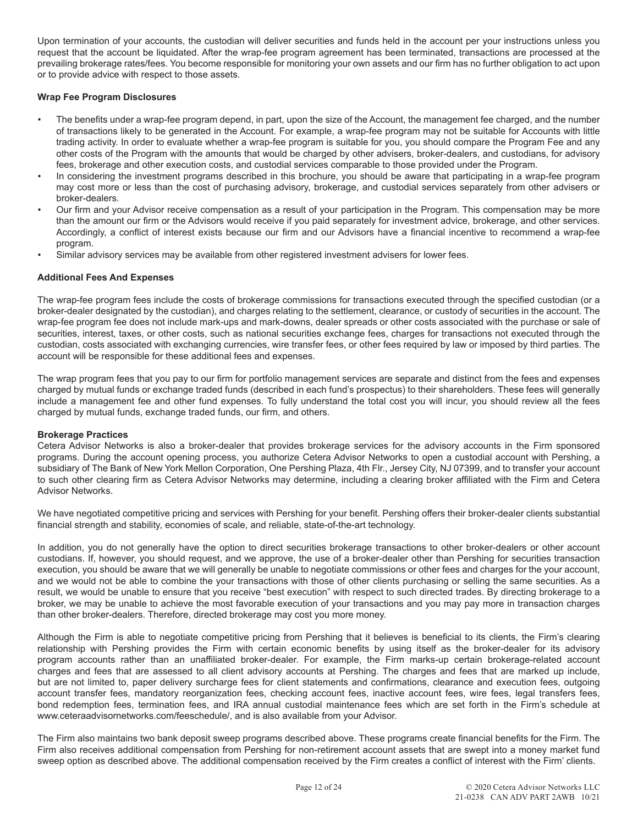Upon termination of your accounts, the custodian will deliver securities and funds held in the account per your instructions unless you request that the account be liquidated. After the wrap-fee program agreement has been terminated, transactions are processed at the prevailing brokerage rates/fees. You become responsible for monitoring your own assets and our firm has no further obligation to act upon or to provide advice with respect to those assets.

# **Wrap Fee Program Disclosures**

- The benefits under a wrap-fee program depend, in part, upon the size of the Account, the management fee charged, and the number of transactions likely to be generated in the Account. For example, a wrap-fee program may not be suitable for Accounts with little trading activity. In order to evaluate whether a wrap-fee program is suitable for you, you should compare the Program Fee and any other costs of the Program with the amounts that would be charged by other advisers, broker-dealers, and custodians, for advisory fees, brokerage and other execution costs, and custodial services comparable to those provided under the Program.
- In considering the investment programs described in this brochure, you should be aware that participating in a wrap-fee program may cost more or less than the cost of purchasing advisory, brokerage, and custodial services separately from other advisers or broker-dealers.
- Our firm and your Advisor receive compensation as a result of your participation in the Program. This compensation may be more than the amount our firm or the Advisors would receive if you paid separately for investment advice, brokerage, and other services. Accordingly, a conflict of interest exists because our firm and our Advisors have a financial incentive to recommend a wrap-fee program.
- Similar advisory services may be available from other registered investment advisers for lower fees.

#### **Additional Fees And Expenses**

The wrap-fee program fees include the costs of brokerage commissions for transactions executed through the specified custodian (or a broker-dealer designated by the custodian), and charges relating to the settlement, clearance, or custody of securities in the account. The wrap-fee program fee does not include mark-ups and mark-downs, dealer spreads or other costs associated with the purchase or sale of securities, interest, taxes, or other costs, such as national securities exchange fees, charges for transactions not executed through the custodian, costs associated with exchanging currencies, wire transfer fees, or other fees required by law or imposed by third parties. The account will be responsible for these additional fees and expenses.

The wrap program fees that you pay to our firm for portfolio management services are separate and distinct from the fees and expenses charged by mutual funds or exchange traded funds (described in each fund's prospectus) to their shareholders. These fees will generally include a management fee and other fund expenses. To fully understand the total cost you will incur, you should review all the fees charged by mutual funds, exchange traded funds, our firm, and others.

#### **Brokerage Practices**

Cetera Advisor Networks is also a broker-dealer that provides brokerage services for the advisory accounts in the Firm sponsored programs. During the account opening process, you authorize Cetera Advisor Networks to open a custodial account with Pershing, a subsidiary of The Bank of New York Mellon Corporation, One Pershing Plaza, 4th Flr., Jersey City, NJ 07399, and to transfer your account to such other clearing firm as Cetera Advisor Networks may determine, including a clearing broker affiliated with the Firm and Cetera Advisor Networks.

We have negotiated competitive pricing and services with Pershing for your benefit. Pershing offers their broker-dealer clients substantial financial strength and stability, economies of scale, and reliable, state-of-the-art technology.

In addition, you do not generally have the option to direct securities brokerage transactions to other broker-dealers or other account custodians. If, however, you should request, and we approve, the use of a broker-dealer other than Pershing for securities transaction execution, you should be aware that we will generally be unable to negotiate commissions or other fees and charges for the your account, and we would not be able to combine the your transactions with those of other clients purchasing or selling the same securities. As a result, we would be unable to ensure that you receive "best execution" with respect to such directed trades. By directing brokerage to a broker, we may be unable to achieve the most favorable execution of your transactions and you may pay more in transaction charges than other broker-dealers. Therefore, directed brokerage may cost you more money.

Although the Firm is able to negotiate competitive pricing from Pershing that it believes is beneficial to its clients, the Firm's clearing relationship with Pershing provides the Firm with certain economic benefits by using itself as the broker-dealer for its advisory program accounts rather than an unaffiliated broker-dealer. For example, the Firm marks-up certain brokerage-related account charges and fees that are assessed to all client advisory accounts at Pershing. The charges and fees that are marked up include, but are not limited to, paper delivery surcharge fees for client statements and confirmations, clearance and execution fees, outgoing account transfer fees, mandatory reorganization fees, checking account fees, inactive account fees, wire fees, legal transfers fees, bond redemption fees, termination fees, and IRA annual custodial maintenance fees which are set forth in the Firm's schedule at www.ceteraadvisornetworks.com/feeschedule/, and is also available from your Advisor.

The Firm also maintains two bank deposit sweep programs described above. These programs create financial benefits for the Firm. The Firm also receives additional compensation from Pershing for non-retirement account assets that are swept into a money market fund sweep option as described above. The additional compensation received by the Firm creates a conflict of interest with the Firm' clients.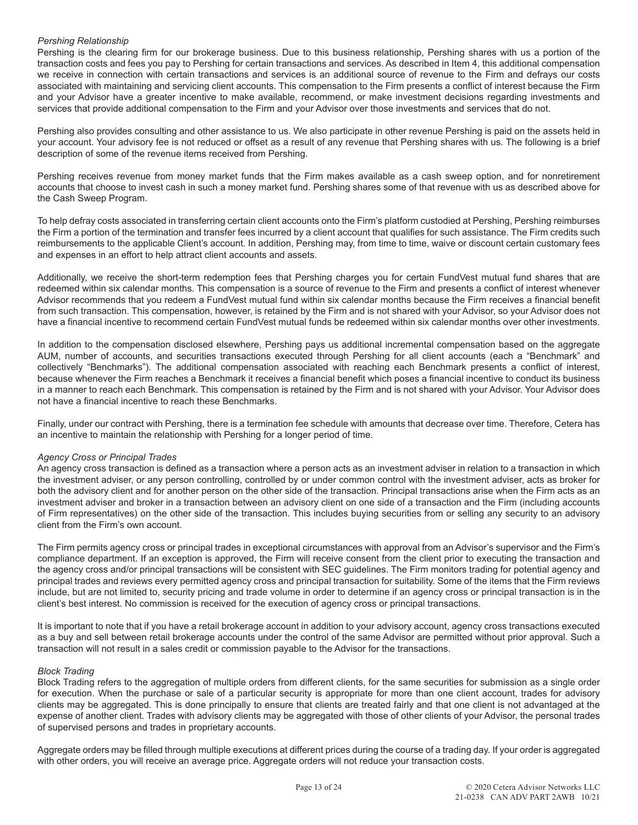# *Pershing Relationship*

Pershing is the clearing firm for our brokerage business. Due to this business relationship, Pershing shares with us a portion of the transaction costs and fees you pay to Pershing for certain transactions and services. As described in Item 4, this additional compensation we receive in connection with certain transactions and services is an additional source of revenue to the Firm and defrays our costs associated with maintaining and servicing client accounts. This compensation to the Firm presents a conflict of interest because the Firm and your Advisor have a greater incentive to make available, recommend, or make investment decisions regarding investments and services that provide additional compensation to the Firm and your Advisor over those investments and services that do not.

Pershing also provides consulting and other assistance to us. We also participate in other revenue Pershing is paid on the assets held in your account. Your advisory fee is not reduced or offset as a result of any revenue that Pershing shares with us. The following is a brief description of some of the revenue items received from Pershing.

Pershing receives revenue from money market funds that the Firm makes available as a cash sweep option, and for nonretirement accounts that choose to invest cash in such a money market fund. Pershing shares some of that revenue with us as described above for the Cash Sweep Program.

To help defray costs associated in transferring certain client accounts onto the Firm's platform custodied at Pershing, Pershing reimburses the Firm a portion of the termination and transfer fees incurred by a client account that qualifies for such assistance. The Firm credits such reimbursements to the applicable Client's account. In addition, Pershing may, from time to time, waive or discount certain customary fees and expenses in an effort to help attract client accounts and assets.

Additionally, we receive the short-term redemption fees that Pershing charges you for certain FundVest mutual fund shares that are redeemed within six calendar months. This compensation is a source of revenue to the Firm and presents a conflict of interest whenever Advisor recommends that you redeem a FundVest mutual fund within six calendar months because the Firm receives a financial benefit from such transaction. This compensation, however, is retained by the Firm and is not shared with your Advisor, so your Advisor does not have a financial incentive to recommend certain FundVest mutual funds be redeemed within six calendar months over other investments.

In addition to the compensation disclosed elsewhere, Pershing pays us additional incremental compensation based on the aggregate AUM, number of accounts, and securities transactions executed through Pershing for all client accounts (each a "Benchmark" and collectively "Benchmarks"). The additional compensation associated with reaching each Benchmark presents a conflict of interest, because whenever the Firm reaches a Benchmark it receives a financial benefit which poses a financial incentive to conduct its business in a manner to reach each Benchmark. This compensation is retained by the Firm and is not shared with your Advisor. Your Advisor does not have a financial incentive to reach these Benchmarks.

Finally, under our contract with Pershing, there is a termination fee schedule with amounts that decrease over time. Therefore, Cetera has an incentive to maintain the relationship with Pershing for a longer period of time.

# *Agency Cross or Principal Trades*

An agency cross transaction is defined as a transaction where a person acts as an investment adviser in relation to a transaction in which the investment adviser, or any person controlling, controlled by or under common control with the investment adviser, acts as broker for both the advisory client and for another person on the other side of the transaction. Principal transactions arise when the Firm acts as an investment adviser and broker in a transaction between an advisory client on one side of a transaction and the Firm (including accounts of Firm representatives) on the other side of the transaction. This includes buying securities from or selling any security to an advisory client from the Firm's own account.

The Firm permits agency cross or principal trades in exceptional circumstances with approval from an Advisor's supervisor and the Firm's compliance department. If an exception is approved, the Firm will receive consent from the client prior to executing the transaction and the agency cross and/or principal transactions will be consistent with SEC guidelines. The Firm monitors trading for potential agency and principal trades and reviews every permitted agency cross and principal transaction for suitability. Some of the items that the Firm reviews include, but are not limited to, security pricing and trade volume in order to determine if an agency cross or principal transaction is in the client's best interest. No commission is received for the execution of agency cross or principal transactions.

It is important to note that if you have a retail brokerage account in addition to your advisory account, agency cross transactions executed as a buy and sell between retail brokerage accounts under the control of the same Advisor are permitted without prior approval. Such a transaction will not result in a sales credit or commission payable to the Advisor for the transactions.

#### *Block Trading*

Block Trading refers to the aggregation of multiple orders from different clients, for the same securities for submission as a single order for execution. When the purchase or sale of a particular security is appropriate for more than one client account, trades for advisory clients may be aggregated. This is done principally to ensure that clients are treated fairly and that one client is not advantaged at the expense of another client. Trades with advisory clients may be aggregated with those of other clients of your Advisor, the personal trades of supervised persons and trades in proprietary accounts.

Aggregate orders may be filled through multiple executions at different prices during the course of a trading day. If your order is aggregated with other orders, you will receive an average price. Aggregate orders will not reduce your transaction costs.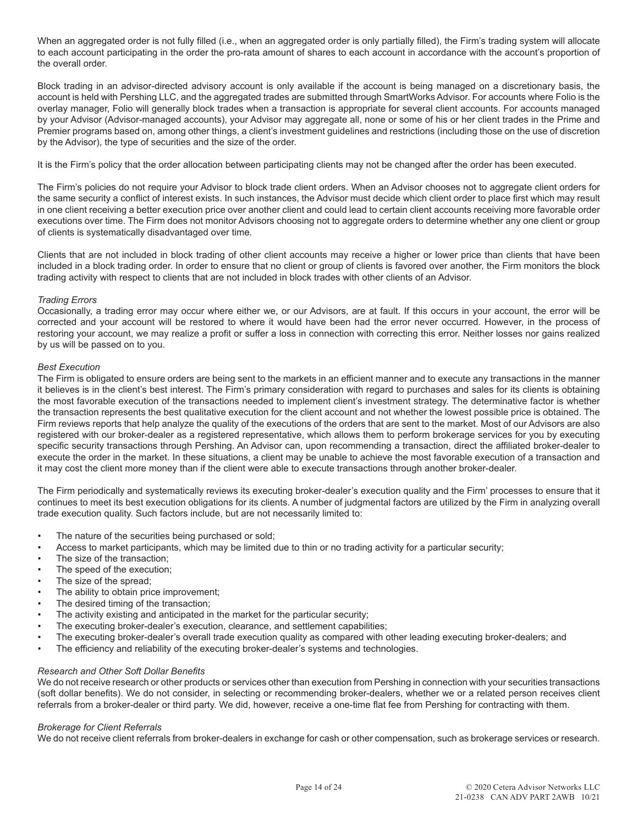When an aggregated order is not fully filled (i.e., when an aggregated order is only partially filled), the Firm's trading system will allocate to each account participating in the order the pro-rata amount of shares to each account in accordance with the account's proportion of the overall order.

Block trading in an advisor-directed advisory account is only available if the account is being managed on a discretionary basis, the account is held with Pershing LLC, and the aggregated trades are submitted through SmartWorks Advisor. For accounts where Folio is the overlay manager, Folio will generally block trades when a transaction is appropriate for several client accounts. For accounts managed by your Advisor (Advisor-managed accounts), your Advisor may aggregate all, none or some of his or her client trades in the Prime and Premier programs based on, among other things, a client's investment guidelines and restrictions (including those on the use of discretion by the Advisor), the type of securities and the size of the order.

It is the Firm's policy that the order allocation between participating clients may not be changed after the order has been executed.

The Firm's policies do not require your Advisor to block trade client orders. When an Advisor chooses not to aggregate client orders for the same security a conflict of interest exists. In such instances, the Advisor must decide which client order to place first which may result in one client receiving a better execution price over another client and could lead to certain client accounts receiving more favorable order executions over time. The Firm does not monitor Advisors choosing not to aggregate orders to determine whether any one client or group of clients is systematically disadvantaged over time.

Clients that are not included in block trading of other client accounts may receive a higher or lower price than clients that have been included in a block trading order. In order to ensure that no client or group of clients is favored over another, the Firm monitors the block trading activity with respect to clients that are not included in block trades with other clients of an Advisor.

# *Trading Errors*

Occasionally, a trading error may occur where either we, or our Advisors, are at fault. If this occurs in your account, the error will be corrected and your account will be restored to where it would have been had the error never occurred. However, in the process of restoring your account, we may realize a profit or suffer a loss in connection with correcting this error. Neither losses nor gains realized by us will be passed on to you.

# *Best Execution*

The Firm is obligated to ensure orders are being sent to the markets in an efficient manner and to execute any transactions in the manner it believes is in the client's best interest. The Firm's primary consideration with regard to purchases and sales for its clients is obtaining the most favorable execution of the transactions needed to implement client's investment strategy. The determinative factor is whether the transaction represents the best qualitative execution for the client account and not whether the lowest possible price is obtained. The Firm reviews reports that help analyze the quality of the executions of the orders that are sent to the market. Most of our Advisors are also registered with our broker-dealer as a registered representative, which allows them to perform brokerage services for you by executing specific security transactions through Pershing. An Advisor can, upon recommending a transaction, direct the affiliated broker-dealer to execute the order in the market. In these situations, a client may be unable to achieve the most favorable execution of a transaction and it may cost the client more money than if the client were able to execute transactions through another broker-dealer.

The Firm periodically and systematically reviews its executing broker-dealer's execution quality and the Firm' processes to ensure that it continues to meet its best execution obligations for its clients. A number of judgmental factors are utilized by the Firm in analyzing overall trade execution quality. Such factors include, but are not necessarily limited to:

- The nature of the securities being purchased or sold;
- Access to market participants, which may be limited due to thin or no trading activity for a particular security;
- The size of the transaction:
- The speed of the execution;
- The size of the spread;
- The ability to obtain price improvement;
- The desired timing of the transaction;
- The activity existing and anticipated in the market for the particular security;
- The executing broker-dealer's execution, clearance, and settlement capabilities;
- The executing broker-dealer's overall trade execution quality as compared with other leading executing broker-dealers; and
- The efficiency and reliability of the executing broker-dealer's systems and technologies.

# *Research and Other Soft Dollar Benefits*

We do not receive research or other products or services other than execution from Pershing in connection with your securities transactions (soft dollar benefits). We do not consider, in selecting or recommending broker-dealers, whether we or a related person receives client referrals from a broker-dealer or third party. We did, however, receive a one-time flat fee from Pershing for contracting with them.

# *Brokerage for Client Referrals*

We do not receive client referrals from broker-dealers in exchange for cash or other compensation, such as brokerage services or research.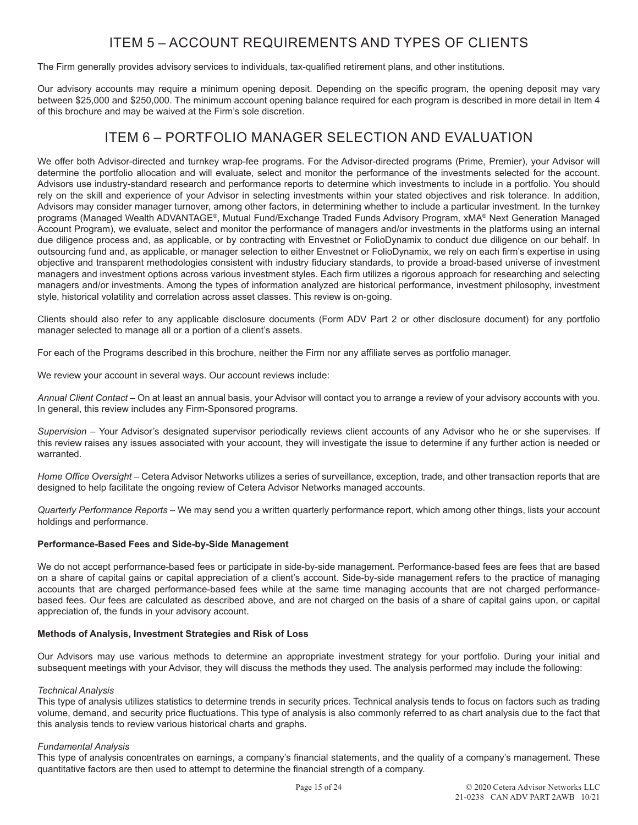# ITEM 5 – ACCOUNT REQUIREMENTS AND TYPES OF CLIENTS

The Firm generally provides advisory services to individuals, tax-qualified retirement plans, and other institutions.

Our advisory accounts may require a minimum opening deposit. Depending on the specific program, the opening deposit may vary between \$25,000 and \$250,000. The minimum account opening balance required for each program is described in more detail in Item 4 of this brochure and may be waived at the Firm's sole discretion.

# ITEM 6 – PORTFOLIO MANAGER SELECTION AND EVALUATION

We offer both Advisor-directed and turnkey wrap-fee programs. For the Advisor-directed programs (Prime, Premier), your Advisor will determine the portfolio allocation and will evaluate, select and monitor the performance of the investments selected for the account. Advisors use industry-standard research and performance reports to determine which investments to include in a portfolio. You should rely on the skill and experience of your Advisor in selecting investments within your stated objectives and risk tolerance. In addition, Advisors may consider manager turnover, among other factors, in determining whether to include a particular investment. In the turnkey programs (Managed Wealth ADVANTAGE®, Mutual Fund/Exchange Traded Funds Advisory Program, xMA® Next Generation Managed Account Program), we evaluate, select and monitor the performance of managers and/or investments in the platforms using an internal due diligence process and, as applicable, or by contracting with Envestnet or FolioDynamix to conduct due diligence on our behalf. In outsourcing fund and, as applicable, or manager selection to either Envestnet or FolioDynamix, we rely on each firm's expertise in using objective and transparent methodologies consistent with industry fiduciary standards, to provide a broad-based universe of investment managers and investment options across various investment styles. Each firm utilizes a rigorous approach for researching and selecting managers and/or investments. Among the types of information analyzed are historical performance, investment philosophy, investment style, historical volatility and correlation across asset classes. This review is on-going.

Clients should also refer to any applicable disclosure documents (Form ADV Part 2 or other disclosure document) for any portfolio manager selected to manage all or a portion of a client's assets.

For each of the Programs described in this brochure, neither the Firm nor any affiliate serves as portfolio manager.

We review your account in several ways. Our account reviews include:

*Annual Client Contact* – On at least an annual basis, your Advisor will contact you to arrange a review of your advisory accounts with you. In general, this review includes any Firm-Sponsored programs.

*Supervision* – Your Advisor's designated supervisor periodically reviews client accounts of any Advisor who he or she supervises. If this review raises any issues associated with your account, they will investigate the issue to determine if any further action is needed or warranted.

*Home Office Oversight* – Cetera Advisor Networks utilizes a series of surveillance, exception, trade, and other transaction reports that are designed to help facilitate the ongoing review of Cetera Advisor Networks managed accounts.

*Quarterly Performance Reports* – We may send you a written quarterly performance report, which among other things, lists your account holdings and performance.

# **Performance-Based Fees and Side-by-Side Management**

We do not accept performance-based fees or participate in side-by-side management. Performance-based fees are fees that are based on a share of capital gains or capital appreciation of a client's account. Side-by-side management refers to the practice of managing accounts that are charged performance-based fees while at the same time managing accounts that are not charged performancebased fees. Our fees are calculated as described above, and are not charged on the basis of a share of capital gains upon, or capital appreciation of, the funds in your advisory account.

# **Methods of Analysis, Investment Strategies and Risk of Loss**

Our Advisors may use various methods to determine an appropriate investment strategy for your portfolio. During your initial and subsequent meetings with your Advisor, they will discuss the methods they used. The analysis performed may include the following:

# *Technical Analysis*

This type of analysis utilizes statistics to determine trends in security prices. Technical analysis tends to focus on factors such as trading volume, demand, and security price fluctuations. This type of analysis is also commonly referred to as chart analysis due to the fact that this analysis tends to review various historical charts and graphs.

# *Fundamental Analysis*

This type of analysis concentrates on earnings, a company's financial statements, and the quality of a company's management. These quantitative factors are then used to attempt to determine the financial strength of a company.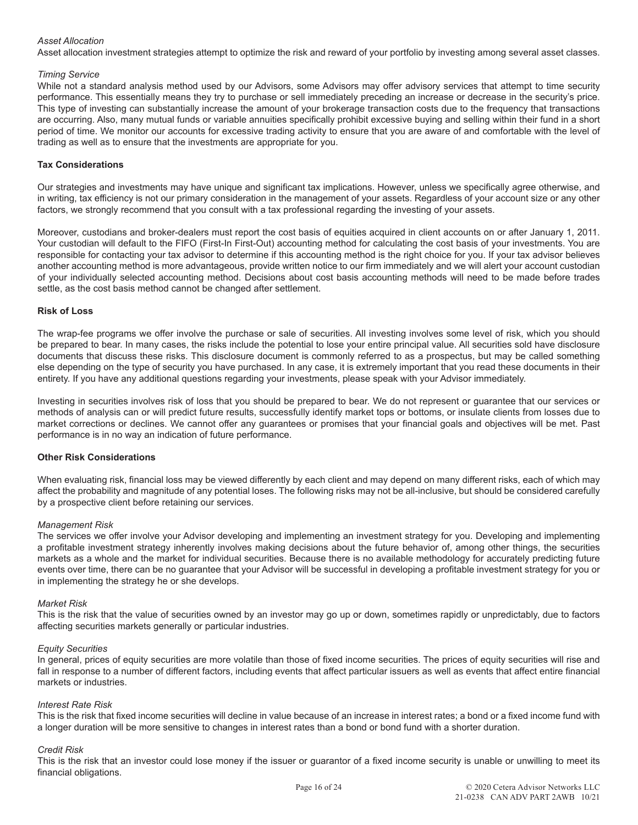# *Asset Allocation*

Asset allocation investment strategies attempt to optimize the risk and reward of your portfolio by investing among several asset classes.

### *Timing Service*

While not a standard analysis method used by our Advisors, some Advisors may offer advisory services that attempt to time security performance. This essentially means they try to purchase or sell immediately preceding an increase or decrease in the security's price. This type of investing can substantially increase the amount of your brokerage transaction costs due to the frequency that transactions are occurring. Also, many mutual funds or variable annuities specifically prohibit excessive buying and selling within their fund in a short period of time. We monitor our accounts for excessive trading activity to ensure that you are aware of and comfortable with the level of trading as well as to ensure that the investments are appropriate for you.

## **Tax Considerations**

Our strategies and investments may have unique and significant tax implications. However, unless we specifically agree otherwise, and in writing, tax efficiency is not our primary consideration in the management of your assets. Regardless of your account size or any other factors, we strongly recommend that you consult with a tax professional regarding the investing of your assets.

Moreover, custodians and broker-dealers must report the cost basis of equities acquired in client accounts on or after January 1, 2011. Your custodian will default to the FIFO (First-In First-Out) accounting method for calculating the cost basis of your investments. You are responsible for contacting your tax advisor to determine if this accounting method is the right choice for you. If your tax advisor believes another accounting method is more advantageous, provide written notice to our firm immediately and we will alert your account custodian of your individually selected accounting method. Decisions about cost basis accounting methods will need to be made before trades settle, as the cost basis method cannot be changed after settlement.

#### **Risk of Loss**

The wrap-fee programs we offer involve the purchase or sale of securities. All investing involves some level of risk, which you should be prepared to bear. In many cases, the risks include the potential to lose your entire principal value. All securities sold have disclosure documents that discuss these risks. This disclosure document is commonly referred to as a prospectus, but may be called something else depending on the type of security you have purchased. In any case, it is extremely important that you read these documents in their entirety. If you have any additional questions regarding your investments, please speak with your Advisor immediately.

Investing in securities involves risk of loss that you should be prepared to bear. We do not represent or guarantee that our services or methods of analysis can or will predict future results, successfully identify market tops or bottoms, or insulate clients from losses due to market corrections or declines. We cannot offer any guarantees or promises that your financial goals and objectives will be met. Past performance is in no way an indication of future performance.

# **Other Risk Considerations**

When evaluating risk, financial loss may be viewed differently by each client and may depend on many different risks, each of which may affect the probability and magnitude of any potential loses. The following risks may not be all-inclusive, but should be considered carefully by a prospective client before retaining our services.

#### *Management Risk*

The services we offer involve your Advisor developing and implementing an investment strategy for you. Developing and implementing a profitable investment strategy inherently involves making decisions about the future behavior of, among other things, the securities markets as a whole and the market for individual securities. Because there is no available methodology for accurately predicting future events over time, there can be no guarantee that your Advisor will be successful in developing a profitable investment strategy for you or in implementing the strategy he or she develops.

#### *Market Risk*

This is the risk that the value of securities owned by an investor may go up or down, sometimes rapidly or unpredictably, due to factors affecting securities markets generally or particular industries.

#### *Equity Securities*

In general, prices of equity securities are more volatile than those of fixed income securities. The prices of equity securities will rise and fall in response to a number of different factors, including events that affect particular issuers as well as events that affect entire financial markets or industries.

#### *Interest Rate Risk*

This is the risk that fixed income securities will decline in value because of an increase in interest rates; a bond or a fixed income fund with a longer duration will be more sensitive to changes in interest rates than a bond or bond fund with a shorter duration.

#### *Credit Risk*

This is the risk that an investor could lose money if the issuer or guarantor of a fixed income security is unable or unwilling to meet its financial obligations.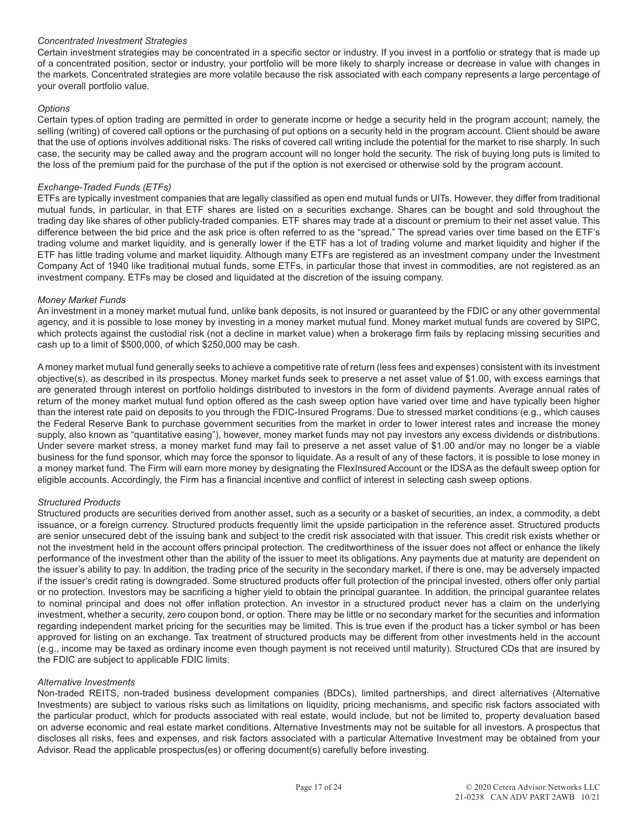# *Concentrated Investment Strategies*

Certain investment strategies may be concentrated in a specific sector or industry. If you invest in a portfolio or strategy that is made up of a concentrated position, sector or industry, your portfolio will be more likely to sharply increase or decrease in value with changes in the markets. Concentrated strategies are more volatile because the risk associated with each company represents a large percentage of your overall portfolio value.

# *Options*

Certain types of option trading are permitted in order to generate income or hedge a security held in the program account; namely, the selling (writing) of covered call options or the purchasing of put options on a security held in the program account. Client should be aware that the use of options involves additional risks. The risks of covered call writing include the potential for the market to rise sharply. In such case, the security may be called away and the program account will no longer hold the security. The risk of buying long puts is limited to the loss of the premium paid for the purchase of the put if the option is not exercised or otherwise sold by the program account.

# *Exchange-Traded Funds (ETFs)*

ETFs are typically investment companies that are legally classified as open end mutual funds or UITs. However, they differ from traditional mutual funds, in particular, in that ETF shares are listed on a securities exchange. Shares can be bought and sold throughout the trading day like shares of other publicly-traded companies. ETF shares may trade at a discount or premium to their net asset value. This difference between the bid price and the ask price is often referred to as the "spread." The spread varies over time based on the ETF's trading volume and market liquidity, and is generally lower if the ETF has a lot of trading volume and market liquidity and higher if the ETF has little trading volume and market liquidity. Although many ETFs are registered as an investment company under the Investment Company Act of 1940 like traditional mutual funds, some ETFs, in particular those that invest in commodities, are not registered as an investment company. ETFs may be closed and liquidated at the discretion of the issuing company.

# *Money Market Funds*

An investment in a money market mutual fund, unlike bank deposits, is not insured or guaranteed by the FDIC or any other governmental agency, and it is possible to lose money by investing in a money market mutual fund. Money market mutual funds are covered by SIPC, which protects against the custodial risk (not a decline in market value) when a brokerage firm fails by replacing missing securities and cash up to a limit of \$500,000, of which \$250,000 may be cash.

A money market mutual fund generally seeks to achieve a competitive rate of return (less fees and expenses) consistent with its investment objective(s), as described in its prospectus. Money market funds seek to preserve a net asset value of \$1.00, with excess earnings that are generated through interest on portfolio holdings distributed to investors in the form of dividend payments. Average annual rates of return of the money market mutual fund option offered as the cash sweep option have varied over time and have typically been higher than the interest rate paid on deposits to you through the FDIC-Insured Programs. Due to stressed market conditions (e.g., which causes the Federal Reserve Bank to purchase government securities from the market in order to lower interest rates and increase the money supply, also known as "quantitative easing"), however, money market funds may not pay investors any excess dividends or distributions. Under severe market stress, a money market fund may fail to preserve a net asset value of \$1.00 and/or may no longer be a viable business for the fund sponsor, which may force the sponsor to liquidate. As a result of any of these factors, it is possible to lose money in a money market fund. The Firm will earn more money by designating the FlexInsured Account or the IDSA as the default sweep option for eligible accounts. Accordingly, the Firm has a financial incentive and conflict of interest in selecting cash sweep options.

# *Structured Products*

Structured products are securities derived from another asset, such as a security or a basket of securities, an index, a commodity, a debt issuance, or a foreign currency. Structured products frequently limit the upside participation in the reference asset. Structured products are senior unsecured debt of the issuing bank and subject to the credit risk associated with that issuer. This credit risk exists whether or not the investment held in the account offers principal protection. The creditworthiness of the issuer does not affect or enhance the likely performance of the investment other than the ability of the issuer to meet its obligations. Any payments due at maturity are dependent on the issuer's ability to pay. In addition, the trading price of the security in the secondary market, if there is one, may be adversely impacted if the issuer's credit rating is downgraded. Some structured products offer full protection of the principal invested, others offer only partial or no protection. Investors may be sacrificing a higher yield to obtain the principal guarantee. In addition, the principal guarantee relates to nominal principal and does not offer inflation protection. An investor in a structured product never has a claim on the underlying investment, whether a security, zero coupon bond, or option. There may be little or no secondary market for the securities and information regarding independent market pricing for the securities may be limited. This is true even if the product has a ticker symbol or has been approved for listing on an exchange. Tax treatment of structured products may be different from other investments held in the account (e.g., income may be taxed as ordinary income even though payment is not received until maturity). Structured CDs that are insured by the FDIC are subject to applicable FDIC limits.

# *Alternative Investments*

Non-traded REITS, non-traded business development companies (BDCs), limited partnerships, and direct alternatives (Alternative Investments) are subject to various risks such as limitations on liquidity, pricing mechanisms, and specific risk factors associated with the particular product, which for products associated with real estate, would include, but not be limited to, property devaluation based on adverse economic and real estate market conditions. Alternative Investments may not be suitable for all investors. A prospectus that discloses all risks, fees and expenses, and risk factors associated with a particular Alternative Investment may be obtained from your Advisor. Read the applicable prospectus(es) or offering document(s) carefully before investing.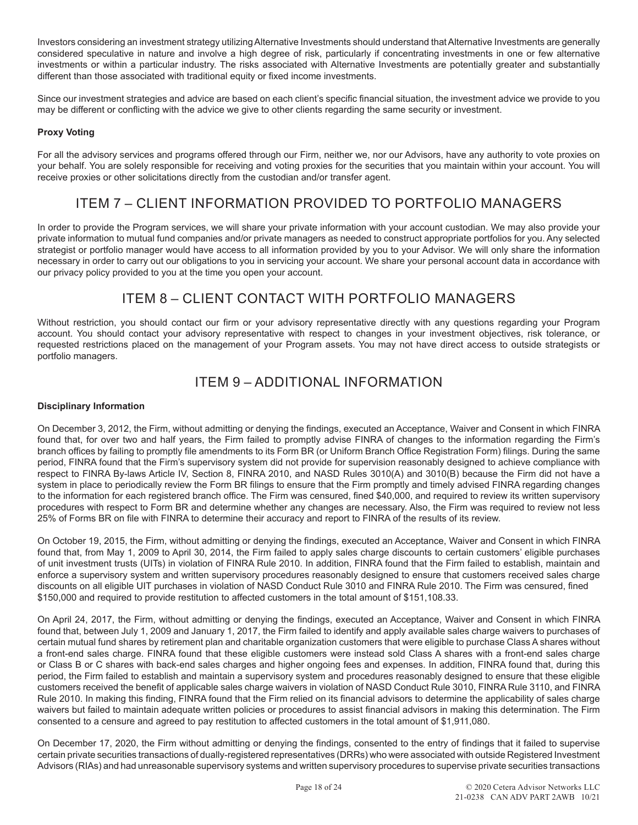Investors considering an investment strategy utilizing Alternative Investments should understand that Alternative Investments are generally considered speculative in nature and involve a high degree of risk, particularly if concentrating investments in one or few alternative investments or within a particular industry. The risks associated with Alternative Investments are potentially greater and substantially different than those associated with traditional equity or fixed income investments.

Since our investment strategies and advice are based on each client's specific financial situation, the investment advice we provide to you may be different or conflicting with the advice we give to other clients regarding the same security or investment.

# **Proxy Voting**

For all the advisory services and programs offered through our Firm, neither we, nor our Advisors, have any authority to vote proxies on your behalf. You are solely responsible for receiving and voting proxies for the securities that you maintain within your account. You will receive proxies or other solicitations directly from the custodian and/or transfer agent.

# ITEM 7 – CLIENT INFORMATION PROVIDED TO PORTFOLIO MANAGERS

In order to provide the Program services, we will share your private information with your account custodian. We may also provide your private information to mutual fund companies and/or private managers as needed to construct appropriate portfolios for you. Any selected strategist or portfolio manager would have access to all information provided by you to your Advisor. We will only share the information necessary in order to carry out our obligations to you in servicing your account. We share your personal account data in accordance with our privacy policy provided to you at the time you open your account.

# ITEM 8 – CLIENT CONTACT WITH PORTFOLIO MANAGERS

Without restriction, you should contact our firm or your advisory representative directly with any questions regarding your Program account. You should contact your advisory representative with respect to changes in your investment objectives, risk tolerance, or requested restrictions placed on the management of your Program assets. You may not have direct access to outside strategists or portfolio managers.

# ITEM 9 – ADDITIONAL INFORMATION

# **Disciplinary Information**

On December 3, 2012, the Firm, without admitting or denying the findings, executed an Acceptance, Waiver and Consent in which FINRA found that, for over two and half years, the Firm failed to promptly advise FINRA of changes to the information regarding the Firm's branch offices by failing to promptly file amendments to its Form BR (or Uniform Branch Office Registration Form) filings. During the same period, FINRA found that the Firm's supervisory system did not provide for supervision reasonably designed to achieve compliance with respect to FINRA By-laws Article IV, Section 8, FINRA 2010, and NASD Rules 3010(A) and 3010(B) because the Firm did not have a system in place to periodically review the Form BR filings to ensure that the Firm promptly and timely advised FINRA regarding changes to the information for each registered branch office. The Firm was censured, fined \$40,000, and required to review its written supervisory procedures with respect to Form BR and determine whether any changes are necessary. Also, the Firm was required to review not less 25% of Forms BR on file with FINRA to determine their accuracy and report to FINRA of the results of its review.

On October 19, 2015, the Firm, without admitting or denying the findings, executed an Acceptance, Waiver and Consent in which FINRA found that, from May 1, 2009 to April 30, 2014, the Firm failed to apply sales charge discounts to certain customers' eligible purchases of unit investment trusts (UITs) in violation of FINRA Rule 2010. In addition, FINRA found that the Firm failed to establish, maintain and enforce a supervisory system and written supervisory procedures reasonably designed to ensure that customers received sales charge discounts on all eligible UIT purchases in violation of NASD Conduct Rule 3010 and FINRA Rule 2010. The Firm was censured, fined \$150,000 and required to provide restitution to affected customers in the total amount of \$151,108.33.

On April 24, 2017, the Firm, without admitting or denying the findings, executed an Acceptance, Waiver and Consent in which FINRA found that, between July 1, 2009 and January 1, 2017, the Firm failed to identify and apply available sales charge waivers to purchases of certain mutual fund shares by retirement plan and charitable organization customers that were eligible to purchase Class A shares without a front-end sales charge. FINRA found that these eligible customers were instead sold Class A shares with a front-end sales charge or Class B or C shares with back-end sales charges and higher ongoing fees and expenses. In addition, FINRA found that, during this period, the Firm failed to establish and maintain a supervisory system and procedures reasonably designed to ensure that these eligible customers received the benefit of applicable sales charge waivers in violation of NASD Conduct Rule 3010, FINRA Rule 3110, and FINRA Rule 2010. In making this finding, FINRA found that the Firm relied on its financial advisors to determine the applicability of sales charge waivers but failed to maintain adequate written policies or procedures to assist financial advisors in making this determination. The Firm consented to a censure and agreed to pay restitution to affected customers in the total amount of \$1,911,080.

On December 17, 2020, the Firm without admitting or denying the findings, consented to the entry of findings that it failed to supervise certain private securities transactions of dually-registered representatives (DRRs) who were associated with outside Registered Investment Advisors (RIAs) and had unreasonable supervisory systems and written supervisory procedures to supervise private securities transactions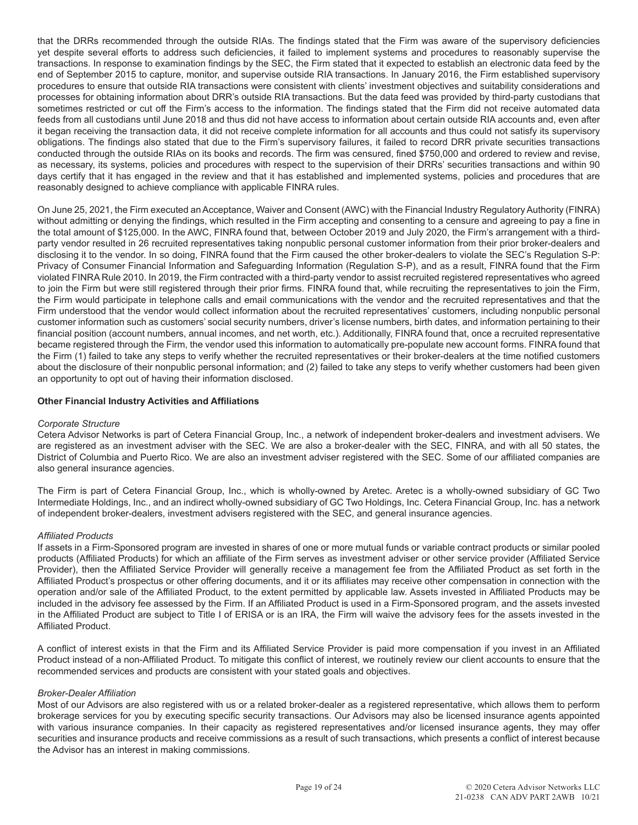that the DRRs recommended through the outside RIAs. The findings stated that the Firm was aware of the supervisory deficiencies yet despite several efforts to address such deficiencies, it failed to implement systems and procedures to reasonably supervise the transactions. In response to examination findings by the SEC, the Firm stated that it expected to establish an electronic data feed by the end of September 2015 to capture, monitor, and supervise outside RIA transactions. In January 2016, the Firm established supervisory procedures to ensure that outside RIA transactions were consistent with clients' investment objectives and suitability considerations and processes for obtaining information about DRR's outside RIA transactions. But the data feed was provided by third-party custodians that sometimes restricted or cut off the Firm's access to the information. The findings stated that the Firm did not receive automated data feeds from all custodians until June 2018 and thus did not have access to information about certain outside RIA accounts and, even after it began receiving the transaction data, it did not receive complete information for all accounts and thus could not satisfy its supervisory obligations. The findings also stated that due to the Firm's supervisory failures, it failed to record DRR private securities transactions conducted through the outside RIAs on its books and records. The firm was censured, fined \$750,000 and ordered to review and revise, as necessary, its systems, policies and procedures with respect to the supervision of their DRRs' securities transactions and within 90 days certify that it has engaged in the review and that it has established and implemented systems, policies and procedures that are reasonably designed to achieve compliance with applicable FINRA rules.

On June 25, 2021, the Firm executed an Acceptance, Waiver and Consent (AWC) with the Financial Industry Regulatory Authority (FINRA) without admitting or denying the findings, which resulted in the Firm accepting and consenting to a censure and agreeing to pay a fine in the total amount of \$125,000. In the AWC, FINRA found that, between October 2019 and July 2020, the Firm's arrangement with a thirdparty vendor resulted in 26 recruited representatives taking nonpublic personal customer information from their prior broker-dealers and disclosing it to the vendor. In so doing, FINRA found that the Firm caused the other broker-dealers to violate the SEC's Regulation S-P: Privacy of Consumer Financial Information and Safeguarding Information (Regulation S-P), and as a result, FINRA found that the Firm violated FINRA Rule 2010. In 2019, the Firm contracted with a third-party vendor to assist recruited registered representatives who agreed to join the Firm but were still registered through their prior firms. FINRA found that, while recruiting the representatives to join the Firm, the Firm would participate in telephone calls and email communications with the vendor and the recruited representatives and that the Firm understood that the vendor would collect information about the recruited representatives' customers, including nonpublic personal customer information such as customers' social security numbers, driver's license numbers, birth dates, and information pertaining to their financial position (account numbers, annual incomes, and net worth, etc.). Additionally, FINRA found that, once a recruited representative became registered through the Firm, the vendor used this information to automatically pre-populate new account forms. FINRA found that the Firm (1) failed to take any steps to verify whether the recruited representatives or their broker-dealers at the time notified customers about the disclosure of their nonpublic personal information; and (2) failed to take any steps to verify whether customers had been given an opportunity to opt out of having their information disclosed.

# **Other Financial Industry Activities and Affiliations**

# *Corporate Structure*

Cetera Advisor Networks is part of Cetera Financial Group, Inc., a network of independent broker-dealers and investment advisers. We are registered as an investment adviser with the SEC. We are also a broker-dealer with the SEC, FINRA, and with all 50 states, the District of Columbia and Puerto Rico. We are also an investment adviser registered with the SEC. Some of our affiliated companies are also general insurance agencies.

The Firm is part of Cetera Financial Group, Inc., which is wholly-owned by Aretec. Aretec is a wholly-owned subsidiary of GC Two Intermediate Holdings, Inc., and an indirect wholly-owned subsidiary of GC Two Holdings, Inc. Cetera Financial Group, Inc. has a network of independent broker-dealers, investment advisers registered with the SEC, and general insurance agencies.

# *Affiliated Products*

If assets in a Firm-Sponsored program are invested in shares of one or more mutual funds or variable contract products or similar pooled products (Affiliated Products) for which an affiliate of the Firm serves as investment adviser or other service provider (Affiliated Service Provider), then the Affiliated Service Provider will generally receive a management fee from the Affiliated Product as set forth in the Affiliated Product's prospectus or other offering documents, and it or its affiliates may receive other compensation in connection with the operation and/or sale of the Affiliated Product, to the extent permitted by applicable law. Assets invested in Affiliated Products may be included in the advisory fee assessed by the Firm. If an Affiliated Product is used in a Firm-Sponsored program, and the assets invested in the Affiliated Product are subject to Title I of ERISA or is an IRA, the Firm will waive the advisory fees for the assets invested in the Affiliated Product.

A conflict of interest exists in that the Firm and its Affiliated Service Provider is paid more compensation if you invest in an Affiliated Product instead of a non-Affiliated Product. To mitigate this conflict of interest, we routinely review our client accounts to ensure that the recommended services and products are consistent with your stated goals and objectives.

# *Broker-Dealer Affiliation*

Most of our Advisors are also registered with us or a related broker-dealer as a registered representative, which allows them to perform brokerage services for you by executing specific security transactions. Our Advisors may also be licensed insurance agents appointed with various insurance companies. In their capacity as registered representatives and/or licensed insurance agents, they may offer securities and insurance products and receive commissions as a result of such transactions, which presents a conflict of interest because the Advisor has an interest in making commissions.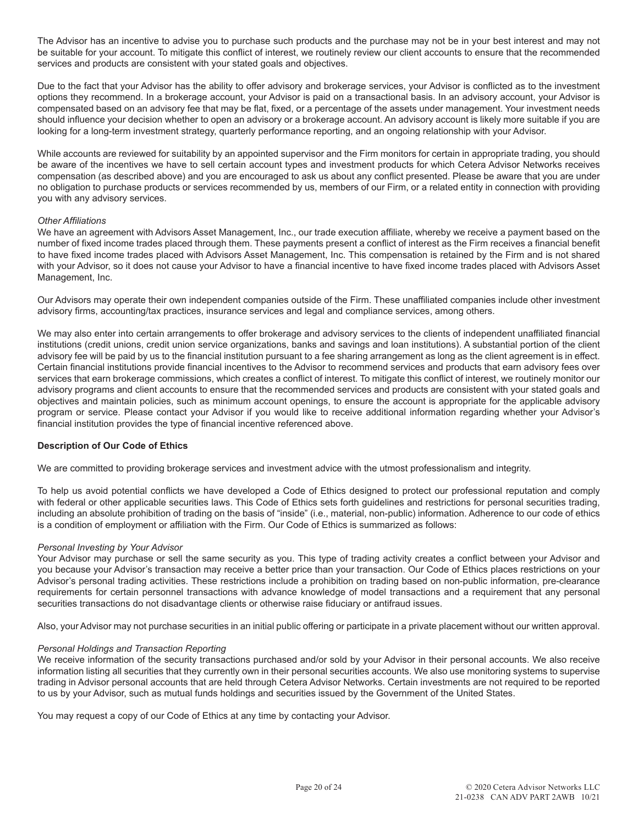The Advisor has an incentive to advise you to purchase such products and the purchase may not be in your best interest and may not be suitable for your account. To mitigate this conflict of interest, we routinely review our client accounts to ensure that the recommended services and products are consistent with your stated goals and objectives.

Due to the fact that your Advisor has the ability to offer advisory and brokerage services, your Advisor is conflicted as to the investment options they recommend. In a brokerage account, your Advisor is paid on a transactional basis. In an advisory account, your Advisor is compensated based on an advisory fee that may be flat, fixed, or a percentage of the assets under management. Your investment needs should influence your decision whether to open an advisory or a brokerage account. An advisory account is likely more suitable if you are looking for a long-term investment strategy, quarterly performance reporting, and an ongoing relationship with your Advisor.

While accounts are reviewed for suitability by an appointed supervisor and the Firm monitors for certain in appropriate trading, you should be aware of the incentives we have to sell certain account types and investment products for which Cetera Advisor Networks receives compensation (as described above) and you are encouraged to ask us about any conflict presented. Please be aware that you are under no obligation to purchase products or services recommended by us, members of our Firm, or a related entity in connection with providing you with any advisory services.

# *Other Affiliations*

We have an agreement with Advisors Asset Management, Inc., our trade execution affiliate, whereby we receive a payment based on the number of fixed income trades placed through them. These payments present a conflict of interest as the Firm receives a financial benefit to have fixed income trades placed with Advisors Asset Management, Inc. This compensation is retained by the Firm and is not shared with your Advisor, so it does not cause your Advisor to have a financial incentive to have fixed income trades placed with Advisors Asset Management, Inc.

Our Advisors may operate their own independent companies outside of the Firm. These unaffiliated companies include other investment advisory firms, accounting/tax practices, insurance services and legal and compliance services, among others.

We may also enter into certain arrangements to offer brokerage and advisory services to the clients of independent unaffiliated financial institutions (credit unions, credit union service organizations, banks and savings and loan institutions). A substantial portion of the client advisory fee will be paid by us to the financial institution pursuant to a fee sharing arrangement as long as the client agreement is in effect. Certain financial institutions provide financial incentives to the Advisor to recommend services and products that earn advisory fees over services that earn brokerage commissions, which creates a conflict of interest. To mitigate this conflict of interest, we routinely monitor our advisory programs and client accounts to ensure that the recommended services and products are consistent with your stated goals and objectives and maintain policies, such as minimum account openings, to ensure the account is appropriate for the applicable advisory program or service. Please contact your Advisor if you would like to receive additional information regarding whether your Advisor's financial institution provides the type of financial incentive referenced above.

# **Description of Our Code of Ethics**

We are committed to providing brokerage services and investment advice with the utmost professionalism and integrity.

To help us avoid potential conflicts we have developed a Code of Ethics designed to protect our professional reputation and comply with federal or other applicable securities laws. This Code of Ethics sets forth guidelines and restrictions for personal securities trading, including an absolute prohibition of trading on the basis of "inside" (i.e., material, non-public) information. Adherence to our code of ethics is a condition of employment or affiliation with the Firm. Our Code of Ethics is summarized as follows:

# *Personal Investing by Your Advisor*

Your Advisor may purchase or sell the same security as you. This type of trading activity creates a conflict between your Advisor and you because your Advisor's transaction may receive a better price than your transaction. Our Code of Ethics places restrictions on your Advisor's personal trading activities. These restrictions include a prohibition on trading based on non-public information, pre-clearance requirements for certain personnel transactions with advance knowledge of model transactions and a requirement that any personal securities transactions do not disadvantage clients or otherwise raise fiduciary or antifraud issues.

Also, your Advisor may not purchase securities in an initial public offering or participate in a private placement without our written approval.

#### *Personal Holdings and Transaction Reporting*

We receive information of the security transactions purchased and/or sold by your Advisor in their personal accounts. We also receive information listing all securities that they currently own in their personal securities accounts. We also use monitoring systems to supervise trading in Advisor personal accounts that are held through Cetera Advisor Networks. Certain investments are not required to be reported to us by your Advisor, such as mutual funds holdings and securities issued by the Government of the United States.

You may request a copy of our Code of Ethics at any time by contacting your Advisor.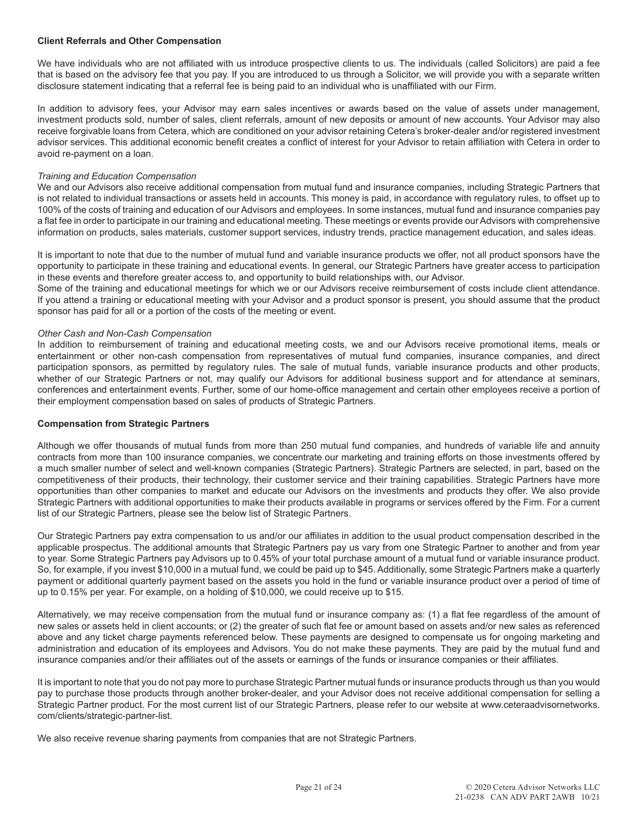## **Client Referrals and Other Compensation**

We have individuals who are not affiliated with us introduce prospective clients to us. The individuals (called Solicitors) are paid a fee that is based on the advisory fee that you pay. If you are introduced to us through a Solicitor, we will provide you with a separate written disclosure statement indicating that a referral fee is being paid to an individual who is unaffiliated with our Firm.

In addition to advisory fees, your Advisor may earn sales incentives or awards based on the value of assets under management, investment products sold, number of sales, client referrals, amount of new deposits or amount of new accounts. Your Advisor may also receive forgivable loans from Cetera, which are conditioned on your advisor retaining Cetera's broker-dealer and/or registered investment advisor services. This additional economic benefit creates a conflict of interest for your Advisor to retain affiliation with Cetera in order to avoid re-payment on a loan.

#### *Training and Education Compensation*

We and our Advisors also receive additional compensation from mutual fund and insurance companies, including Strategic Partners that is not related to individual transactions or assets held in accounts. This money is paid, in accordance with regulatory rules, to offset up to 100% of the costs of training and education of our Advisors and employees. In some instances, mutual fund and insurance companies pay a flat fee in order to participate in our training and educational meeting. These meetings or events provide our Advisors with comprehensive information on products, sales materials, customer support services, industry trends, practice management education, and sales ideas.

It is important to note that due to the number of mutual fund and variable insurance products we offer, not all product sponsors have the opportunity to participate in these training and educational events. In general, our Strategic Partners have greater access to participation in these events and therefore greater access to, and opportunity to build relationships with, our Advisor.

Some of the training and educational meetings for which we or our Advisors receive reimbursement of costs include client attendance. If you attend a training or educational meeting with your Advisor and a product sponsor is present, you should assume that the product sponsor has paid for all or a portion of the costs of the meeting or event.

#### *Other Cash and Non-Cash Compensation*

In addition to reimbursement of training and educational meeting costs, we and our Advisors receive promotional items, meals or entertainment or other non-cash compensation from representatives of mutual fund companies, insurance companies, and direct participation sponsors, as permitted by regulatory rules. The sale of mutual funds, variable insurance products and other products, whether of our Strategic Partners or not, may qualify our Advisors for additional business support and for attendance at seminars, conferences and entertainment events. Further, some of our home-office management and certain other employees receive a portion of their employment compensation based on sales of products of Strategic Partners.

#### **Compensation from Strategic Partners**

Although we offer thousands of mutual funds from more than 250 mutual fund companies, and hundreds of variable life and annuity contracts from more than 100 insurance companies, we concentrate our marketing and training efforts on those investments offered by a much smaller number of select and well-known companies (Strategic Partners). Strategic Partners are selected, in part, based on the competitiveness of their products, their technology, their customer service and their training capabilities. Strategic Partners have more opportunities than other companies to market and educate our Advisors on the investments and products they offer. We also provide Strategic Partners with additional opportunities to make their products available in programs or services offered by the Firm. For a current list of our Strategic Partners, please see the below list of Strategic Partners.

Our Strategic Partners pay extra compensation to us and/or our affiliates in addition to the usual product compensation described in the applicable prospectus. The additional amounts that Strategic Partners pay us vary from one Strategic Partner to another and from year to year. Some Strategic Partners pay Advisors up to 0.45% of your total purchase amount of a mutual fund or variable insurance product. So, for example, if you invest \$10,000 in a mutual fund, we could be paid up to \$45. Additionally, some Strategic Partners make a quarterly payment or additional quarterly payment based on the assets you hold in the fund or variable insurance product over a period of time of up to 0.15% per year. For example, on a holding of \$10,000, we could receive up to \$15.

Alternatively, we may receive compensation from the mutual fund or insurance company as: (1) a flat fee regardless of the amount of new sales or assets held in client accounts; or (2) the greater of such flat fee or amount based on assets and/or new sales as referenced above and any ticket charge payments referenced below. These payments are designed to compensate us for ongoing marketing and administration and education of its employees and Advisors. You do not make these payments. They are paid by the mutual fund and insurance companies and/or their affiliates out of the assets or earnings of the funds or insurance companies or their affiliates.

It is important to note that you do not pay more to purchase Strategic Partner mutual funds or insurance products through us than you would pay to purchase those products through another broker-dealer, and your Advisor does not receive additional compensation for selling a Strategic Partner product. For the most current list of our Strategic Partners, please refer to our website at www.ceteraadvisornetworks. com/clients/strategic-partner-list.

We also receive revenue sharing payments from companies that are not Strategic Partners.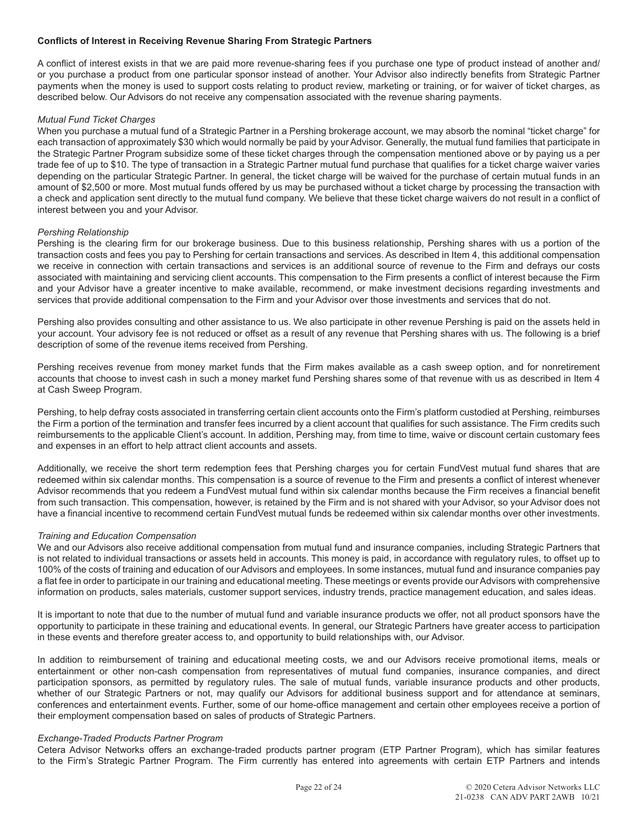# **Conflicts of Interest in Receiving Revenue Sharing From Strategic Partners**

A conflict of interest exists in that we are paid more revenue-sharing fees if you purchase one type of product instead of another and/ or you purchase a product from one particular sponsor instead of another. Your Advisor also indirectly benefits from Strategic Partner payments when the money is used to support costs relating to product review, marketing or training, or for waiver of ticket charges, as described below. Our Advisors do not receive any compensation associated with the revenue sharing payments.

## *Mutual Fund Ticket Charges*

When you purchase a mutual fund of a Strategic Partner in a Pershing brokerage account, we may absorb the nominal "ticket charge" for each transaction of approximately \$30 which would normally be paid by your Advisor. Generally, the mutual fund families that participate in the Strategic Partner Program subsidize some of these ticket charges through the compensation mentioned above or by paying us a per trade fee of up to \$10. The type of transaction in a Strategic Partner mutual fund purchase that qualifies for a ticket charge waiver varies depending on the particular Strategic Partner. In general, the ticket charge will be waived for the purchase of certain mutual funds in an amount of \$2,500 or more. Most mutual funds offered by us may be purchased without a ticket charge by processing the transaction with a check and application sent directly to the mutual fund company. We believe that these ticket charge waivers do not result in a conflict of interest between you and your Advisor.

#### *Pershing Relationship*

Pershing is the clearing firm for our brokerage business. Due to this business relationship, Pershing shares with us a portion of the transaction costs and fees you pay to Pershing for certain transactions and services. As described in Item 4, this additional compensation we receive in connection with certain transactions and services is an additional source of revenue to the Firm and defrays our costs associated with maintaining and servicing client accounts. This compensation to the Firm presents a conflict of interest because the Firm and your Advisor have a greater incentive to make available, recommend, or make investment decisions regarding investments and services that provide additional compensation to the Firm and your Advisor over those investments and services that do not.

Pershing also provides consulting and other assistance to us. We also participate in other revenue Pershing is paid on the assets held in your account. Your advisory fee is not reduced or offset as a result of any revenue that Pershing shares with us. The following is a brief description of some of the revenue items received from Pershing.

Pershing receives revenue from money market funds that the Firm makes available as a cash sweep option, and for nonretirement accounts that choose to invest cash in such a money market fund Pershing shares some of that revenue with us as described in Item 4 at Cash Sweep Program.

Pershing, to help defray costs associated in transferring certain client accounts onto the Firm's platform custodied at Pershing, reimburses the Firm a portion of the termination and transfer fees incurred by a client account that qualifies for such assistance. The Firm credits such reimbursements to the applicable Client's account. In addition, Pershing may, from time to time, waive or discount certain customary fees and expenses in an effort to help attract client accounts and assets.

Additionally, we receive the short term redemption fees that Pershing charges you for certain FundVest mutual fund shares that are redeemed within six calendar months. This compensation is a source of revenue to the Firm and presents a conflict of interest whenever Advisor recommends that you redeem a FundVest mutual fund within six calendar months because the Firm receives a financial benefit from such transaction. This compensation, however, is retained by the Firm and is not shared with your Advisor, so your Advisor does not have a financial incentive to recommend certain FundVest mutual funds be redeemed within six calendar months over other investments.

# *Training and Education Compensation*

We and our Advisors also receive additional compensation from mutual fund and insurance companies, including Strategic Partners that is not related to individual transactions or assets held in accounts. This money is paid, in accordance with regulatory rules, to offset up to 100% of the costs of training and education of our Advisors and employees. In some instances, mutual fund and insurance companies pay a flat fee in order to participate in our training and educational meeting. These meetings or events provide our Advisors with comprehensive information on products, sales materials, customer support services, industry trends, practice management education, and sales ideas.

It is important to note that due to the number of mutual fund and variable insurance products we offer, not all product sponsors have the opportunity to participate in these training and educational events. In general, our Strategic Partners have greater access to participation in these events and therefore greater access to, and opportunity to build relationships with, our Advisor.

In addition to reimbursement of training and educational meeting costs, we and our Advisors receive promotional items, meals or entertainment or other non-cash compensation from representatives of mutual fund companies, insurance companies, and direct participation sponsors, as permitted by regulatory rules. The sale of mutual funds, variable insurance products and other products, whether of our Strategic Partners or not, may qualify our Advisors for additional business support and for attendance at seminars, conferences and entertainment events. Further, some of our home-office management and certain other employees receive a portion of their employment compensation based on sales of products of Strategic Partners.

#### *Exchange-Traded Products Partner Program*

Cetera Advisor Networks offers an exchange-traded products partner program (ETP Partner Program), which has similar features to the Firm's Strategic Partner Program. The Firm currently has entered into agreements with certain ETP Partners and intends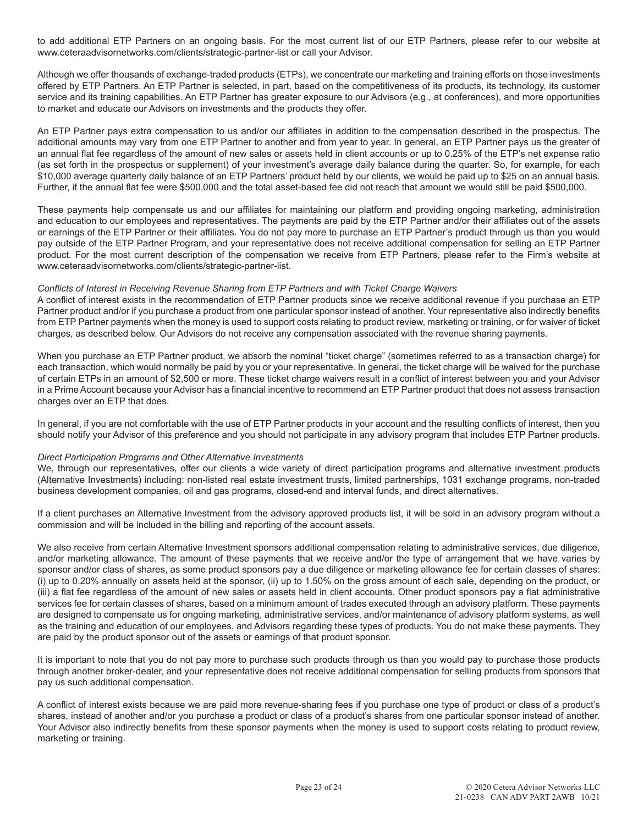to add additional ETP Partners on an ongoing basis. For the most current list of our ETP Partners, please refer to our website at www.ceteraadvisornetworks.com/clients/strategic-partner-list or call your Advisor.

Although we offer thousands of exchange-traded products (ETPs), we concentrate our marketing and training efforts on those investments offered by ETP Partners. An ETP Partner is selected, in part, based on the competitiveness of its products, its technology, its customer service and its training capabilities. An ETP Partner has greater exposure to our Advisors (e.g., at conferences), and more opportunities to market and educate our Advisors on investments and the products they offer.

An ETP Partner pays extra compensation to us and/or our affiliates in addition to the compensation described in the prospectus. The additional amounts may vary from one ETP Partner to another and from year to year. In general, an ETP Partner pays us the greater of an annual flat fee regardless of the amount of new sales or assets held in client accounts or up to 0.25% of the ETP's net expense ratio (as set forth in the prospectus or supplement) of your investment's average daily balance during the quarter. So, for example, for each \$10,000 average quarterly daily balance of an ETP Partners' product held by our clients, we would be paid up to \$25 on an annual basis. Further, if the annual flat fee were \$500,000 and the total asset-based fee did not reach that amount we would still be paid \$500,000.

These payments help compensate us and our affiliates for maintaining our platform and providing ongoing marketing, administration and education to our employees and representatives. The payments are paid by the ETP Partner and/or their affiliates out of the assets or earnings of the ETP Partner or their affiliates. You do not pay more to purchase an ETP Partner's product through us than you would pay outside of the ETP Partner Program, and your representative does not receive additional compensation for selling an ETP Partner product. For the most current description of the compensation we receive from ETP Partners, please refer to the Firm's website at www.ceteraadvisornetworks.com/clients/strategic-partner-list.

#### *Conflicts of Interest in Receiving Revenue Sharing from ETP Partners and with Ticket Charge Waivers*

A conflict of interest exists in the recommendation of ETP Partner products since we receive additional revenue if you purchase an ETP Partner product and/or if you purchase a product from one particular sponsor instead of another. Your representative also indirectly benefits from ETP Partner payments when the money is used to support costs relating to product review, marketing or training, or for waiver of ticket charges, as described below. Our Advisors do not receive any compensation associated with the revenue sharing payments.

When you purchase an ETP Partner product, we absorb the nominal "ticket charge" (sometimes referred to as a transaction charge) for each transaction, which would normally be paid by you or your representative. In general, the ticket charge will be waived for the purchase of certain ETPs in an amount of \$2,500 or more. These ticket charge waivers result in a conflict of interest between you and your Advisor in a Prime Account because your Advisor has a financial incentive to recommend an ETP Partner product that does not assess transaction charges over an ETP that does.

In general, if you are not comfortable with the use of ETP Partner products in your account and the resulting conflicts of interest, then you should notify your Advisor of this preference and you should not participate in any advisory program that includes ETP Partner products.

#### *Direct Participation Programs and Other Alternative Investments*

We, through our representatives, offer our clients a wide variety of direct participation programs and alternative investment products (Alternative Investments) including: non-listed real estate investment trusts, limited partnerships, 1031 exchange programs, non-traded business development companies, oil and gas programs, closed-end and interval funds, and direct alternatives.

If a client purchases an Alternative Investment from the advisory approved products list, it will be sold in an advisory program without a commission and will be included in the billing and reporting of the account assets.

We also receive from certain Alternative Investment sponsors additional compensation relating to administrative services, due diligence, and/or marketing allowance. The amount of these payments that we receive and/or the type of arrangement that we have varies by sponsor and/or class of shares, as some product sponsors pay a due diligence or marketing allowance fee for certain classes of shares: (i) up to 0.20% annually on assets held at the sponsor, (ii) up to 1.50% on the gross amount of each sale, depending on the product, or (iii) a flat fee regardless of the amount of new sales or assets held in client accounts. Other product sponsors pay a flat administrative services fee for certain classes of shares, based on a minimum amount of trades executed through an advisory platform. These payments are designed to compensate us for ongoing marketing, administrative services, and/or maintenance of advisory platform systems, as well as the training and education of our employees, and Advisors regarding these types of products. You do not make these payments. They are paid by the product sponsor out of the assets or earnings of that product sponsor.

It is important to note that you do not pay more to purchase such products through us than you would pay to purchase those products through another broker-dealer, and your representative does not receive additional compensation for selling products from sponsors that pay us such additional compensation.

A conflict of interest exists because we are paid more revenue-sharing fees if you purchase one type of product or class of a product's shares, instead of another and/or you purchase a product or class of a product's shares from one particular sponsor instead of another. Your Advisor also indirectly benefits from these sponsor payments when the money is used to support costs relating to product review, marketing or training.